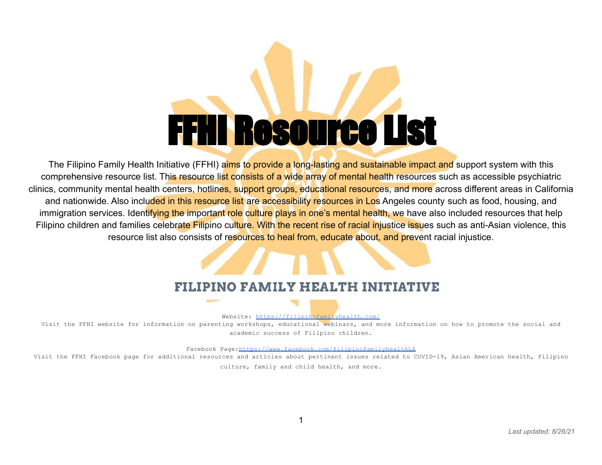# FFHI Resource List

The Filipino Family Health Initiative (FFHI) aims to provide a long-lasting and sustainable impact and support system with this comprehensive resource list. This resource list consists of a wide array of mental health resources such as accessible psychiatric clinics, community mental health centers, hotlines, support groups, educational resources, and more across different areas in California and nationwide. Also included in this resource list are accessibility resources in Los Angeles county such as food, housing, and immigration services. Identifying the important role culture plays in one's mental health, we have also included resources that help Filipino children and families celebrate Filipino culture. With the recent rise of racial injustice issues such as anti-Asian violence, this resource list also consists of resources to heal from, educate about, and prevent racial injustice.

### FILIPINO FAMILY HEALTH INITIATIVE

Website: <https://filipinofamilyhealth.com/>

Visit the FFHI website for information on parenting workshops, educational webinars, and more information on how to promote the social and academic success of Filipino children.

Facebook Page[:https://www.facebook.com/filipinofamilyhealthLA](https://www.facebook.com/filipinofamilyhealthLA)

Visit the FFHI Facebook page for additional resources and articles about pertinent issues related to COVID-19, Asian American health, Filipino culture, family and child health, and more.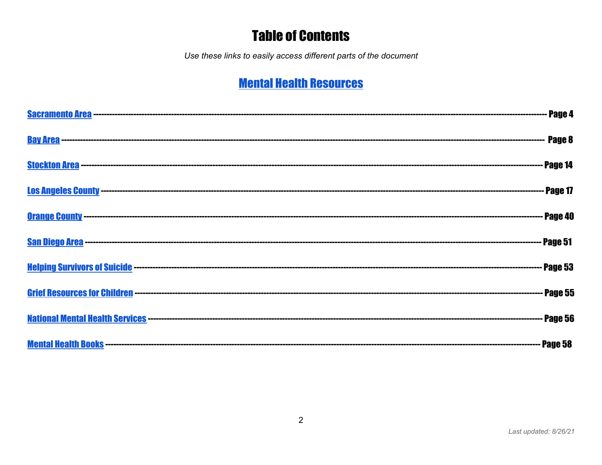## **Table of Contents**

Use these links to easily access different parts of the document

# **Mental Health Resources**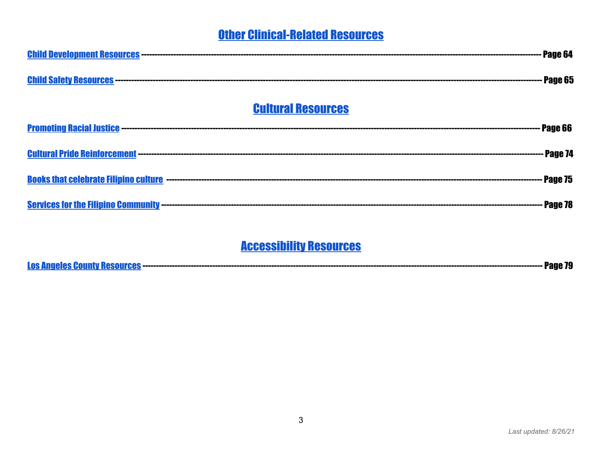### **Other Clinical-Related Resources**

| Page 65                   |
|---------------------------|
| <b>Cultural Resources</b> |
|                           |
| Page 74                   |
| Page 75                   |
| Page 78                   |

### **Accessibility Resources**

|--|--|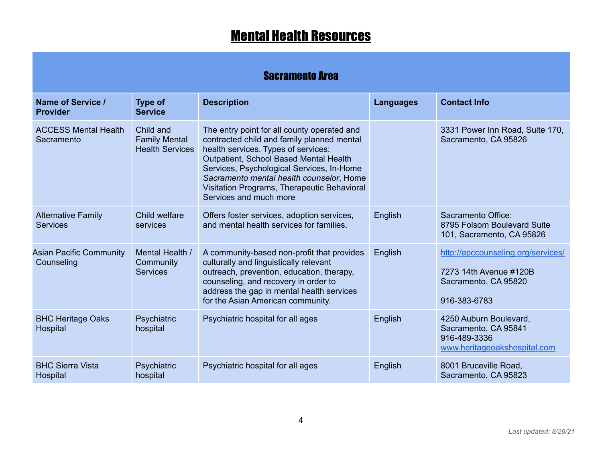# **Mental Health Resources**

### Sacramento Area

<span id="page-3-1"></span><span id="page-3-0"></span>

| Name of Service /<br><b>Provider</b>         | <b>Type of</b><br><b>Service</b>                            | <b>Description</b>                                                                                                                                                                                                                                                                                                                           | <b>Languages</b> | <b>Contact Info</b>                                                                                  |
|----------------------------------------------|-------------------------------------------------------------|----------------------------------------------------------------------------------------------------------------------------------------------------------------------------------------------------------------------------------------------------------------------------------------------------------------------------------------------|------------------|------------------------------------------------------------------------------------------------------|
| <b>ACCESS Mental Health</b><br>Sacramento    | Child and<br><b>Family Mental</b><br><b>Health Services</b> | The entry point for all county operated and<br>contracted child and family planned mental<br>health services. Types of services:<br>Outpatient, School Based Mental Health<br>Services, Psychological Services, In-Home<br>Sacramento mental health counselor, Home<br>Visitation Programs, Therapeutic Behavioral<br>Services and much more |                  | 3331 Power Inn Road, Suite 170,<br>Sacramento, CA 95826                                              |
| <b>Alternative Family</b><br><b>Services</b> | Child welfare<br>services                                   | Offers foster services, adoption services,<br>and mental health services for families.                                                                                                                                                                                                                                                       | English          | Sacramento Office:<br>8795 Folsom Boulevard Suite<br>101, Sacramento, CA 95826                       |
| <b>Asian Pacific Community</b><br>Counseling | Mental Health /<br>Community<br><b>Services</b>             | A community-based non-profit that provides<br>culturally and linguistically relevant<br>outreach, prevention, education, therapy,<br>counseling, and recovery in order to<br>address the gap in mental health services<br>for the Asian American community.                                                                                  | English          | http://apccounseling.org/services/<br>7273 14th Avenue #120B<br>Sacramento, CA 95820<br>916-383-6783 |
| <b>BHC Heritage Oaks</b><br>Hospital         | Psychiatric<br>hospital                                     | Psychiatric hospital for all ages                                                                                                                                                                                                                                                                                                            | English          | 4250 Auburn Boulevard,<br>Sacramento, CA 95841<br>916-489-3336<br>www.heritageoakshospital.com       |
| <b>BHC Sierra Vista</b><br>Hospital          | Psychiatric<br>hospital                                     | Psychiatric hospital for all ages                                                                                                                                                                                                                                                                                                            | English          | 8001 Bruceville Road,<br>Sacramento, CA 95823                                                        |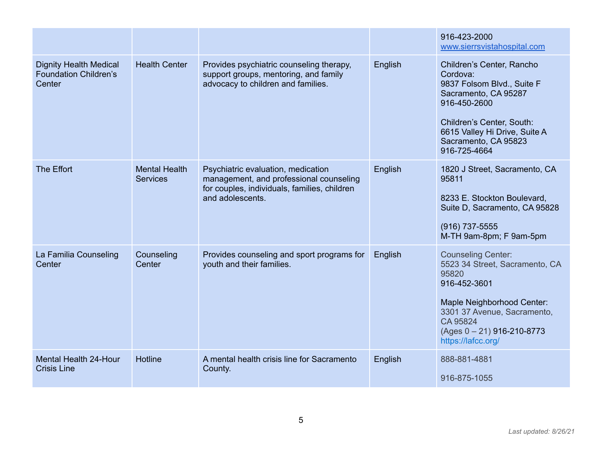|                                                                         |                                         |                                                                                                                                                   |         | 916-423-2000<br>www.sierrsvistahospital.com                                                                                                                                                                         |
|-------------------------------------------------------------------------|-----------------------------------------|---------------------------------------------------------------------------------------------------------------------------------------------------|---------|---------------------------------------------------------------------------------------------------------------------------------------------------------------------------------------------------------------------|
| <b>Dignity Health Medical</b><br><b>Foundation Children's</b><br>Center | <b>Health Center</b>                    | Provides psychiatric counseling therapy,<br>support groups, mentoring, and family<br>advocacy to children and families.                           | English | Children's Center, Rancho<br>Cordova:<br>9837 Folsom Blvd., Suite F<br>Sacramento, CA 95287<br>916-450-2600<br>Children's Center, South:<br>6615 Valley Hi Drive, Suite A<br>Sacramento, CA 95823<br>916-725-4664   |
| The Effort                                                              | <b>Mental Health</b><br><b>Services</b> | Psychiatric evaluation, medication<br>management, and professional counseling<br>for couples, individuals, families, children<br>and adolescents. | English | 1820 J Street, Sacramento, CA<br>95811<br>8233 E. Stockton Boulevard,<br>Suite D, Sacramento, CA 95828<br>(916) 737-5555<br>M-TH 9am-8pm; F 9am-5pm                                                                 |
| La Familia Counseling<br>Center                                         | Counseling<br>Center                    | Provides counseling and sport programs for<br>youth and their families.                                                                           | English | <b>Counseling Center:</b><br>5523 34 Street, Sacramento, CA<br>95820<br>916-452-3601<br>Maple Neighborhood Center:<br>3301 37 Avenue, Sacramento,<br>CA 95824<br>$(Ages 0 – 21)$ 916-210-8773<br>https://lafcc.org/ |
| <b>Mental Health 24-Hour</b><br><b>Crisis Line</b>                      | Hotline                                 | A mental health crisis line for Sacramento<br>County.                                                                                             | English | 888-881-4881<br>916-875-1055                                                                                                                                                                                        |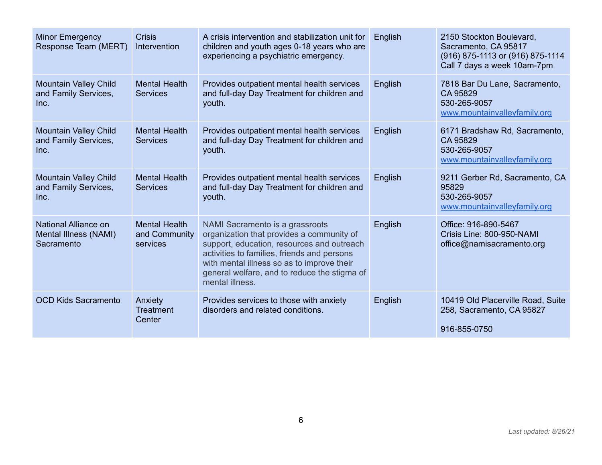| <b>Minor Emergency</b><br>Response Team (MERT)               | <b>Crisis</b><br>Intervention                     | A crisis intervention and stabilization unit for<br>children and youth ages 0-18 years who are<br>experiencing a psychiatric emergency.                                                                                                                                                    | English | 2150 Stockton Boulevard,<br>Sacramento, CA 95817<br>(916) 875-1113 or (916) 875-1114<br>Call 7 days a week 10am-7pm |
|--------------------------------------------------------------|---------------------------------------------------|--------------------------------------------------------------------------------------------------------------------------------------------------------------------------------------------------------------------------------------------------------------------------------------------|---------|---------------------------------------------------------------------------------------------------------------------|
| <b>Mountain Valley Child</b><br>and Family Services,<br>Inc. | <b>Mental Health</b><br><b>Services</b>           | Provides outpatient mental health services<br>and full-day Day Treatment for children and<br>youth.                                                                                                                                                                                        | English | 7818 Bar Du Lane, Sacramento,<br>CA 95829<br>530-265-9057<br>www.mountainvalleyfamily.org                           |
| <b>Mountain Valley Child</b><br>and Family Services,<br>Inc. | <b>Mental Health</b><br><b>Services</b>           | Provides outpatient mental health services<br>and full-day Day Treatment for children and<br>youth.                                                                                                                                                                                        | English | 6171 Bradshaw Rd, Sacramento,<br>CA 95829<br>530-265-9057<br>www.mountainvalleyfamily.org                           |
| <b>Mountain Valley Child</b><br>and Family Services,<br>Inc. | <b>Mental Health</b><br><b>Services</b>           | Provides outpatient mental health services<br>and full-day Day Treatment for children and<br>youth.                                                                                                                                                                                        | English | 9211 Gerber Rd, Sacramento, CA<br>95829<br>530-265-9057<br>www.mountainvalleyfamily.org                             |
| National Alliance on<br>Mental Illness (NAMI)<br>Sacramento  | <b>Mental Health</b><br>and Community<br>services | NAMI Sacramento is a grassroots<br>organization that provides a community of<br>support, education, resources and outreach<br>activities to families, friends and persons<br>with mental illness so as to improve their<br>general welfare, and to reduce the stigma of<br>mental illness. | English | Office: 916-890-5467<br>Crisis Line: 800-950-NAMI<br>office@namisacramento.org                                      |
| <b>OCD Kids Sacramento</b>                                   | Anxiety<br>Treatment<br>Center                    | Provides services to those with anxiety<br>disorders and related conditions.                                                                                                                                                                                                               | English | 10419 Old Placerville Road, Suite<br>258, Sacramento, CA 95827<br>916-855-0750                                      |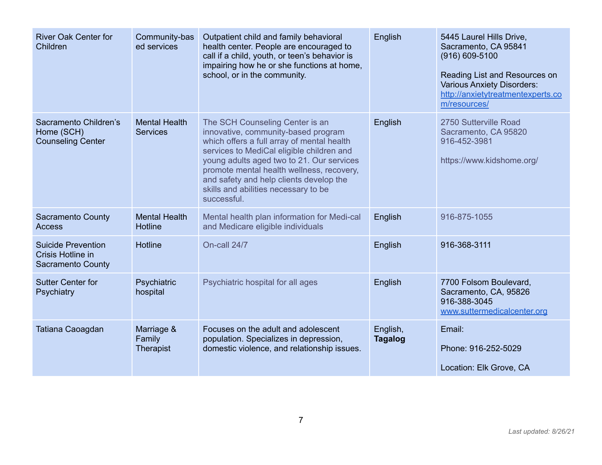| <b>River Oak Center for</b><br>Children                                    | Community-bas<br>ed services             | Outpatient child and family behavioral<br>health center. People are encouraged to<br>call if a child, youth, or teen's behavior is<br>impairing how he or she functions at home,<br>school, or in the community.                                                                                                                                              | English                    | 5445 Laurel Hills Drive,<br>Sacramento, CA 95841<br>$(916) 609 - 5100$<br>Reading List and Resources on<br><b>Various Anxiety Disorders:</b><br>http://anxietytreatmentexperts.co<br>m/resources/ |
|----------------------------------------------------------------------------|------------------------------------------|---------------------------------------------------------------------------------------------------------------------------------------------------------------------------------------------------------------------------------------------------------------------------------------------------------------------------------------------------------------|----------------------------|---------------------------------------------------------------------------------------------------------------------------------------------------------------------------------------------------|
| Sacramento Children's<br>Home (SCH)<br><b>Counseling Center</b>            | <b>Mental Health</b><br><b>Services</b>  | The SCH Counseling Center is an<br>innovative, community-based program<br>which offers a full array of mental health<br>services to MediCal eligible children and<br>young adults aged two to 21. Our services<br>promote mental health wellness, recovery,<br>and safety and help clients develop the<br>skills and abilities necessary to be<br>successful. | English                    | 2750 Sutterville Road<br>Sacramento, CA 95820<br>916-452-3981<br>https://www.kidshome.org/                                                                                                        |
| <b>Sacramento County</b><br>Access                                         | <b>Mental Health</b><br><b>Hotline</b>   | Mental health plan information for Medi-cal<br>and Medicare eligible individuals                                                                                                                                                                                                                                                                              | English                    | 916-875-1055                                                                                                                                                                                      |
| <b>Suicide Prevention</b><br>Crisis Hotline in<br><b>Sacramento County</b> | <b>Hotline</b>                           | On-call 24/7                                                                                                                                                                                                                                                                                                                                                  | English                    | 916-368-3111                                                                                                                                                                                      |
| <b>Sutter Center for</b><br>Psychiatry                                     | Psychiatric<br>hospital                  | Psychiatric hospital for all ages                                                                                                                                                                                                                                                                                                                             | English                    | 7700 Folsom Boulevard,<br>Sacramento, CA, 95826<br>916-388-3045<br>www.suttermedicalcenter.org                                                                                                    |
| Tatiana Caoagdan                                                           | Marriage &<br>Family<br><b>Therapist</b> | Focuses on the adult and adolescent<br>population. Specializes in depression,<br>domestic violence, and relationship issues.                                                                                                                                                                                                                                  | English,<br><b>Tagalog</b> | Email:<br>Phone: 916-252-5029<br>Location: Elk Grove, CA                                                                                                                                          |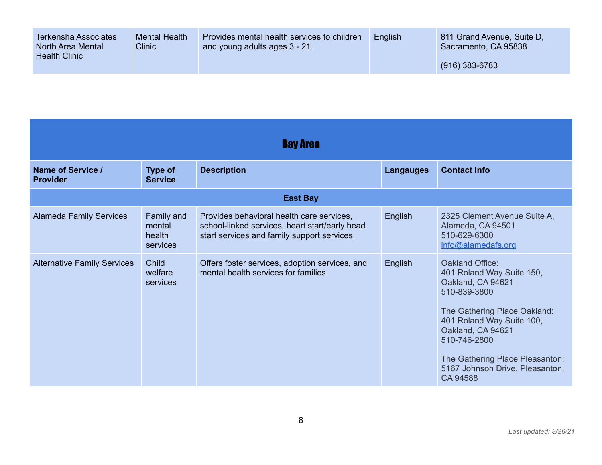| <b>Terkensha Associates</b><br>North Area Mental<br><b>Health Clinic</b> | <b>Mental Health</b><br><b>Clinic</b> | Provides mental health services to children<br>and young adults ages 3 - 21. | English | 811 Grand Avenue, Suite D.<br>Sacramento, CA 95838 |
|--------------------------------------------------------------------------|---------------------------------------|------------------------------------------------------------------------------|---------|----------------------------------------------------|
|                                                                          |                                       |                                                                              |         | $(916)$ 383-6783                                   |

<span id="page-7-0"></span>

| <b>Bay Area</b>                      |                                            |                                                                                                                                            |                  |                                                                                                                                                                                                                                                                       |
|--------------------------------------|--------------------------------------------|--------------------------------------------------------------------------------------------------------------------------------------------|------------------|-----------------------------------------------------------------------------------------------------------------------------------------------------------------------------------------------------------------------------------------------------------------------|
| Name of Service /<br><b>Provider</b> | <b>Type of</b><br><b>Service</b>           | <b>Description</b>                                                                                                                         | <b>Langauges</b> | <b>Contact Info</b>                                                                                                                                                                                                                                                   |
|                                      |                                            | <b>East Bay</b>                                                                                                                            |                  |                                                                                                                                                                                                                                                                       |
| <b>Alameda Family Services</b>       | Family and<br>mental<br>health<br>services | Provides behavioral health care services,<br>school-linked services, heart start/early head<br>start services and family support services. | English          | 2325 Clement Avenue Suite A,<br>Alameda, CA 94501<br>510-629-6300<br>info@alamedafs.org                                                                                                                                                                               |
| <b>Alternative Family Services</b>   | Child<br>welfare<br>services               | Offers foster services, adoption services, and<br>mental health services for families.                                                     | English          | Oakland Office:<br>401 Roland Way Suite 150,<br>Oakland, CA 94621<br>510-839-3800<br>The Gathering Place Oakland:<br>401 Roland Way Suite 100,<br>Oakland, CA 94621<br>510-746-2800<br>The Gathering Place Pleasanton:<br>5167 Johnson Drive, Pleasanton,<br>CA 94588 |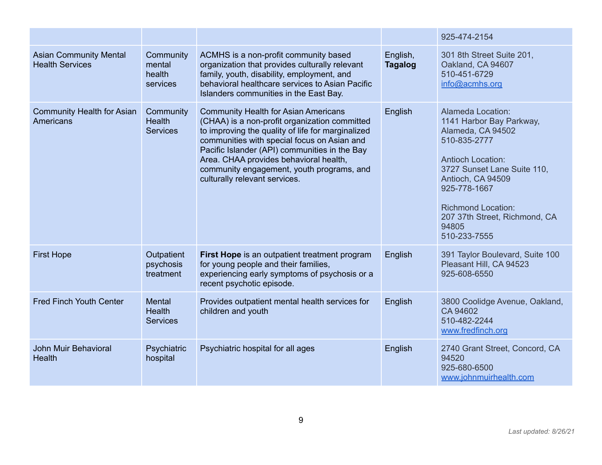|                                                         |                                                   |                                                                                                                                                                                                                                                                                                                                                                           |                            | 925-474-2154                                                                                                                                                                                                                                                              |
|---------------------------------------------------------|---------------------------------------------------|---------------------------------------------------------------------------------------------------------------------------------------------------------------------------------------------------------------------------------------------------------------------------------------------------------------------------------------------------------------------------|----------------------------|---------------------------------------------------------------------------------------------------------------------------------------------------------------------------------------------------------------------------------------------------------------------------|
| <b>Asian Community Mental</b><br><b>Health Services</b> | Community<br>mental<br>health<br>services         | ACMHS is a non-profit community based<br>organization that provides culturally relevant<br>family, youth, disability, employment, and<br>behavioral healthcare services to Asian Pacific<br>Islanders communities in the East Bay.                                                                                                                                        | English,<br><b>Tagalog</b> | 301 8th Street Suite 201,<br>Oakland, CA 94607<br>510-451-6729<br>info@acmhs.org                                                                                                                                                                                          |
| <b>Community Health for Asian</b><br>Americans          | Community<br><b>Health</b><br><b>Services</b>     | <b>Community Health for Asian Americans</b><br>(CHAA) is a non-profit organization committed<br>to improving the quality of life for marginalized<br>communities with special focus on Asian and<br>Pacific Islander (API) communities in the Bay<br>Area. CHAA provides behavioral health,<br>community engagement, youth programs, and<br>culturally relevant services. | English                    | Alameda Location:<br>1141 Harbor Bay Parkway,<br>Alameda, CA 94502<br>510-835-2777<br><b>Antioch Location:</b><br>3727 Sunset Lane Suite 110,<br>Antioch, CA 94509<br>925-778-1667<br><b>Richmond Location:</b><br>207 37th Street, Richmond, CA<br>94805<br>510-233-7555 |
| <b>First Hope</b>                                       | Outpatient<br>psychosis<br>treatment              | First Hope is an outpatient treatment program<br>for young people and their families,<br>experiencing early symptoms of psychosis or a<br>recent psychotic episode.                                                                                                                                                                                                       | English                    | 391 Taylor Boulevard, Suite 100<br>Pleasant Hill, CA 94523<br>925-608-6550                                                                                                                                                                                                |
| <b>Fred Finch Youth Center</b>                          | <b>Mental</b><br><b>Health</b><br><b>Services</b> | Provides outpatient mental health services for<br>children and youth                                                                                                                                                                                                                                                                                                      | English                    | 3800 Coolidge Avenue, Oakland,<br>CA 94602<br>510-482-2244<br>www.fredfinch.org                                                                                                                                                                                           |
| John Muir Behavioral<br>Health                          | Psychiatric<br>hospital                           | Psychiatric hospital for all ages                                                                                                                                                                                                                                                                                                                                         | English                    | 2740 Grant Street, Concord, CA<br>94520<br>925-680-6500<br>www.johnmuirhealth.com                                                                                                                                                                                         |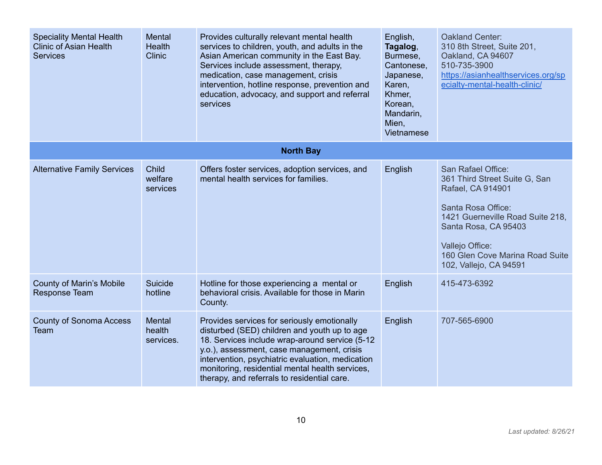| <b>Speciality Mental Health</b><br><b>Clinic of Asian Health</b><br><b>Services</b> | Mental<br><b>Health</b><br><b>Clinic</b> | Provides culturally relevant mental health<br>services to children, youth, and adults in the<br>Asian American community in the East Bay.<br>Services include assessment, therapy,<br>medication, case management, crisis<br>intervention, hotline response, prevention and<br>education, advocacy, and support and referral<br>services          | English,<br>Tagalog,<br>Burmese,<br>Cantonese,<br>Japanese,<br>Karen,<br>Khmer,<br>Korean,<br>Mandarin,<br>Mien,<br>Vietnamese | Oakland Center:<br>310 8th Street, Suite 201,<br>Oakland, CA 94607<br>510-735-3900<br>https://asianhealthservices.org/sp<br>ecialty-mental-health-clinic/                                                                                  |
|-------------------------------------------------------------------------------------|------------------------------------------|---------------------------------------------------------------------------------------------------------------------------------------------------------------------------------------------------------------------------------------------------------------------------------------------------------------------------------------------------|--------------------------------------------------------------------------------------------------------------------------------|--------------------------------------------------------------------------------------------------------------------------------------------------------------------------------------------------------------------------------------------|
|                                                                                     |                                          | <b>North Bay</b>                                                                                                                                                                                                                                                                                                                                  |                                                                                                                                |                                                                                                                                                                                                                                            |
| <b>Alternative Family Services</b>                                                  | <b>Child</b><br>welfare<br>services      | Offers foster services, adoption services, and<br>mental health services for families.                                                                                                                                                                                                                                                            | English                                                                                                                        | San Rafael Office:<br>361 Third Street Suite G, San<br>Rafael, CA 914901<br>Santa Rosa Office:<br>1421 Guerneville Road Suite 218,<br>Santa Rosa, CA 95403<br>Vallejo Office:<br>160 Glen Cove Marina Road Suite<br>102, Vallejo, CA 94591 |
| <b>County of Marin's Mobile</b><br><b>Response Team</b>                             | Suicide<br>hotline                       | Hotline for those experiencing a mental or<br>behavioral crisis. Available for those in Marin<br>County.                                                                                                                                                                                                                                          | English                                                                                                                        | 415-473-6392                                                                                                                                                                                                                               |
| <b>County of Sonoma Access</b><br>Team                                              | Mental<br>health<br>services.            | Provides services for seriously emotionally<br>disturbed (SED) children and youth up to age<br>18. Services include wrap-around service (5-12<br>y.o.), assessment, case management, crisis<br>intervention, psychiatric evaluation, medication<br>monitoring, residential mental health services,<br>therapy, and referrals to residential care. | English                                                                                                                        | 707-565-6900                                                                                                                                                                                                                               |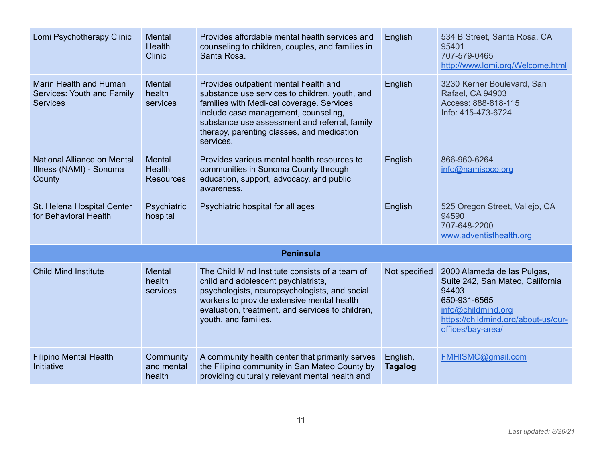| Lomi Psychotherapy Clinic                                               | Mental<br><b>Health</b><br><b>Clinic</b>    | Provides affordable mental health services and<br>counseling to children, couples, and families in<br>Santa Rosa.                                                                                                                                                                        | English                    | 534 B Street, Santa Rosa, CA<br>95401<br>707-579-0465<br>http://www.lomi.org/Welcome.html                                                                                  |
|-------------------------------------------------------------------------|---------------------------------------------|------------------------------------------------------------------------------------------------------------------------------------------------------------------------------------------------------------------------------------------------------------------------------------------|----------------------------|----------------------------------------------------------------------------------------------------------------------------------------------------------------------------|
| Marin Health and Human<br>Services: Youth and Family<br><b>Services</b> | <b>Mental</b><br>health<br>services         | Provides outpatient mental health and<br>substance use services to children, youth, and<br>families with Medi-cal coverage. Services<br>include case management, counseling,<br>substance use assessment and referral, family<br>therapy, parenting classes, and medication<br>services. | English                    | 3230 Kerner Boulevard, San<br>Rafael, CA 94903<br>Access: 888-818-115<br>Info: 415-473-6724                                                                                |
| National Alliance on Mental<br>Illness (NAMI) - Sonoma<br>County        | Mental<br><b>Health</b><br><b>Resources</b> | Provides various mental health resources to<br>communities in Sonoma County through<br>education, support, advocacy, and public<br>awareness.                                                                                                                                            | English                    | 866-960-6264<br>info@namisoco.org                                                                                                                                          |
| St. Helena Hospital Center<br>for Behavioral Health                     | Psychiatric<br>hospital                     | Psychiatric hospital for all ages                                                                                                                                                                                                                                                        | English                    | 525 Oregon Street, Vallejo, CA<br>94590<br>707-648-2200<br>www.adventisthealth.org                                                                                         |
|                                                                         |                                             | <b>Peninsula</b>                                                                                                                                                                                                                                                                         |                            |                                                                                                                                                                            |
| <b>Child Mind Institute</b>                                             | <b>Mental</b><br>health<br>services         | The Child Mind Institute consists of a team of<br>child and adolescent psychiatrists,<br>psychologists, neuropsychologists, and social<br>workers to provide extensive mental health<br>evaluation, treatment, and services to children,<br>youth, and families.                         | Not specified              | 2000 Alameda de las Pulgas,<br>Suite 242, San Mateo, California<br>94403<br>650-931-6565<br>info@childmind.org<br>https://childmind.org/about-us/our-<br>offices/bay-area/ |
| <b>Filipino Mental Health</b><br>Initiative                             | Community<br>and mental<br>health           | A community health center that primarily serves<br>the Filipino community in San Mateo County by<br>providing culturally relevant mental health and                                                                                                                                      | English,<br><b>Tagalog</b> | FMHISMC@gmail.com                                                                                                                                                          |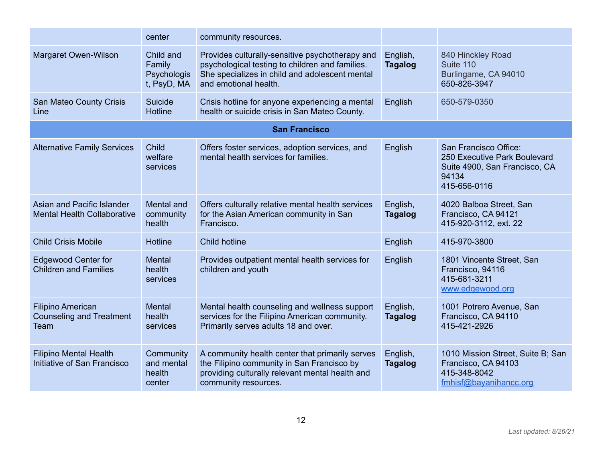|                                                                            | center                                            | community resources.                                                                                                                                                          |                            |                                                                                                                 |
|----------------------------------------------------------------------------|---------------------------------------------------|-------------------------------------------------------------------------------------------------------------------------------------------------------------------------------|----------------------------|-----------------------------------------------------------------------------------------------------------------|
| Margaret Owen-Wilson                                                       | Child and<br>Family<br>Psychologis<br>t, PsyD, MA | Provides culturally-sensitive psychotherapy and<br>psychological testing to children and families.<br>She specializes in child and adolescent mental<br>and emotional health. | English,<br><b>Tagalog</b> | 840 Hinckley Road<br>Suite 110<br>Burlingame, CA 94010<br>650-826-3947                                          |
| San Mateo County Crisis<br>Line                                            | Suicide<br><b>Hotline</b>                         | Crisis hotline for anyone experiencing a mental<br>health or suicide crisis in San Mateo County.                                                                              | English                    | 650-579-0350                                                                                                    |
|                                                                            |                                                   | <b>San Francisco</b>                                                                                                                                                          |                            |                                                                                                                 |
| <b>Alternative Family Services</b>                                         | <b>Child</b><br>welfare<br>services               | Offers foster services, adoption services, and<br>mental health services for families.                                                                                        | English                    | San Francisco Office:<br>250 Executive Park Boulevard<br>Suite 4900, San Francisco, CA<br>94134<br>415-656-0116 |
| Asian and Pacific Islander<br><b>Mental Health Collaborative</b>           | <b>Mental and</b><br>community<br>health          | Offers culturally relative mental health services<br>for the Asian American community in San<br>Francisco.                                                                    | English,<br><b>Tagalog</b> | 4020 Balboa Street, San<br>Francisco, CA 94121<br>415-920-3112, ext. 22                                         |
| <b>Child Crisis Mobile</b>                                                 | <b>Hotline</b>                                    | Child hotline                                                                                                                                                                 | English                    | 415-970-3800                                                                                                    |
| <b>Edgewood Center for</b><br><b>Children and Families</b>                 | Mental<br>health<br>services                      | Provides outpatient mental health services for<br>children and youth                                                                                                          | English                    | 1801 Vincente Street, San<br>Francisco, 94116<br>415-681-3211<br>www.edgewood.org                               |
| <b>Filipino American</b><br><b>Counseling and Treatment</b><br><b>Team</b> | Mental<br>health<br>services                      | Mental health counseling and wellness support<br>services for the Filipino American community.<br>Primarily serves adults 18 and over.                                        | English,<br><b>Tagalog</b> | 1001 Potrero Avenue, San<br>Francisco, CA 94110<br>415-421-2926                                                 |
| <b>Filipino Mental Health</b><br>Initiative of San Francisco               | Community<br>and mental<br>health<br>center       | A community health center that primarily serves<br>the Filipino community in San Francisco by<br>providing culturally relevant mental health and<br>community resources.      | English,<br><b>Tagalog</b> | 1010 Mission Street, Suite B; San<br>Francisco, CA 94103<br>415-348-8042<br>fmhisf@bayanihancc.org              |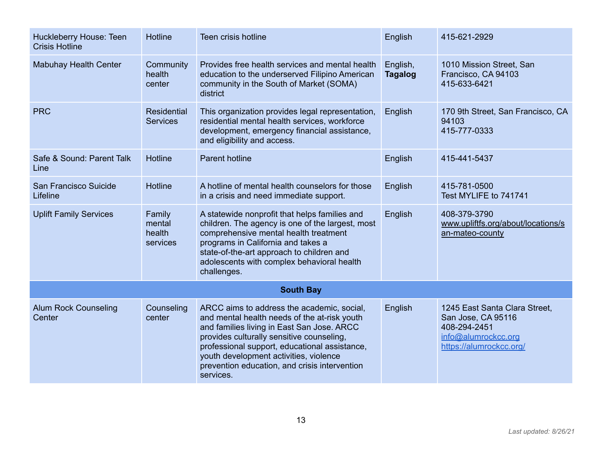| Huckleberry House: Teen<br><b>Crisis Hotline</b> | <b>Hotline</b>                         | Teen crisis hotline                                                                                                                                                                                                                                                                                                                            | English                    | 415-621-2929                                                                                                          |
|--------------------------------------------------|----------------------------------------|------------------------------------------------------------------------------------------------------------------------------------------------------------------------------------------------------------------------------------------------------------------------------------------------------------------------------------------------|----------------------------|-----------------------------------------------------------------------------------------------------------------------|
| <b>Mabuhay Health Center</b>                     | Community<br>health<br>center          | Provides free health services and mental health<br>education to the underserved Filipino American<br>community in the South of Market (SOMA)<br>district                                                                                                                                                                                       | English,<br><b>Tagalog</b> | 1010 Mission Street, San<br>Francisco, CA 94103<br>415-633-6421                                                       |
| <b>PRC</b>                                       | <b>Residential</b><br><b>Services</b>  | This organization provides legal representation,<br>residential mental health services, workforce<br>development, emergency financial assistance,<br>and eligibility and access.                                                                                                                                                               | English                    | 170 9th Street, San Francisco, CA<br>94103<br>415-777-0333                                                            |
| Safe & Sound: Parent Talk<br>Line                | <b>Hotline</b>                         | <b>Parent hotline</b>                                                                                                                                                                                                                                                                                                                          | English                    | 415-441-5437                                                                                                          |
| San Francisco Suicide<br>Lifeline                | <b>Hotline</b>                         | A hotline of mental health counselors for those<br>in a crisis and need immediate support.                                                                                                                                                                                                                                                     | English                    | 415-781-0500<br>Test MYLIFE to 741741                                                                                 |
| <b>Uplift Family Services</b>                    | Family<br>mental<br>health<br>services | A statewide nonprofit that helps families and<br>children. The agency is one of the largest, most<br>comprehensive mental health treatment<br>programs in California and takes a<br>state-of-the-art approach to children and<br>adolescents with complex behavioral health<br>challenges.                                                     | English                    | 408-379-3790<br>www.upliftfs.org/about/locations/s<br>an-mateo-county                                                 |
|                                                  |                                        | <b>South Bay</b>                                                                                                                                                                                                                                                                                                                               |                            |                                                                                                                       |
| <b>Alum Rock Counseling</b><br>Center            | Counseling<br>center                   | ARCC aims to address the academic, social,<br>and mental health needs of the at-risk youth<br>and families living in East San Jose. ARCC<br>provides culturally sensitive counseling,<br>professional support, educational assistance,<br>youth development activities, violence<br>prevention education, and crisis intervention<br>services. | English                    | 1245 East Santa Clara Street,<br>San Jose, CA 95116<br>408-294-2451<br>info@alumrockcc.org<br>https://alumrockcc.org/ |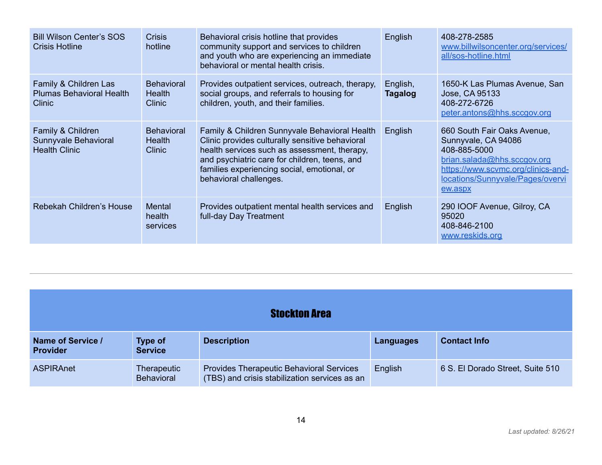| <b>Bill Wilson Center's SOS</b><br><b>Crisis Hotline</b>           | <b>Crisis</b><br>hotline                            | Behavioral crisis hotline that provides<br>community support and services to children<br>and youth who are experiencing an immediate<br>behavioral or mental health crisis.                                                                                                | English                    | 408-278-2585<br>www.billwilsoncenter.org/services/<br>all/sos-hotline.html                                                                                                             |
|--------------------------------------------------------------------|-----------------------------------------------------|----------------------------------------------------------------------------------------------------------------------------------------------------------------------------------------------------------------------------------------------------------------------------|----------------------------|----------------------------------------------------------------------------------------------------------------------------------------------------------------------------------------|
| Family & Children Las<br><b>Plumas Behavioral Health</b><br>Clinic | <b>Behavioral</b><br><b>Health</b><br><b>Clinic</b> | Provides outpatient services, outreach, therapy,<br>social groups, and referrals to housing for<br>children, youth, and their families.                                                                                                                                    | English,<br><b>Tagalog</b> | 1650-K Las Plumas Avenue, San<br>Jose, CA 95133<br>408-272-6726<br>peter.antons@hhs.sccgov.org                                                                                         |
| Family & Children<br>Sunnyvale Behavioral<br><b>Health Clinic</b>  | <b>Behavioral</b><br>Health<br><b>Clinic</b>        | Family & Children Sunnyvale Behavioral Health<br>Clinic provides culturally sensitive behavioral<br>health services such as assessment, therapy,<br>and psychiatric care for children, teens, and<br>families experiencing social, emotional, or<br>behavioral challenges. | English                    | 660 South Fair Oaks Avenue,<br>Sunnyvale, CA 94086<br>408-885-5000<br>brian.salada@hhs.sccgov.org<br>https://www.scvmc.org/clinics-and-<br>locations/Sunnyvale/Pages/overvi<br>ew.aspx |
| Rebekah Children's House                                           | <b>Mental</b><br>health<br>services                 | Provides outpatient mental health services and<br>full-day Day Treatment                                                                                                                                                                                                   | English                    | 290 IOOF Avenue, Gilroy, CA<br>95020<br>408-846-2100<br>www.reskids.org                                                                                                                |

<span id="page-13-0"></span>

| <b>Stockton Area</b>                 |                                  |                                                                                                  |           |                                  |
|--------------------------------------|----------------------------------|--------------------------------------------------------------------------------------------------|-----------|----------------------------------|
| Name of Service /<br><b>Provider</b> | <b>Type of</b><br><b>Service</b> | <b>Description</b>                                                                               | Languages | <b>Contact Info</b>              |
| <b>ASPIRAnet</b>                     | Therapeutic<br><b>Behavioral</b> | <b>Provides Therapeutic Behavioral Services</b><br>(TBS) and crisis stabilization services as an | English   | 6 S. El Dorado Street, Suite 510 |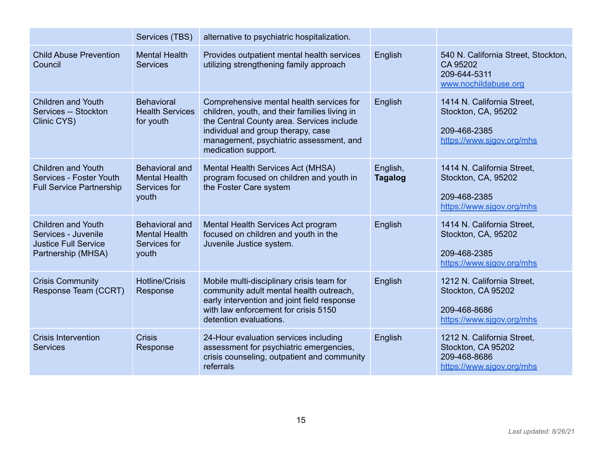|                                                                                                       | Services (TBS)                                                         | alternative to psychiatric hospitalization.                                                                                                                                                                                                    |                            |                                                                                                |
|-------------------------------------------------------------------------------------------------------|------------------------------------------------------------------------|------------------------------------------------------------------------------------------------------------------------------------------------------------------------------------------------------------------------------------------------|----------------------------|------------------------------------------------------------------------------------------------|
| <b>Child Abuse Prevention</b><br>Council                                                              | <b>Mental Health</b><br><b>Services</b>                                | Provides outpatient mental health services<br>utilizing strengthening family approach                                                                                                                                                          | English                    | 540 N. California Street, Stockton,<br>CA 95202<br>209-644-5311<br>www.nochildabuse.org        |
| <b>Children and Youth</b><br>Services -- Stockton<br>Clinic CYS)                                      | <b>Behavioral</b><br><b>Health Services</b><br>for youth               | Comprehensive mental health services for<br>children, youth, and their families living in<br>the Central County area. Services include<br>individual and group therapy, case<br>management, psychiatric assessment, and<br>medication support. | English                    | 1414 N. California Street,<br>Stockton, CA, 95202<br>209-468-2385<br>https://www.sjgov.org/mhs |
| <b>Children and Youth</b><br>Services - Foster Youth<br><b>Full Service Partnership</b>               | <b>Behavioral and</b><br><b>Mental Health</b><br>Services for<br>youth | Mental Health Services Act (MHSA)<br>program focused on children and youth in<br>the Foster Care system                                                                                                                                        | English,<br><b>Tagalog</b> | 1414 N. California Street.<br>Stockton, CA, 95202<br>209-468-2385<br>https://www.sjgov.org/mhs |
| <b>Children and Youth</b><br>Services - Juvenile<br><b>Justice Full Service</b><br>Partnership (MHSA) | <b>Behavioral and</b><br><b>Mental Health</b><br>Services for<br>youth | Mental Health Services Act program<br>focused on children and youth in the<br>Juvenile Justice system.                                                                                                                                         | English                    | 1414 N. California Street,<br>Stockton, CA, 95202<br>209-468-2385<br>https://www.sjgov.org/mhs |
| <b>Crisis Community</b><br>Response Team (CCRT)                                                       | <b>Hotline/Crisis</b><br>Response                                      | Mobile multi-disciplinary crisis team for<br>community adult mental health outreach,<br>early intervention and joint field response<br>with law enforcement for crisis 5150<br>detention evaluations.                                          | English                    | 1212 N. California Street.<br>Stockton, CA 95202<br>209-468-8686<br>https://www.sjgov.org/mhs  |
| <b>Crisis Intervention</b><br><b>Services</b>                                                         | <b>Crisis</b><br>Response                                              | 24-Hour evaluation services including<br>assessment for psychiatric emergencies,<br>crisis counseling, outpatient and community<br>referrals                                                                                                   | English                    | 1212 N. California Street,<br>Stockton, CA 95202<br>209-468-8686<br>https://www.sigov.org/mhs  |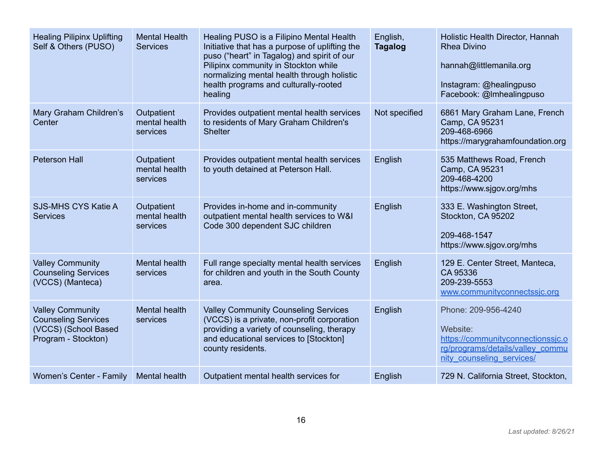| <b>Healing Pilipinx Uplifting</b><br>Self & Others (PUSO)                                            | <b>Mental Health</b><br><b>Services</b> | Healing PUSO is a Filipino Mental Health<br>Initiative that has a purpose of uplifting the<br>puso ("heart" in Tagalog) and spirit of our<br>Pilipinx community in Stockton while<br>normalizing mental health through holistic<br>health programs and culturally-rooted<br>healing | English,<br><b>Tagalog</b> | Holistic Health Director, Hannah<br><b>Rhea Divino</b><br>hannah@littlemanila.org<br>Instagram: @healingpuso<br>Facebook: @Imhealingpuso |
|------------------------------------------------------------------------------------------------------|-----------------------------------------|-------------------------------------------------------------------------------------------------------------------------------------------------------------------------------------------------------------------------------------------------------------------------------------|----------------------------|------------------------------------------------------------------------------------------------------------------------------------------|
| Mary Graham Children's<br>Center                                                                     | Outpatient<br>mental health<br>services | Provides outpatient mental health services<br>to residents of Mary Graham Children's<br><b>Shelter</b>                                                                                                                                                                              | Not specified              | 6861 Mary Graham Lane, French<br>Camp, CA 95231<br>209-468-6966<br>https://marygrahamfoundation.org                                      |
| <b>Peterson Hall</b>                                                                                 | Outpatient<br>mental health<br>services | Provides outpatient mental health services<br>to youth detained at Peterson Hall.                                                                                                                                                                                                   | English                    | 535 Matthews Road, French<br>Camp, CA 95231<br>209-468-4200<br>https://www.sjgov.org/mhs                                                 |
| <b>SJS-MHS CYS Katie A</b><br><b>Services</b>                                                        | Outpatient<br>mental health<br>services | Provides in-home and in-community<br>outpatient mental health services to W&I<br>Code 300 dependent SJC children                                                                                                                                                                    | English                    | 333 E. Washington Street,<br>Stockton, CA 95202<br>209-468-1547<br>https://www.sjgov.org/mhs                                             |
| <b>Valley Community</b><br><b>Counseling Services</b><br>(VCCS) (Manteca)                            | Mental health<br>services               | Full range specialty mental health services<br>for children and youth in the South County<br>area.                                                                                                                                                                                  | English                    | 129 E. Center Street, Manteca,<br>CA 95336<br>209-239-5553<br>www.communityconnectssjc.org                                               |
| <b>Valley Community</b><br><b>Counseling Services</b><br>(VCCS) (School Based<br>Program - Stockton) | Mental health<br>services               | <b>Valley Community Counseling Services</b><br>(VCCS) is a private, non-profit corporation<br>providing a variety of counseling, therapy<br>and educational services to [Stockton]<br>county residents.                                                                             | English                    | Phone: 209-956-4240<br>Website:<br>https://communityconnectionssjc.o<br>rg/programs/details/valley_commu<br>nity counseling services/    |
| Women's Center - Family                                                                              | Mental health                           | Outpatient mental health services for                                                                                                                                                                                                                                               | English                    | 729 N. California Street, Stockton,                                                                                                      |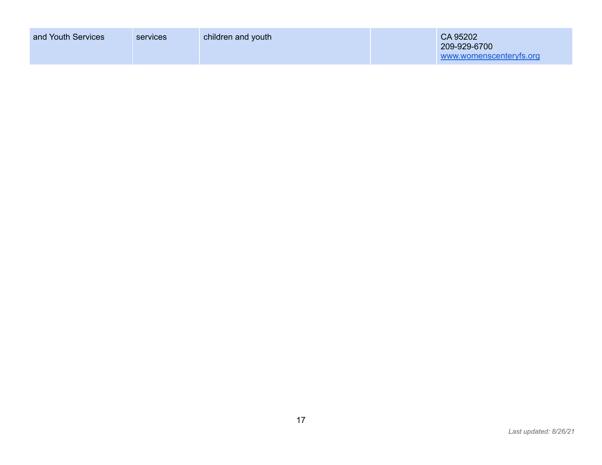| and Youth Services | services | children and youth | CA 95202<br>209-929-6700<br>www.womenscenteryfs.org |
|--------------------|----------|--------------------|-----------------------------------------------------|
|                    |          |                    |                                                     |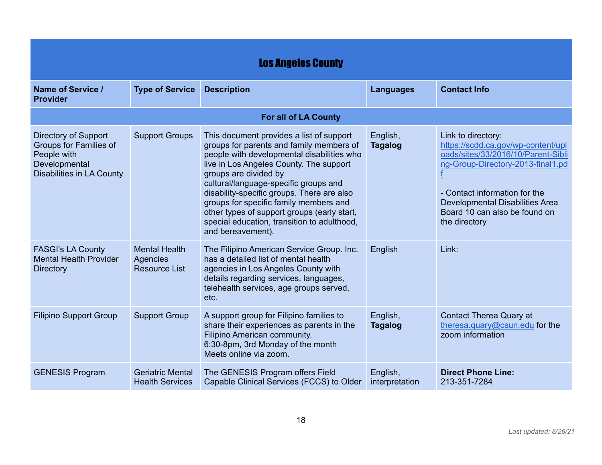<span id="page-17-0"></span>

| <b>Los Angeles County</b>                                                                                                 |                                                                 |                                                                                                                                                                                                                                                                                                                                                                                                                                                            |                            |                                                                                                                                                                                                                                                                  |
|---------------------------------------------------------------------------------------------------------------------------|-----------------------------------------------------------------|------------------------------------------------------------------------------------------------------------------------------------------------------------------------------------------------------------------------------------------------------------------------------------------------------------------------------------------------------------------------------------------------------------------------------------------------------------|----------------------------|------------------------------------------------------------------------------------------------------------------------------------------------------------------------------------------------------------------------------------------------------------------|
| Name of Service /<br><b>Provider</b>                                                                                      | <b>Type of Service</b>                                          | <b>Description</b>                                                                                                                                                                                                                                                                                                                                                                                                                                         | <b>Languages</b>           | <b>Contact Info</b>                                                                                                                                                                                                                                              |
|                                                                                                                           |                                                                 | <b>For all of LA County</b>                                                                                                                                                                                                                                                                                                                                                                                                                                |                            |                                                                                                                                                                                                                                                                  |
| <b>Directory of Support</b><br>Groups for Families of<br>People with<br>Developmental<br><b>Disabilities in LA County</b> | <b>Support Groups</b>                                           | This document provides a list of support<br>groups for parents and family members of<br>people with developmental disabilities who<br>live in Los Angeles County. The support<br>groups are divided by<br>cultural/language-specific groups and<br>disability-specific groups. There are also<br>groups for specific family members and<br>other types of support groups (early start,<br>special education, transition to adulthood,<br>and bereavement). | English,<br><b>Tagalog</b> | Link to directory:<br>https://scdd.ca.gov/wp-content/upl<br>oads/sites/33/2016/10/Parent-Sibli<br>ng-Group-Directory-2013-final1.pd<br>- Contact information for the<br><b>Developmental Disabilities Area</b><br>Board 10 can also be found on<br>the directory |
| <b>FASGI's LA County</b><br><b>Mental Health Provider</b><br><b>Directory</b>                                             | <b>Mental Health</b><br><b>Agencies</b><br><b>Resource List</b> | The Filipino American Service Group. Inc.<br>has a detailed list of mental health<br>agencies in Los Angeles County with<br>details regarding services, languages,<br>telehealth services, age groups served,<br>etc.                                                                                                                                                                                                                                      | English                    | Link:                                                                                                                                                                                                                                                            |
| <b>Filipino Support Group</b>                                                                                             | <b>Support Group</b>                                            | A support group for Filipino families to<br>share their experiences as parents in the<br>Filipino American community.<br>6:30-8pm, 3rd Monday of the month<br>Meets online via zoom.                                                                                                                                                                                                                                                                       | English,<br><b>Tagalog</b> | <b>Contact Therea Quary at</b><br>theresa.quary@csun.edu for the<br>zoom information                                                                                                                                                                             |
| <b>GENESIS Program</b>                                                                                                    | <b>Geriatric Mental</b><br><b>Health Services</b>               | The GENESIS Program offers Field<br>Capable Clinical Services (FCCS) to Older                                                                                                                                                                                                                                                                                                                                                                              | English,<br>interpretation | <b>Direct Phone Line:</b><br>213-351-7284                                                                                                                                                                                                                        |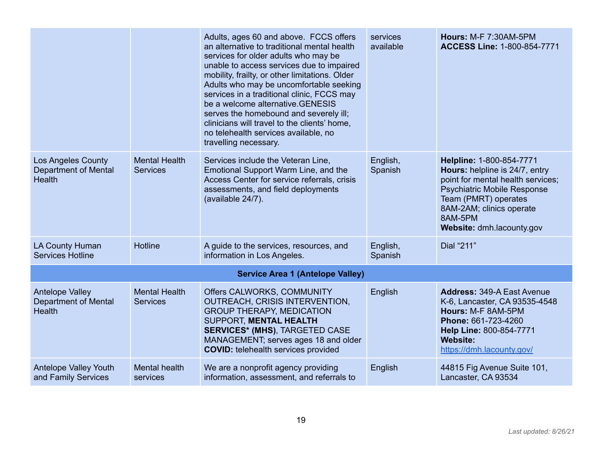|                                                                        |                                         | Adults, ages 60 and above. FCCS offers<br>an alternative to traditional mental health<br>services for older adults who may be<br>unable to access services due to impaired<br>mobility, frailty, or other limitations. Older<br>Adults who may be uncomfortable seeking<br>services in a traditional clinic, FCCS may<br>be a welcome alternative. GENESIS<br>serves the homebound and severely ill;<br>clinicians will travel to the clients' home,<br>no telehealth services available, no<br>travelling necessary. | services<br>available | <b>Hours: M-F 7:30AM-5PM</b><br><b>ACCESS Line: 1-800-854-7771</b>                                                                                                                                                                |
|------------------------------------------------------------------------|-----------------------------------------|-----------------------------------------------------------------------------------------------------------------------------------------------------------------------------------------------------------------------------------------------------------------------------------------------------------------------------------------------------------------------------------------------------------------------------------------------------------------------------------------------------------------------|-----------------------|-----------------------------------------------------------------------------------------------------------------------------------------------------------------------------------------------------------------------------------|
| <b>Los Angeles County</b><br><b>Department of Mental</b><br>Health     | <b>Mental Health</b><br><b>Services</b> | Services include the Veteran Line,<br>Emotional Support Warm Line, and the<br>Access Center for service referrals, crisis<br>assessments, and field deployments<br>(available 24/7).                                                                                                                                                                                                                                                                                                                                  | English,<br>Spanish   | Helpline: 1-800-854-7771<br>Hours: helpline is 24/7, entry<br>point for mental health services;<br><b>Psychiatric Mobile Response</b><br>Team (PMRT) operates<br>8AM-2AM; clinics operate<br>8AM-5PM<br>Website: dmh.lacounty.gov |
| LA County Human<br><b>Services Hotline</b>                             | <b>Hotline</b>                          | A guide to the services, resources, and<br>information in Los Angeles.                                                                                                                                                                                                                                                                                                                                                                                                                                                | English,<br>Spanish   | Dial "211"                                                                                                                                                                                                                        |
|                                                                        |                                         | <b>Service Area 1 (Antelope Valley)</b>                                                                                                                                                                                                                                                                                                                                                                                                                                                                               |                       |                                                                                                                                                                                                                                   |
| <b>Antelope Valley</b><br><b>Department of Mental</b><br><b>Health</b> | <b>Mental Health</b><br><b>Services</b> | Offers CALWORKS, COMMUNITY<br>OUTREACH, CRISIS INTERVENTION,<br><b>GROUP THERAPY, MEDICATION</b><br><b>SUPPORT, MENTAL HEALTH</b><br><b>SERVICES* (MHS), TARGETED CASE</b><br>MANAGEMENT; serves ages 18 and older<br><b>COVID:</b> telehealth services provided                                                                                                                                                                                                                                                      | English               | <b>Address: 349-A East Avenue</b><br>K-6, Lancaster, CA 93535-4548<br>Hours: M-F 8AM-5PM<br>Phone: 661-723-4260<br>Help Line: 800-854-7771<br><b>Website:</b><br>https://dmh.lacounty.gov/                                        |
| Antelope Valley Youth<br>and Family Services                           | Mental health<br>services               | We are a nonprofit agency providing<br>information, assessment, and referrals to                                                                                                                                                                                                                                                                                                                                                                                                                                      | English               | 44815 Fig Avenue Suite 101,<br>Lancaster, CA 93534                                                                                                                                                                                |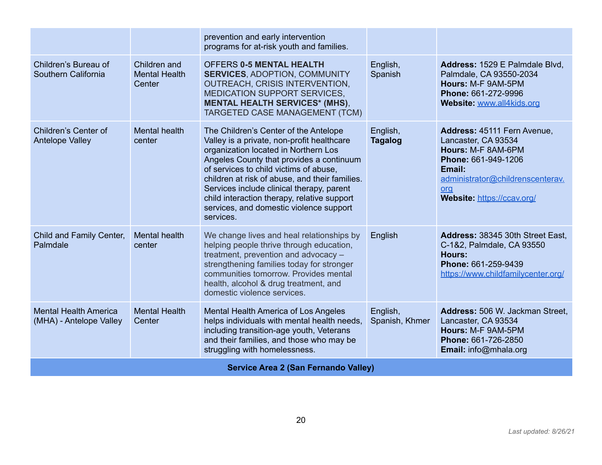|                                                         |                                                | prevention and early intervention<br>programs for at-risk youth and families.                                                                                                                                                                                                                                                                                                                                           |                            |                                                                                                                                                                                    |
|---------------------------------------------------------|------------------------------------------------|-------------------------------------------------------------------------------------------------------------------------------------------------------------------------------------------------------------------------------------------------------------------------------------------------------------------------------------------------------------------------------------------------------------------------|----------------------------|------------------------------------------------------------------------------------------------------------------------------------------------------------------------------------|
| Children's Bureau of<br>Southern California             | Children and<br><b>Mental Health</b><br>Center | <b>OFFERS 0-5 MENTAL HEALTH</b><br><b>SERVICES, ADOPTION, COMMUNITY</b><br>OUTREACH, CRISIS INTERVENTION,<br>MEDICATION SUPPORT SERVICES,<br><b>MENTAL HEALTH SERVICES* (MHS),</b><br>TARGETED CASE MANAGEMENT (TCM)                                                                                                                                                                                                    | English,<br>Spanish        | Address: 1529 E Palmdale Blvd.<br>Palmdale, CA 93550-2034<br>Hours: M-F 9AM-5PM<br>Phone: 661-272-9996<br>Website: www.all4kids.org                                                |
| Children's Center of<br><b>Antelope Valley</b>          | Mental health<br>center                        | The Children's Center of the Antelope<br>Valley is a private, non-profit healthcare<br>organization located in Northern Los<br>Angeles County that provides a continuum<br>of services to child victims of abuse,<br>children at risk of abuse, and their families.<br>Services include clinical therapy, parent<br>child interaction therapy, relative support<br>services, and domestic violence support<br>services. | English,<br><b>Tagalog</b> | Address: 45111 Fern Avenue,<br>Lancaster, CA 93534<br>Hours: M-F 8AM-6PM<br>Phone: 661-949-1206<br>Email:<br>administrator@childrenscenterav.<br>org<br>Website: https://ccav.org/ |
| Child and Family Center,<br>Palmdale                    | Mental health<br>center                        | We change lives and heal relationships by<br>helping people thrive through education,<br>treatment, prevention and advocacy -<br>strengthening families today for stronger<br>communities tomorrow. Provides mental<br>health, alcohol & drug treatment, and<br>domestic violence services.                                                                                                                             | English                    | Address: 38345 30th Street East,<br>C-1&2, Palmdale, CA 93550<br><b>Hours:</b><br>Phone: 661-259-9439<br>https://www.childfamilycenter.org/                                        |
| <b>Mental Health America</b><br>(MHA) - Antelope Valley | <b>Mental Health</b><br>Center                 | Mental Health America of Los Angeles<br>helps individuals with mental health needs,<br>including transition-age youth, Veterans<br>and their families, and those who may be<br>struggling with homelessness.                                                                                                                                                                                                            | English,<br>Spanish, Khmer | Address: 506 W. Jackman Street,<br>Lancaster, CA 93534<br>Hours: M-F 9AM-5PM<br>Phone: 661-726-2850<br>Email: info@mhala.org                                                       |
|                                                         |                                                | Service Area 2 (San Fernando Valley)                                                                                                                                                                                                                                                                                                                                                                                    |                            |                                                                                                                                                                                    |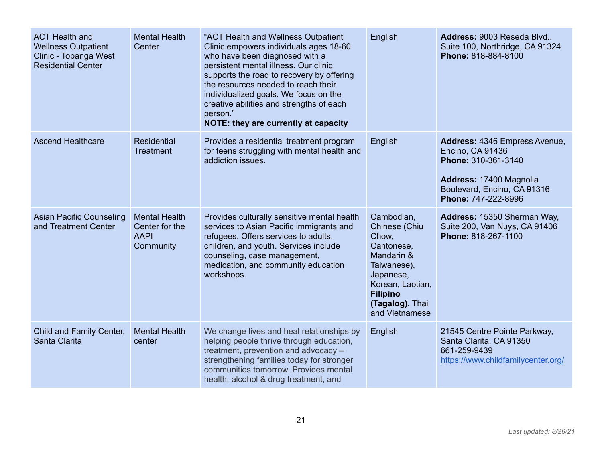| <b>ACT Health and</b><br><b>Wellness Outpatient</b><br>Clinic - Topanga West<br><b>Residential Center</b> | <b>Mental Health</b><br>Center                                     | "ACT Health and Wellness Outpatient<br>Clinic empowers individuals ages 18-60<br>who have been diagnosed with a<br>persistent mental illness. Our clinic<br>supports the road to recovery by offering<br>the resources needed to reach their<br>individualized goals. We focus on the<br>creative abilities and strengths of each<br>person."<br>NOTE: they are currently at capacity | English                                                                                                                                                                  | Address: 9003 Reseda Blvd<br>Suite 100, Northridge, CA 91324<br>Phone: 818-884-8100                                                                       |
|-----------------------------------------------------------------------------------------------------------|--------------------------------------------------------------------|---------------------------------------------------------------------------------------------------------------------------------------------------------------------------------------------------------------------------------------------------------------------------------------------------------------------------------------------------------------------------------------|--------------------------------------------------------------------------------------------------------------------------------------------------------------------------|-----------------------------------------------------------------------------------------------------------------------------------------------------------|
| <b>Ascend Healthcare</b>                                                                                  | <b>Residential</b><br><b>Treatment</b>                             | Provides a residential treatment program<br>for teens struggling with mental health and<br>addiction issues.                                                                                                                                                                                                                                                                          | English                                                                                                                                                                  | Address: 4346 Empress Avenue,<br>Encino, CA 91436<br>Phone: 310-361-3140<br>Address: 17400 Magnolia<br>Boulevard, Encino, CA 91316<br>Phone: 747-222-8996 |
| <b>Asian Pacific Counseling</b><br>and Treatment Center                                                   | <b>Mental Health</b><br>Center for the<br><b>AAPI</b><br>Community | Provides culturally sensitive mental health<br>services to Asian Pacific immigrants and<br>refugees. Offers services to adults,<br>children, and youth. Services include<br>counseling, case management,<br>medication, and community education<br>workshops.                                                                                                                         | Cambodian,<br>Chinese (Chiu<br>Chow,<br>Cantonese,<br>Mandarin &<br>Taiwanese),<br>Japanese,<br>Korean, Laotian,<br><b>Filipino</b><br>(Tagalog), Thai<br>and Vietnamese | Address: 15350 Sherman Way,<br>Suite 200, Van Nuys, CA 91406<br>Phone: 818-267-1100                                                                       |
| Child and Family Center,<br>Santa Clarita                                                                 | <b>Mental Health</b><br>center                                     | We change lives and heal relationships by<br>helping people thrive through education,<br>treatment, prevention and advocacy -<br>strengthening families today for stronger<br>communities tomorrow. Provides mental<br>health, alcohol & drug treatment, and                                                                                                                          | English                                                                                                                                                                  | 21545 Centre Pointe Parkway,<br>Santa Clarita, CA 91350<br>661-259-9439<br>https://www.childfamilycenter.org/                                             |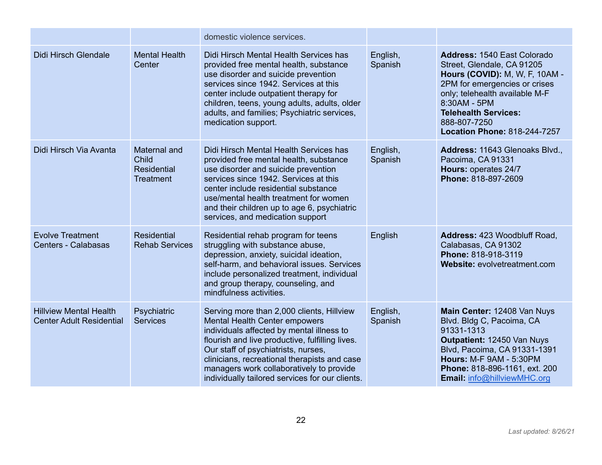|                                                                  |                                                          | domestic violence services.                                                                                                                                                                                                                                                                                                                                             |                     |                                                                                                                                                                                                                                                                      |
|------------------------------------------------------------------|----------------------------------------------------------|-------------------------------------------------------------------------------------------------------------------------------------------------------------------------------------------------------------------------------------------------------------------------------------------------------------------------------------------------------------------------|---------------------|----------------------------------------------------------------------------------------------------------------------------------------------------------------------------------------------------------------------------------------------------------------------|
| Didi Hirsch Glendale                                             | <b>Mental Health</b><br>Center                           | Didi Hirsch Mental Health Services has<br>provided free mental health, substance<br>use disorder and suicide prevention<br>services since 1942. Services at this<br>center include outpatient therapy for<br>children, teens, young adults, adults, older<br>adults, and families; Psychiatric services,<br>medication support.                                         | English,<br>Spanish | <b>Address: 1540 East Colorado</b><br>Street, Glendale, CA 91205<br>Hours (COVID): M, W, F, 10AM -<br>2PM for emergencies or crises<br>only; telehealth available M-F<br>8:30AM - 5PM<br><b>Telehealth Services:</b><br>888-807-7250<br>Location Phone: 818-244-7257 |
| Didi Hirsch Via Avanta                                           | Maternal and<br>Child<br>Residential<br><b>Treatment</b> | Didi Hirsch Mental Health Services has<br>provided free mental health, substance<br>use disorder and suicide prevention<br>services since 1942. Services at this<br>center include residential substance<br>use/mental health treatment for women<br>and their children up to age 6, psychiatric<br>services, and medication support                                    | English,<br>Spanish | Address: 11643 Glenoaks Blvd.,<br>Pacoima, CA 91331<br>Hours: operates 24/7<br>Phone: 818-897-2609                                                                                                                                                                   |
| <b>Evolve Treatment</b><br>Centers - Calabasas                   | <b>Residential</b><br><b>Rehab Services</b>              | Residential rehab program for teens<br>struggling with substance abuse,<br>depression, anxiety, suicidal ideation,<br>self-harm, and behavioral issues. Services<br>include personalized treatment, individual<br>and group therapy, counseling, and<br>mindfulness activities.                                                                                         | English             | Address: 423 Woodbluff Road,<br>Calabasas, CA 91302<br>Phone: 818-918-3119<br>Website: evolvetreatment.com                                                                                                                                                           |
| <b>Hillview Mental Health</b><br><b>Center Adult Residential</b> | Psychiatric<br><b>Services</b>                           | Serving more than 2,000 clients, Hillview<br><b>Mental Health Center empowers</b><br>individuals affected by mental illness to<br>flourish and live productive, fulfilling lives.<br>Our staff of psychiatrists, nurses,<br>clinicians, recreational therapists and case<br>managers work collaboratively to provide<br>individually tailored services for our clients. | English,<br>Spanish | Main Center: 12408 Van Nuys<br>Blvd. Bldg C, Pacoima, CA<br>91331-1313<br>Outpatient: 12450 Van Nuys<br>Blvd, Pacoima, CA 91331-1391<br><b>Hours: M-F 9AM - 5:30PM</b><br>Phone: 818-896-1161, ext. 200<br><b>Email: info@hillviewMHC.org</b>                        |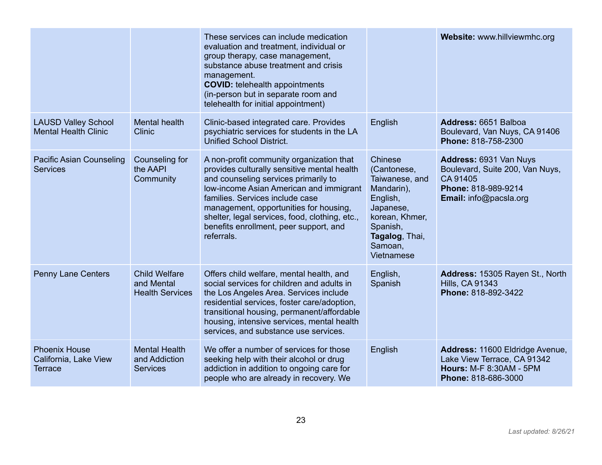|                                                                 |                                                              | These services can include medication<br>evaluation and treatment, individual or<br>group therapy, case management,<br>substance abuse treatment and crisis<br>management.<br><b>COVID:</b> telehealth appointments<br>(in-person but in separate room and<br>telehealth for initial appointment)                                                                 |                                                                                                                                                          | Website: www.hillviewmhc.org                                                                                            |
|-----------------------------------------------------------------|--------------------------------------------------------------|-------------------------------------------------------------------------------------------------------------------------------------------------------------------------------------------------------------------------------------------------------------------------------------------------------------------------------------------------------------------|----------------------------------------------------------------------------------------------------------------------------------------------------------|-------------------------------------------------------------------------------------------------------------------------|
| <b>LAUSD Valley School</b><br><b>Mental Health Clinic</b>       | <b>Mental health</b><br><b>Clinic</b>                        | Clinic-based integrated care. Provides<br>psychiatric services for students in the LA<br><b>Unified School District.</b>                                                                                                                                                                                                                                          | English                                                                                                                                                  | Address: 6651 Balboa<br>Boulevard, Van Nuys, CA 91406<br>Phone: 818-758-2300                                            |
| <b>Pacific Asian Counseling</b><br><b>Services</b>              | Counseling for<br>the AAPI<br>Community                      | A non-profit community organization that<br>provides culturally sensitive mental health<br>and counseling services primarily to<br>Iow-income Asian American and immigrant<br>families. Services include case<br>management, opportunities for housing,<br>shelter, legal services, food, clothing, etc.,<br>benefits enrollment, peer support, and<br>referrals. | Chinese<br>(Cantonese,<br>Taiwanese, and<br>Mandarin),<br>English,<br>Japanese,<br>korean, Khmer,<br>Spanish,<br>Tagalog, Thai,<br>Samoan,<br>Vietnamese | Address: 6931 Van Nuys<br>Boulevard, Suite 200, Van Nuys,<br>CA 91405<br>Phone: 818-989-9214<br>Email: info@pacsla.org  |
| <b>Penny Lane Centers</b>                                       | <b>Child Welfare</b><br>and Mental<br><b>Health Services</b> | Offers child welfare, mental health, and<br>social services for children and adults in<br>the Los Angeles Area. Services include<br>residential services, foster care/adoption,<br>transitional housing, permanent/affordable<br>housing, intensive services, mental health<br>services, and substance use services.                                              | English,<br>Spanish                                                                                                                                      | Address: 15305 Rayen St., North<br><b>Hills, CA 91343</b><br>Phone: 818-892-3422                                        |
| <b>Phoenix House</b><br>California, Lake View<br><b>Terrace</b> | <b>Mental Health</b><br>and Addiction<br><b>Services</b>     | We offer a number of services for those<br>seeking help with their alcohol or drug<br>addiction in addition to ongoing care for<br>people who are already in recovery. We                                                                                                                                                                                         | English                                                                                                                                                  | Address: 11600 Eldridge Avenue,<br>Lake View Terrace, CA 91342<br><b>Hours: M-F 8:30AM - 5PM</b><br>Phone: 818-686-3000 |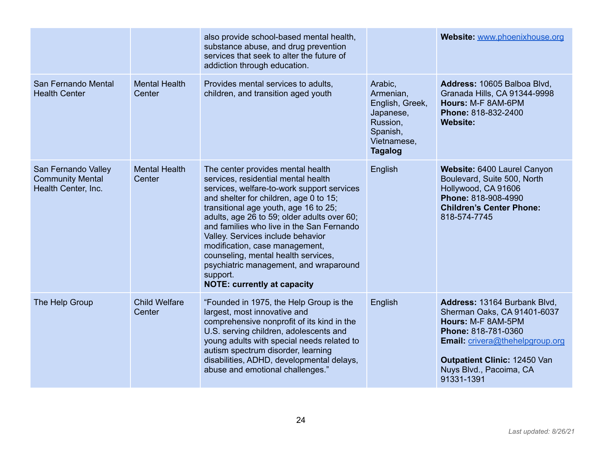|                                                                       |                                | also provide school-based mental health,<br>substance abuse, and drug prevention<br>services that seek to alter the future of<br>addiction through education.                                                                                                                                                                                                                                                                                                                                                   |                                                                                                               | Website: www.phoenixhouse.org                                                                                                                                                                                               |
|-----------------------------------------------------------------------|--------------------------------|-----------------------------------------------------------------------------------------------------------------------------------------------------------------------------------------------------------------------------------------------------------------------------------------------------------------------------------------------------------------------------------------------------------------------------------------------------------------------------------------------------------------|---------------------------------------------------------------------------------------------------------------|-----------------------------------------------------------------------------------------------------------------------------------------------------------------------------------------------------------------------------|
| San Fernando Mental<br><b>Health Center</b>                           | <b>Mental Health</b><br>Center | Provides mental services to adults,<br>children, and transition aged youth                                                                                                                                                                                                                                                                                                                                                                                                                                      | Arabic,<br>Armenian,<br>English, Greek,<br>Japanese,<br>Russion,<br>Spanish,<br>Vietnamese,<br><b>Tagalog</b> | Address: 10605 Balboa Blvd,<br>Granada Hills, CA 91344-9998<br>Hours: M-F 8AM-6PM<br>Phone: 818-832-2400<br><b>Website:</b>                                                                                                 |
| San Fernando Valley<br><b>Community Mental</b><br>Health Center, Inc. | <b>Mental Health</b><br>Center | The center provides mental health<br>services, residential mental health<br>services, welfare-to-work support services<br>and shelter for children, age 0 to 15;<br>transitional age youth, age 16 to 25;<br>adults, age 26 to 59; older adults over 60;<br>and families who live in the San Fernando<br>Valley. Services include behavior<br>modification, case management,<br>counseling, mental health services,<br>psychiatric management, and wraparound<br>support.<br><b>NOTE: currently at capacity</b> | English                                                                                                       | Website: 6400 Laurel Canyon<br>Boulevard, Suite 500, North<br>Hollywood, CA 91606<br>Phone: 818-908-4990<br><b>Children's Center Phone:</b><br>818-574-7745                                                                 |
| The Help Group                                                        | <b>Child Welfare</b><br>Center | "Founded in 1975, the Help Group is the<br>largest, most innovative and<br>comprehensive nonprofit of its kind in the<br>U.S. serving children, adolescents and<br>young adults with special needs related to<br>autism spectrum disorder, learning<br>disabilities, ADHD, developmental delays,<br>abuse and emotional challenges."                                                                                                                                                                            | English                                                                                                       | Address: 13164 Burbank Blvd,<br>Sherman Oaks, CA 91401-6037<br>Hours: M-F 8AM-5PM<br>Phone: 818-781-0360<br><b>Email:</b> crivera@thehelpgroup.org<br>Outpatient Clinic: 12450 Van<br>Nuys Blvd., Pacoima, CA<br>91331-1391 |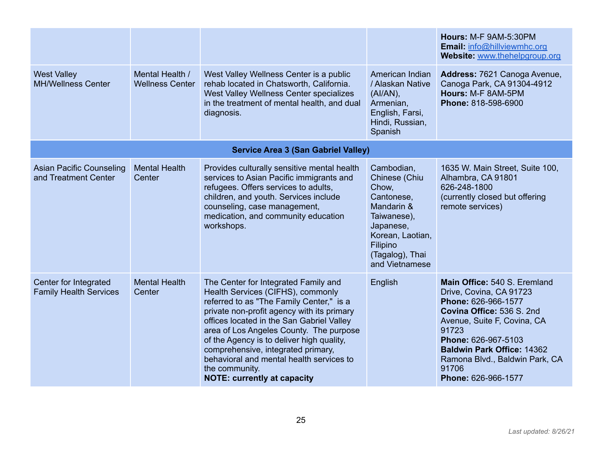|                                                         |                                           |                                                                                                                                                                                                                                                                                                                                                                                                                                                    |                                                                                                                                                                   | Hours: M-F 9AM-5:30PM<br><b>Email: info@hillviewmhc.org</b><br>Website: www.thehelpgroup.org                                                                                                                                                                                      |
|---------------------------------------------------------|-------------------------------------------|----------------------------------------------------------------------------------------------------------------------------------------------------------------------------------------------------------------------------------------------------------------------------------------------------------------------------------------------------------------------------------------------------------------------------------------------------|-------------------------------------------------------------------------------------------------------------------------------------------------------------------|-----------------------------------------------------------------------------------------------------------------------------------------------------------------------------------------------------------------------------------------------------------------------------------|
| <b>West Valley</b><br><b>MH/Wellness Center</b>         | Mental Health /<br><b>Wellness Center</b> | West Valley Wellness Center is a public<br>rehab located in Chatsworth, California.<br>West Valley Wellness Center specializes<br>in the treatment of mental health, and dual<br>diagnosis.                                                                                                                                                                                                                                                        | American Indian<br>/ Alaskan Native<br>$(AI/AN)$ ,<br>Armenian,<br>English, Farsi,<br>Hindi, Russian,<br>Spanish                                                  | Address: 7621 Canoga Avenue,<br>Canoga Park, CA 91304-4912<br>Hours: M-F 8AM-5PM<br>Phone: 818-598-6900                                                                                                                                                                           |
|                                                         |                                           | <b>Service Area 3 (San Gabriel Valley)</b>                                                                                                                                                                                                                                                                                                                                                                                                         |                                                                                                                                                                   |                                                                                                                                                                                                                                                                                   |
| <b>Asian Pacific Counseling</b><br>and Treatment Center | <b>Mental Health</b><br>Center            | Provides culturally sensitive mental health<br>services to Asian Pacific immigrants and<br>refugees. Offers services to adults,<br>children, and youth. Services include<br>counseling, case management,<br>medication, and community education<br>workshops.                                                                                                                                                                                      | Cambodian,<br>Chinese (Chiu<br>Chow,<br>Cantonese,<br>Mandarin &<br>Taiwanese),<br>Japanese,<br>Korean, Laotian,<br>Filipino<br>(Tagalog), Thai<br>and Vietnamese | 1635 W. Main Street, Suite 100,<br>Alhambra, CA 91801<br>626-248-1800<br>(currently closed but offering<br>remote services)                                                                                                                                                       |
| Center for Integrated<br><b>Family Health Services</b>  | <b>Mental Health</b><br>Center            | The Center for Integrated Family and<br>Health Services (CIFHS), commonly<br>referred to as "The Family Center," is a<br>private non-profit agency with its primary<br>offices located in the San Gabriel Valley<br>area of Los Angeles County. The purpose<br>of the Agency is to deliver high quality,<br>comprehensive, integrated primary,<br>behavioral and mental health services to<br>the community.<br><b>NOTE: currently at capacity</b> | English                                                                                                                                                           | Main Office: 540 S. Eremland<br>Drive, Covina, CA 91723<br>Phone: 626-966-1577<br>Covina Office: 536 S. 2nd<br>Avenue, Suite F, Covina, CA<br>91723<br>Phone: 626-967-5103<br><b>Baldwin Park Office: 14362</b><br>Ramona Blvd., Baldwin Park, CA<br>91706<br>Phone: 626-966-1577 |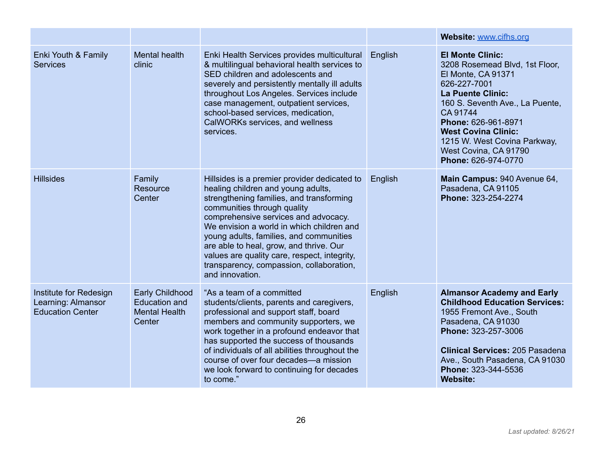|                                                                         |                                                                                  |                                                                                                                                                                                                                                                                                                                                                                                                                                                         |         | Website: www.cifhs.org                                                                                                                                                                                                                                                                                          |
|-------------------------------------------------------------------------|----------------------------------------------------------------------------------|---------------------------------------------------------------------------------------------------------------------------------------------------------------------------------------------------------------------------------------------------------------------------------------------------------------------------------------------------------------------------------------------------------------------------------------------------------|---------|-----------------------------------------------------------------------------------------------------------------------------------------------------------------------------------------------------------------------------------------------------------------------------------------------------------------|
| Enki Youth & Family<br><b>Services</b>                                  | <b>Mental health</b><br>clinic                                                   | Enki Health Services provides multicultural<br>& multilingual behavioral health services to<br>SED children and adolescents and<br>severely and persistently mentally ill adults<br>throughout Los Angeles. Services include<br>case management, outpatient services,<br>school-based services, medication,<br>CalWORKs services, and wellness<br>services.                                                                                             | English | <b>El Monte Clinic:</b><br>3208 Rosemead Blvd, 1st Floor,<br>El Monte, CA 91371<br>626-227-7001<br><b>La Puente Clinic:</b><br>160 S. Seventh Ave., La Puente,<br>CA 91744<br>Phone: 626-961-8971<br><b>West Covina Clinic:</b><br>1215 W. West Covina Parkway,<br>West Covina, CA 91790<br>Phone: 626-974-0770 |
| <b>Hillsides</b>                                                        | Family<br><b>Resource</b><br>Center                                              | Hillsides is a premier provider dedicated to<br>healing children and young adults,<br>strengthening families, and transforming<br>communities through quality<br>comprehensive services and advocacy.<br>We envision a world in which children and<br>young adults, families, and communities<br>are able to heal, grow, and thrive. Our<br>values are quality care, respect, integrity,<br>transparency, compassion, collaboration,<br>and innovation. | English | Main Campus: 940 Avenue 64,<br>Pasadena, CA 91105<br>Phone: 323-254-2274                                                                                                                                                                                                                                        |
| Institute for Redesign<br>Learning: Almansor<br><b>Education Center</b> | <b>Early Childhood</b><br><b>Education and</b><br><b>Mental Health</b><br>Center | "As a team of a committed<br>students/clients, parents and caregivers,<br>professional and support staff, board<br>members and community supporters, we<br>work together in a profound endeavor that<br>has supported the success of thousands<br>of individuals of all abilities throughout the<br>course of over four decades-a mission<br>we look forward to continuing for decades<br>to come."                                                     | English | <b>Almansor Academy and Early</b><br><b>Childhood Education Services:</b><br>1955 Fremont Ave., South<br>Pasadena, CA 91030<br>Phone: 323-257-3006<br><b>Clinical Services: 205 Pasadena</b><br>Ave., South Pasadena, CA 91030<br>Phone: 323-344-5536<br><b>Website:</b>                                        |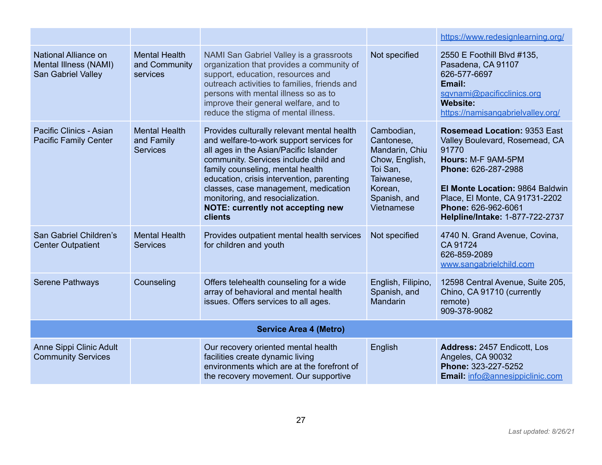|                                                                     |                                                       |                                                                                                                                                                                                                                                                                                                                                                                               |                                                                                                                                 | https://www.redesignlearning.org/                                                                                                                                                                                                                          |  |
|---------------------------------------------------------------------|-------------------------------------------------------|-----------------------------------------------------------------------------------------------------------------------------------------------------------------------------------------------------------------------------------------------------------------------------------------------------------------------------------------------------------------------------------------------|---------------------------------------------------------------------------------------------------------------------------------|------------------------------------------------------------------------------------------------------------------------------------------------------------------------------------------------------------------------------------------------------------|--|
| National Alliance on<br>Mental Illness (NAMI)<br>San Gabriel Valley | <b>Mental Health</b><br>and Community<br>services     | NAMI San Gabriel Valley is a grassroots<br>organization that provides a community of<br>support, education, resources and<br>outreach activities to families, friends and<br>persons with mental illness so as to<br>improve their general welfare, and to<br>reduce the stigma of mental illness.                                                                                            | Not specified                                                                                                                   | 2550 E Foothill Blvd #135,<br>Pasadena, CA 91107<br>626-577-6697<br>Email:<br>sgynami@pacificclinics.org<br><b>Website:</b><br>https://namisangabrielvalley.org/                                                                                           |  |
| Pacific Clinics - Asian<br><b>Pacific Family Center</b>             | <b>Mental Health</b><br>and Family<br><b>Services</b> | Provides culturally relevant mental health<br>and welfare-to-work support services for<br>all ages in the Asian/Pacific Islander<br>community. Services include child and<br>family counseling, mental health<br>education, crisis intervention, parenting<br>classes, case management, medication<br>monitoring, and resocialization.<br><b>NOTE: currently not accepting new</b><br>clients | Cambodian,<br>Cantonese.<br>Mandarin, Chiu<br>Chow, English,<br>Toi San,<br>Taiwanese,<br>Korean,<br>Spanish, and<br>Vietnamese | <b>Rosemead Location: 9353 East</b><br>Valley Boulevard, Rosemead, CA<br>91770<br>Hours: M-F 9AM-5PM<br>Phone: 626-287-2988<br>El Monte Location: 9864 Baldwin<br>Place, El Monte, CA 91731-2202<br>Phone: 626-962-6061<br>Helpline/Intake: 1-877-722-2737 |  |
| San Gabriel Children's<br><b>Center Outpatient</b>                  | <b>Mental Health</b><br><b>Services</b>               | Provides outpatient mental health services<br>for children and youth                                                                                                                                                                                                                                                                                                                          | Not specified                                                                                                                   | 4740 N. Grand Avenue, Covina,<br>CA 91724<br>626-859-2089<br>www.sangabrielchild.com                                                                                                                                                                       |  |
| <b>Serene Pathways</b>                                              | Counseling                                            | Offers telehealth counseling for a wide<br>array of behavioral and mental health<br>issues. Offers services to all ages.                                                                                                                                                                                                                                                                      | English, Filipino,<br>Spanish, and<br>Mandarin                                                                                  | 12598 Central Avenue, Suite 205,<br>Chino, CA 91710 (currently<br>remote)<br>909-378-9082                                                                                                                                                                  |  |
| <b>Service Area 4 (Metro)</b>                                       |                                                       |                                                                                                                                                                                                                                                                                                                                                                                               |                                                                                                                                 |                                                                                                                                                                                                                                                            |  |
| Anne Sippi Clinic Adult<br><b>Community Services</b>                |                                                       | Our recovery oriented mental health<br>facilities create dynamic living<br>environments which are at the forefront of<br>the recovery movement. Our supportive                                                                                                                                                                                                                                | English                                                                                                                         | Address: 2457 Endicott, Los<br>Angeles, CA 90032<br>Phone: 323-227-5252<br><b>Email:</b> info@annesippiclinic.com                                                                                                                                          |  |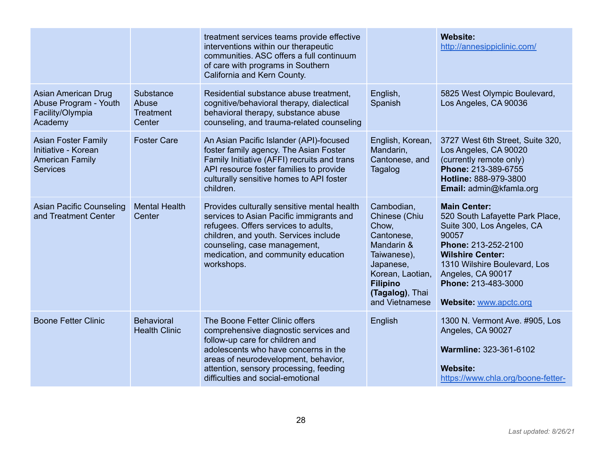|                                                                                                |                                                  | treatment services teams provide effective<br>interventions within our therapeutic<br>communities. ASC offers a full continuum<br>of care with programs in Southern<br>California and Kern County.                                                                        |                                                                                                                                                                          | <b>Website:</b><br>http://annesippiclinic.com/                                                                                                                                                                                                        |
|------------------------------------------------------------------------------------------------|--------------------------------------------------|---------------------------------------------------------------------------------------------------------------------------------------------------------------------------------------------------------------------------------------------------------------------------|--------------------------------------------------------------------------------------------------------------------------------------------------------------------------|-------------------------------------------------------------------------------------------------------------------------------------------------------------------------------------------------------------------------------------------------------|
| <b>Asian American Drug</b><br>Abuse Program - Youth<br>Facility/Olympia<br>Academy             | Substance<br>Abuse<br><b>Treatment</b><br>Center | Residential substance abuse treatment,<br>cognitive/behavioral therapy, dialectical<br>behavioral therapy, substance abuse<br>counseling, and trauma-related counseling                                                                                                   | English,<br>Spanish                                                                                                                                                      | 5825 West Olympic Boulevard,<br>Los Angeles, CA 90036                                                                                                                                                                                                 |
| <b>Asian Foster Family</b><br>Initiative - Korean<br><b>American Family</b><br><b>Services</b> | <b>Foster Care</b>                               | An Asian Pacific Islander (API)-focused<br>foster family agency. The Asian Foster<br>Family Initiative (AFFI) recruits and trans<br>API resource foster families to provide<br>culturally sensitive homes to API foster<br>children.                                      | English, Korean,<br>Mandarin,<br>Cantonese, and<br>Tagalog                                                                                                               | 3727 West 6th Street, Suite 320,<br>Los Angeles, CA 90020<br>(currently remote only)<br>Phone: 213-389-6755<br>Hotline: 888-979-3800<br>Email: admin@kfamla.org                                                                                       |
| <b>Asian Pacific Counseling</b><br>and Treatment Center                                        | <b>Mental Health</b><br>Center                   | Provides culturally sensitive mental health<br>services to Asian Pacific immigrants and<br>refugees. Offers services to adults,<br>children, and youth. Services include<br>counseling, case management,<br>medication, and community education<br>workshops.             | Cambodian,<br>Chinese (Chiu<br>Chow,<br>Cantonese,<br>Mandarin &<br>Taiwanese),<br>Japanese,<br>Korean, Laotian,<br><b>Filipino</b><br>(Tagalog), Thai<br>and Vietnamese | <b>Main Center:</b><br>520 South Lafayette Park Place,<br>Suite 300, Los Angeles, CA<br>90057<br>Phone: 213-252-2100<br><b>Wilshire Center:</b><br>1310 Wilshire Boulevard, Los<br>Angeles, CA 90017<br>Phone: 213-483-3000<br>Website: www.apctc.org |
| <b>Boone Fetter Clinic</b>                                                                     | <b>Behavioral</b><br><b>Health Clinic</b>        | The Boone Fetter Clinic offers<br>comprehensive diagnostic services and<br>follow-up care for children and<br>adolescents who have concerns in the<br>areas of neurodevelopment, behavior,<br>attention, sensory processing, feeding<br>difficulties and social-emotional | English                                                                                                                                                                  | 1300 N. Vermont Ave. #905, Los<br>Angeles, CA 90027<br>Warmline: 323-361-6102<br><b>Website:</b><br>https://www.chla.org/boone-fetter-                                                                                                                |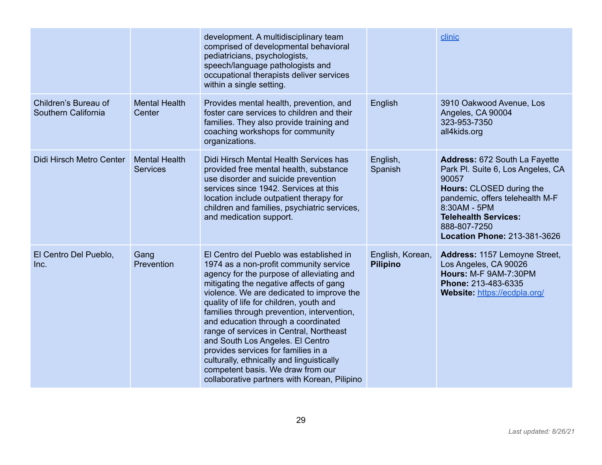|                                             |                                         | development. A multidisciplinary team<br>comprised of developmental behavioral<br>pediatricians, psychologists,<br>speech/language pathologists and<br>occupational therapists deliver services<br>within a single setting.                                                                                                                                                                                                                                                                                                                                                                                    |                                     | clinic                                                                                                                                                                                                                                           |
|---------------------------------------------|-----------------------------------------|----------------------------------------------------------------------------------------------------------------------------------------------------------------------------------------------------------------------------------------------------------------------------------------------------------------------------------------------------------------------------------------------------------------------------------------------------------------------------------------------------------------------------------------------------------------------------------------------------------------|-------------------------------------|--------------------------------------------------------------------------------------------------------------------------------------------------------------------------------------------------------------------------------------------------|
| Children's Bureau of<br>Southern California | <b>Mental Health</b><br>Center          | Provides mental health, prevention, and<br>foster care services to children and their<br>families. They also provide training and<br>coaching workshops for community<br>organizations.                                                                                                                                                                                                                                                                                                                                                                                                                        | English                             | 3910 Oakwood Avenue, Los<br>Angeles, CA 90004<br>323-953-7350<br>all4kids.org                                                                                                                                                                    |
| Didi Hirsch Metro Center                    | <b>Mental Health</b><br><b>Services</b> | Didi Hirsch Mental Health Services has<br>provided free mental health, substance<br>use disorder and suicide prevention<br>services since 1942. Services at this<br>location include outpatient therapy for<br>children and families, psychiatric services,<br>and medication support.                                                                                                                                                                                                                                                                                                                         | English,<br>Spanish                 | Address: 672 South La Fayette<br>Park Pl. Suite 6, Los Angeles, CA<br>90057<br>Hours: CLOSED during the<br>pandemic, offers telehealth M-F<br>8:30AM - 5PM<br><b>Telehealth Services:</b><br>888-807-7250<br><b>Location Phone: 213-381-3626</b> |
| El Centro Del Pueblo,<br>Inc.               | Gang<br>Prevention                      | El Centro del Pueblo was established in<br>1974 as a non-profit community service<br>agency for the purpose of alleviating and<br>mitigating the negative affects of gang<br>violence. We are dedicated to improve the<br>quality of life for children, youth and<br>families through prevention, intervention,<br>and education through a coordinated<br>range of services in Central, Northeast<br>and South Los Angeles. El Centro<br>provides services for families in a<br>culturally, ethnically and linguistically<br>competent basis. We draw from our<br>collaborative partners with Korean, Pilipino | English, Korean,<br><b>Pilipino</b> | Address: 1157 Lemoyne Street,<br>Los Angeles, CA 90026<br>Hours: M-F 9AM-7:30PM<br>Phone: 213-483-6335<br>Website: https://ecdpla.org/                                                                                                           |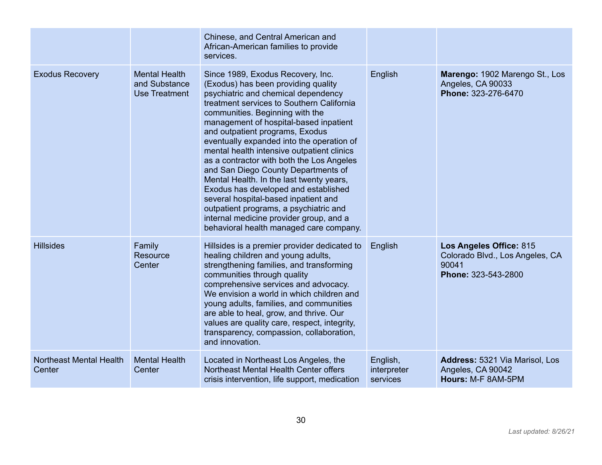|                                          |                                                               | Chinese, and Central American and<br>African-American families to provide<br>services.                                                                                                                                                                                                                                                                                                                                                                                                                                                                                                                                                                                                                                  |                                     |                                                                                            |
|------------------------------------------|---------------------------------------------------------------|-------------------------------------------------------------------------------------------------------------------------------------------------------------------------------------------------------------------------------------------------------------------------------------------------------------------------------------------------------------------------------------------------------------------------------------------------------------------------------------------------------------------------------------------------------------------------------------------------------------------------------------------------------------------------------------------------------------------------|-------------------------------------|--------------------------------------------------------------------------------------------|
| <b>Exodus Recovery</b>                   | <b>Mental Health</b><br>and Substance<br><b>Use Treatment</b> | Since 1989, Exodus Recovery, Inc.<br>(Exodus) has been providing quality<br>psychiatric and chemical dependency<br>treatment services to Southern California<br>communities. Beginning with the<br>management of hospital-based inpatient<br>and outpatient programs, Exodus<br>eventually expanded into the operation of<br>mental health intensive outpatient clinics<br>as a contractor with both the Los Angeles<br>and San Diego County Departments of<br>Mental Health. In the last twenty years,<br>Exodus has developed and established<br>several hospital-based inpatient and<br>outpatient programs, a psychiatric and<br>internal medicine provider group, and a<br>behavioral health managed care company. | English                             | Marengo: 1902 Marengo St., Los<br>Angeles, CA 90033<br>Phone: 323-276-6470                 |
| <b>Hillsides</b>                         | Family<br>Resource<br>Center                                  | Hillsides is a premier provider dedicated to<br>healing children and young adults,<br>strengthening families, and transforming<br>communities through quality<br>comprehensive services and advocacy.<br>We envision a world in which children and<br>young adults, families, and communities<br>are able to heal, grow, and thrive. Our<br>values are quality care, respect, integrity,<br>transparency, compassion, collaboration,<br>and innovation.                                                                                                                                                                                                                                                                 | English                             | Los Angeles Office: 815<br>Colorado Blvd., Los Angeles, CA<br>90041<br>Phone: 323-543-2800 |
| <b>Northeast Mental Health</b><br>Center | <b>Mental Health</b><br>Center                                | Located in Northeast Los Angeles, the<br>Northeast Mental Health Center offers<br>crisis intervention, life support, medication                                                                                                                                                                                                                                                                                                                                                                                                                                                                                                                                                                                         | English,<br>interpreter<br>services | <b>Address: 5321 Via Marisol, Los</b><br>Angeles, CA 90042<br>Hours: M-F 8AM-5PM           |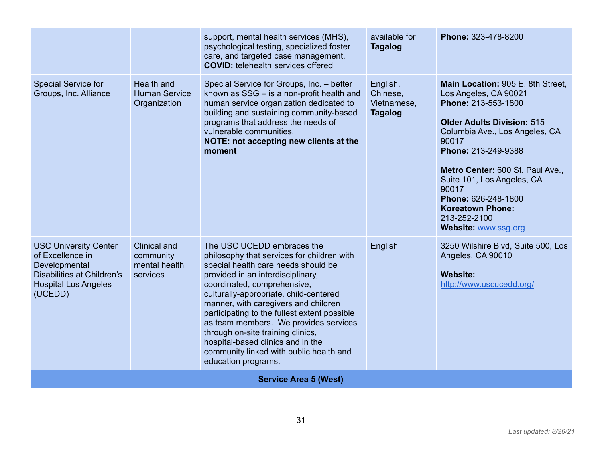|                                                                                                                                           |                                                               | support, mental health services (MHS),<br>psychological testing, specialized foster<br>care, and targeted case management.<br><b>COVID:</b> telehealth services offered                                                                                                                                                                                                                                                                                                                                    | available for<br><b>Tagalog</b>                       | Phone: 323-478-8200                                                                                                                                                                                                                                                                                                                                           |
|-------------------------------------------------------------------------------------------------------------------------------------------|---------------------------------------------------------------|------------------------------------------------------------------------------------------------------------------------------------------------------------------------------------------------------------------------------------------------------------------------------------------------------------------------------------------------------------------------------------------------------------------------------------------------------------------------------------------------------------|-------------------------------------------------------|---------------------------------------------------------------------------------------------------------------------------------------------------------------------------------------------------------------------------------------------------------------------------------------------------------------------------------------------------------------|
| Special Service for<br>Groups, Inc. Alliance                                                                                              | <b>Health and</b><br><b>Human Service</b><br>Organization     | Special Service for Groups, Inc. - better<br>known as SSG - is a non-profit health and<br>human service organization dedicated to<br>building and sustaining community-based<br>programs that address the needs of<br>vulnerable communities.<br>NOTE: not accepting new clients at the<br>moment                                                                                                                                                                                                          | English,<br>Chinese,<br>Vietnamese,<br><b>Tagalog</b> | Main Location: 905 E. 8th Street,<br>Los Angeles, CA 90021<br>Phone: 213-553-1800<br><b>Older Adults Division: 515</b><br>Columbia Ave., Los Angeles, CA<br>90017<br>Phone: 213-249-9388<br>Metro Center: 600 St. Paul Ave.,<br>Suite 101, Los Angeles, CA<br>90017<br>Phone: 626-248-1800<br><b>Koreatown Phone:</b><br>213-252-2100<br>Website: www.ssg.org |
| <b>USC University Center</b><br>of Excellence in<br>Developmental<br>Disabilities at Children's<br><b>Hospital Los Angeles</b><br>(UCEDD) | <b>Clinical and</b><br>community<br>mental health<br>services | The USC UCEDD embraces the<br>philosophy that services for children with<br>special health care needs should be<br>provided in an interdisciplinary,<br>coordinated, comprehensive,<br>culturally-appropriate, child-centered<br>manner, with caregivers and children<br>participating to the fullest extent possible<br>as team members. We provides services<br>through on-site training clinics,<br>hospital-based clinics and in the<br>community linked with public health and<br>education programs. | English                                               | 3250 Wilshire Blvd, Suite 500, Los<br>Angeles, CA 90010<br><b>Website:</b><br>http://www.uscucedd.org/                                                                                                                                                                                                                                                        |
|                                                                                                                                           |                                                               | <b>Service Area 5 (West)</b>                                                                                                                                                                                                                                                                                                                                                                                                                                                                               |                                                       |                                                                                                                                                                                                                                                                                                                                                               |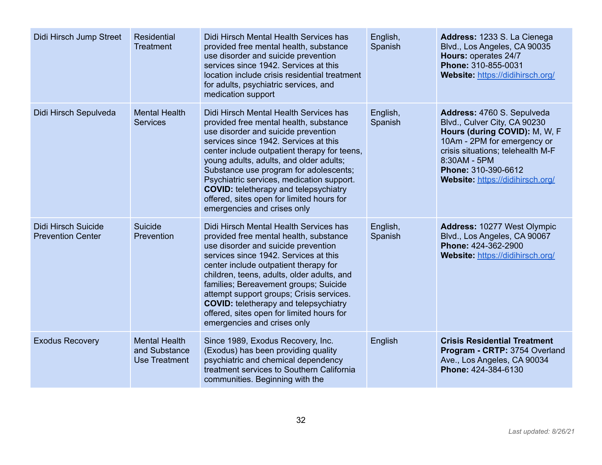| Didi Hirsch Jump Street                         | <b>Residential</b><br><b>Treatment</b>                        | Didi Hirsch Mental Health Services has<br>provided free mental health, substance<br>use disorder and suicide prevention<br>services since 1942. Services at this<br>location include crisis residential treatment<br>for adults, psychiatric services, and<br>medication support                                                                                                                                                                                               | English,<br>Spanish | Address: 1233 S. La Cienega<br>Blvd., Los Angeles, CA 90035<br>Hours: operates 24/7<br>Phone: 310-855-0031<br>Website: https://didihirsch.org/                                                                                             |
|-------------------------------------------------|---------------------------------------------------------------|--------------------------------------------------------------------------------------------------------------------------------------------------------------------------------------------------------------------------------------------------------------------------------------------------------------------------------------------------------------------------------------------------------------------------------------------------------------------------------|---------------------|--------------------------------------------------------------------------------------------------------------------------------------------------------------------------------------------------------------------------------------------|
| Didi Hirsch Sepulveda                           | <b>Mental Health</b><br><b>Services</b>                       | Didi Hirsch Mental Health Services has<br>provided free mental health, substance<br>use disorder and suicide prevention<br>services since 1942. Services at this<br>center include outpatient therapy for teens,<br>young adults, adults, and older adults;<br>Substance use program for adolescents;<br>Psychiatric services, medication support.<br><b>COVID:</b> teletherapy and telepsychiatry<br>offered, sites open for limited hours for<br>emergencies and crises only | English,<br>Spanish | Address: 4760 S. Sepulveda<br>Blvd., Culver City, CA 90230<br>Hours (during COVID): M, W, F<br>10Am - 2PM for emergency or<br>crisis situations; telehealth M-F<br>8:30AM - 5PM<br>Phone: 310-390-6612<br>Website: https://didihirsch.org/ |
| Didi Hirsch Suicide<br><b>Prevention Center</b> | Suicide<br>Prevention                                         | Didi Hirsch Mental Health Services has<br>provided free mental health, substance<br>use disorder and suicide prevention<br>services since 1942. Services at this<br>center include outpatient therapy for<br>children, teens, adults, older adults, and<br>families; Bereavement groups; Suicide<br>attempt support groups; Crisis services.<br><b>COVID:</b> teletherapy and telepsychiatry<br>offered, sites open for limited hours for<br>emergencies and crises only       | English,<br>Spanish | <b>Address: 10277 West Olympic</b><br>Blvd., Los Angeles, CA 90067<br>Phone: 424-362-2900<br>Website: https://didihirsch.org/                                                                                                              |
| <b>Exodus Recovery</b>                          | <b>Mental Health</b><br>and Substance<br><b>Use Treatment</b> | Since 1989, Exodus Recovery, Inc.<br>(Exodus) has been providing quality<br>psychiatric and chemical dependency<br>treatment services to Southern California<br>communities. Beginning with the                                                                                                                                                                                                                                                                                | English             | <b>Crisis Residential Treatment</b><br>Program - CRTP: 3754 Overland<br>Ave., Los Angeles, CA 90034<br>Phone: 424-384-6130                                                                                                                 |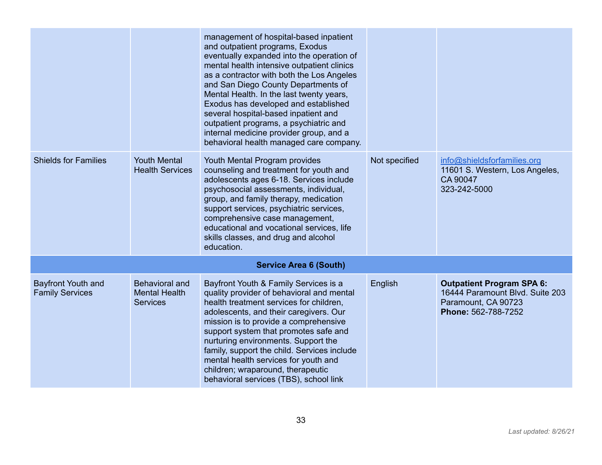|                                                     |                                                           | management of hospital-based inpatient<br>and outpatient programs, Exodus<br>eventually expanded into the operation of<br>mental health intensive outpatient clinics<br>as a contractor with both the Los Angeles<br>and San Diego County Departments of<br>Mental Health. In the last twenty years,<br>Exodus has developed and established<br>several hospital-based inpatient and<br>outpatient programs, a psychiatric and<br>internal medicine provider group, and a<br>behavioral health managed care company. |               |                                                                                                                   |
|-----------------------------------------------------|-----------------------------------------------------------|----------------------------------------------------------------------------------------------------------------------------------------------------------------------------------------------------------------------------------------------------------------------------------------------------------------------------------------------------------------------------------------------------------------------------------------------------------------------------------------------------------------------|---------------|-------------------------------------------------------------------------------------------------------------------|
| <b>Shields for Families</b>                         | <b>Youth Mental</b><br><b>Health Services</b>             | Youth Mental Program provides<br>counseling and treatment for youth and<br>adolescents ages 6-18. Services include<br>psychosocial assessments, individual,<br>group, and family therapy, medication<br>support services, psychiatric services,<br>comprehensive case management,<br>educational and vocational services, life<br>skills classes, and drug and alcohol<br>education.                                                                                                                                 | Not specified | info@shieldsforfamilies.org<br>11601 S. Western, Los Angeles,<br>CA 90047<br>323-242-5000                         |
|                                                     |                                                           | <b>Service Area 6 (South)</b>                                                                                                                                                                                                                                                                                                                                                                                                                                                                                        |               |                                                                                                                   |
| <b>Bayfront Youth and</b><br><b>Family Services</b> | Behavioral and<br><b>Mental Health</b><br><b>Services</b> | Bayfront Youth & Family Services is a<br>quality provider of behavioral and mental<br>health treatment services for children.<br>adolescents, and their caregivers. Our<br>mission is to provide a comprehensive<br>support system that promotes safe and<br>nurturing environments. Support the<br>family, support the child. Services include<br>mental health services for youth and<br>children; wraparound, therapeutic<br>behavioral services (TBS), school link                                               | English       | <b>Outpatient Program SPA 6:</b><br>16444 Paramount Blvd. Suite 203<br>Paramount, CA 90723<br>Phone: 562-788-7252 |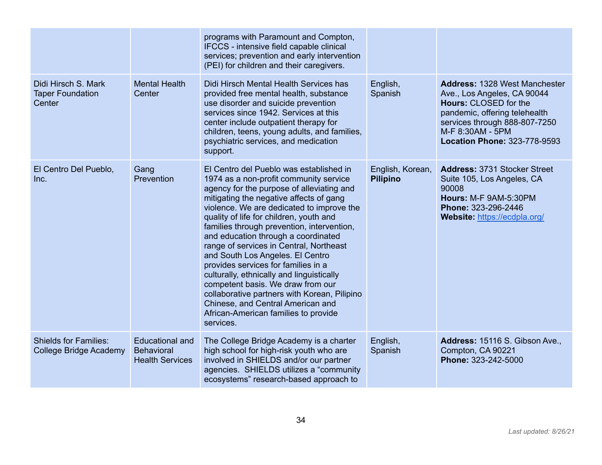|                                                               |                                                                       | programs with Paramount and Compton,<br>IFCCS - intensive field capable clinical                                                                                                                                                                                                                                                                                                                                                                                                                                                                                                                                                                                                                         |                                     |                                                                                                                                                                                                                           |
|---------------------------------------------------------------|-----------------------------------------------------------------------|----------------------------------------------------------------------------------------------------------------------------------------------------------------------------------------------------------------------------------------------------------------------------------------------------------------------------------------------------------------------------------------------------------------------------------------------------------------------------------------------------------------------------------------------------------------------------------------------------------------------------------------------------------------------------------------------------------|-------------------------------------|---------------------------------------------------------------------------------------------------------------------------------------------------------------------------------------------------------------------------|
|                                                               |                                                                       | services; prevention and early intervention<br>(PEI) for children and their caregivers.                                                                                                                                                                                                                                                                                                                                                                                                                                                                                                                                                                                                                  |                                     |                                                                                                                                                                                                                           |
| Didi Hirsch S. Mark<br><b>Taper Foundation</b><br>Center      | <b>Mental Health</b><br>Center                                        | Didi Hirsch Mental Health Services has<br>provided free mental health, substance<br>use disorder and suicide prevention<br>services since 1942. Services at this<br>center include outpatient therapy for<br>children, teens, young adults, and families,<br>psychiatric services, and medication<br>support.                                                                                                                                                                                                                                                                                                                                                                                            | English,<br>Spanish                 | <b>Address: 1328 West Manchester</b><br>Ave., Los Angeles, CA 90044<br><b>Hours: CLOSED for the</b><br>pandemic, offering telehealth<br>services through 888-807-7250<br>M-F 8:30AM - 5PM<br>Location Phone: 323-778-9593 |
| El Centro Del Pueblo,<br>Inc.                                 | Gang<br>Prevention                                                    | El Centro del Pueblo was established in<br>1974 as a non-profit community service<br>agency for the purpose of alleviating and<br>mitigating the negative affects of gang<br>violence. We are dedicated to improve the<br>quality of life for children, youth and<br>families through prevention, intervention,<br>and education through a coordinated<br>range of services in Central, Northeast<br>and South Los Angeles. El Centro<br>provides services for families in a<br>culturally, ethnically and linguistically<br>competent basis. We draw from our<br>collaborative partners with Korean, Pilipino<br>Chinese, and Central American and<br>African-American families to provide<br>services. | English, Korean,<br><b>Pilipino</b> | <b>Address: 3731 Stocker Street</b><br>Suite 105, Los Angeles, CA<br>90008<br>Hours: M-F 9AM-5:30PM<br>Phone: 323-296-2446<br>Website: https://ecdpla.org/                                                                |
| <b>Shields for Families:</b><br><b>College Bridge Academy</b> | <b>Educational and</b><br><b>Behavioral</b><br><b>Health Services</b> | The College Bridge Academy is a charter<br>high school for high-risk youth who are<br>involved in SHIELDS and/or our partner<br>agencies. SHIELDS utilizes a "community<br>ecosystems" research-based approach to                                                                                                                                                                                                                                                                                                                                                                                                                                                                                        | English,<br>Spanish                 | Address: 15116 S. Gibson Ave.,<br>Compton, CA 90221<br>Phone: 323-242-5000                                                                                                                                                |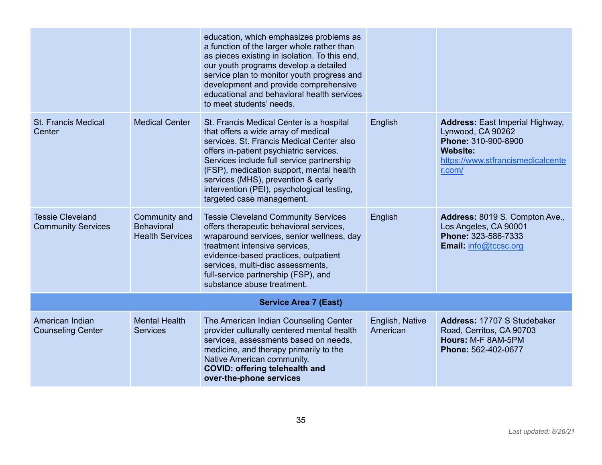|                                                      |                                                              | education, which emphasizes problems as<br>a function of the larger whole rather than<br>as pieces existing in isolation. To this end,<br>our youth programs develop a detailed<br>service plan to monitor youth progress and<br>development and provide comprehensive<br>educational and behavioral health services<br>to meet students' needs.                                  |                             |                                                                                                                                                      |  |  |  |
|------------------------------------------------------|--------------------------------------------------------------|-----------------------------------------------------------------------------------------------------------------------------------------------------------------------------------------------------------------------------------------------------------------------------------------------------------------------------------------------------------------------------------|-----------------------------|------------------------------------------------------------------------------------------------------------------------------------------------------|--|--|--|
| <b>St. Francis Medical</b><br>Center                 | <b>Medical Center</b>                                        | St. Francis Medical Center is a hospital<br>that offers a wide array of medical<br>services. St. Francis Medical Center also<br>offers in-patient psychiatric services.<br>Services include full service partnership<br>(FSP), medication support, mental health<br>services (MHS), prevention & early<br>intervention (PEI), psychological testing,<br>targeted case management. | English                     | <b>Address:</b> East Imperial Highway,<br>Lynwood, CA 90262<br>Phone: 310-900-8900<br><b>Website:</b><br>https://www.stfrancismedicalcente<br>r.com/ |  |  |  |
| <b>Tessie Cleveland</b><br><b>Community Services</b> | Community and<br><b>Behavioral</b><br><b>Health Services</b> | <b>Tessie Cleveland Community Services</b><br>offers therapeutic behavioral services,<br>wraparound services, senior wellness, day<br>treatment intensive services.<br>evidence-based practices, outpatient<br>services, multi-disc assessments,<br>full-service partnership (FSP), and<br>substance abuse treatment.                                                             | English                     | Address: 8019 S. Compton Ave.,<br>Los Angeles, CA 90001<br>Phone: 323-586-7333<br>Email: info@tccsc.org                                              |  |  |  |
| <b>Service Area 7 (East)</b>                         |                                                              |                                                                                                                                                                                                                                                                                                                                                                                   |                             |                                                                                                                                                      |  |  |  |
| American Indian<br><b>Counseling Center</b>          | <b>Mental Health</b><br><b>Services</b>                      | The American Indian Counseling Center<br>provider culturally centered mental health<br>services, assessments based on needs,<br>medicine, and therapy primarily to the<br>Native American community.<br><b>COVID: offering telehealth and</b><br>over-the-phone services                                                                                                          | English, Native<br>American | Address: 17707 S Studebaker<br>Road, Cerritos, CA 90703<br>Hours: M-F 8AM-5PM<br>Phone: 562-402-0677                                                 |  |  |  |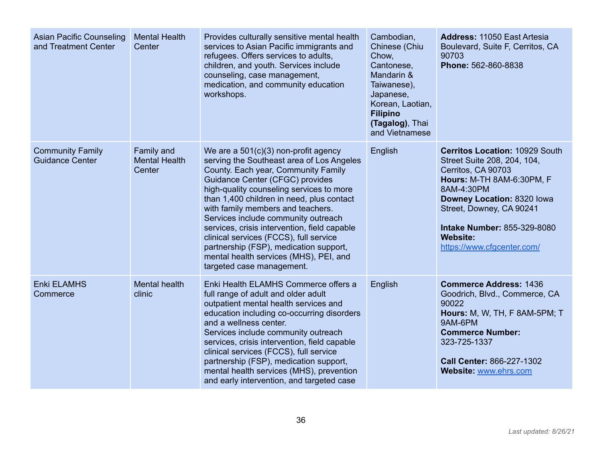| <b>Asian Pacific Counseling</b><br>and Treatment Center | <b>Mental Health</b><br>Center                      | Provides culturally sensitive mental health<br>services to Asian Pacific immigrants and<br>refugees. Offers services to adults,<br>children, and youth. Services include<br>counseling, case management,<br>medication, and community education<br>workshops.                                                                                                                                                                                                                                                                                 | Cambodian,<br>Chinese (Chiu<br>Chow,<br>Cantonese,<br>Mandarin &<br>Taiwanese),<br>Japanese,<br>Korean, Laotian,<br><b>Filipino</b><br>(Tagalog), Thai<br>and Vietnamese | <b>Address: 11050 East Artesia</b><br>Boulevard, Suite F, Cerritos, CA<br>90703<br>Phone: 562-860-8838                                                                                                                                                                                        |
|---------------------------------------------------------|-----------------------------------------------------|-----------------------------------------------------------------------------------------------------------------------------------------------------------------------------------------------------------------------------------------------------------------------------------------------------------------------------------------------------------------------------------------------------------------------------------------------------------------------------------------------------------------------------------------------|--------------------------------------------------------------------------------------------------------------------------------------------------------------------------|-----------------------------------------------------------------------------------------------------------------------------------------------------------------------------------------------------------------------------------------------------------------------------------------------|
| <b>Community Family</b><br><b>Guidance Center</b>       | <b>Family and</b><br><b>Mental Health</b><br>Center | We are a $501(c)(3)$ non-profit agency<br>serving the Southeast area of Los Angeles<br>County. Each year, Community Family<br>Guidance Center (CFGC) provides<br>high-quality counseling services to more<br>than 1,400 children in need, plus contact<br>with family members and teachers.<br>Services include community outreach<br>services, crisis intervention, field capable<br>clinical services (FCCS), full service<br>partnership (FSP), medication support,<br>mental health services (MHS), PEI, and<br>targeted case management. | English                                                                                                                                                                  | <b>Cerritos Location: 10929 South</b><br>Street Suite 208, 204, 104,<br>Cerritos, CA 90703<br><b>Hours: M-TH 8AM-6:30PM, F</b><br>8AM-4:30PM<br>Downey Location: 8320 lowa<br>Street, Downey, CA 90241<br><b>Intake Number: 855-329-8080</b><br><b>Website:</b><br>https://www.cfgcenter.com/ |
| <b>Enki ELAMHS</b><br>Commerce                          | <b>Mental health</b><br>clinic                      | Enki Health ELAMHS Commerce offers a<br>full range of adult and older adult<br>outpatient mental health services and<br>education including co-occurring disorders<br>and a wellness center.<br>Services include community outreach<br>services, crisis intervention, field capable<br>clinical services (FCCS), full service<br>partnership (FSP), medication support,<br>mental health services (MHS), prevention<br>and early intervention, and targeted case                                                                              | English                                                                                                                                                                  | <b>Commerce Address: 1436</b><br>Goodrich, Blvd., Commerce, CA<br>90022<br><b>Hours: M, W, TH, F 8AM-5PM; T</b><br>9AM-6PM<br><b>Commerce Number:</b><br>323-725-1337<br>Call Center: 866-227-1302<br>Website: www.ehrs.com                                                                   |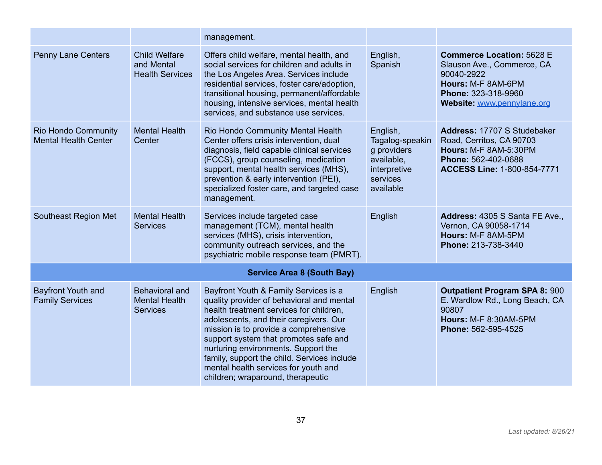|                                                           |                                                              | management.                                                                                                                                                                                                                                                                                                                                                                                                                  |                                                                                                   |                                                                                                                                                         |
|-----------------------------------------------------------|--------------------------------------------------------------|------------------------------------------------------------------------------------------------------------------------------------------------------------------------------------------------------------------------------------------------------------------------------------------------------------------------------------------------------------------------------------------------------------------------------|---------------------------------------------------------------------------------------------------|---------------------------------------------------------------------------------------------------------------------------------------------------------|
| <b>Penny Lane Centers</b>                                 | <b>Child Welfare</b><br>and Mental<br><b>Health Services</b> | Offers child welfare, mental health, and<br>social services for children and adults in<br>the Los Angeles Area. Services include<br>residential services, foster care/adoption,<br>transitional housing, permanent/affordable<br>housing, intensive services, mental health<br>services, and substance use services.                                                                                                         | English,<br>Spanish                                                                               | <b>Commerce Location: 5628 E</b><br>Slauson Ave., Commerce, CA<br>90040-2922<br>Hours: M-F 8AM-6PM<br>Phone: 323-318-9960<br>Website: www.pennylane.org |
| <b>Rio Hondo Community</b><br><b>Mental Health Center</b> | <b>Mental Health</b><br>Center                               | Rio Hondo Community Mental Health<br>Center offers crisis intervention, dual<br>diagnosis, field capable clinical services<br>(FCCS), group counseling, medication<br>support, mental health services (MHS),<br>prevention & early intervention (PEI),<br>specialized foster care, and targeted case<br>management.                                                                                                          | English,<br>Tagalog-speakin<br>g providers<br>available.<br>interpretive<br>services<br>available | Address: 17707 S Studebaker<br>Road, Cerritos, CA 90703<br>Hours: M-F 8AM-5:30PM<br>Phone: 562-402-0688<br><b>ACCESS Line: 1-800-854-7771</b>           |
| Southeast Region Met                                      | <b>Mental Health</b><br><b>Services</b>                      | Services include targeted case<br>management (TCM), mental health<br>services (MHS), crisis intervention,<br>community outreach services, and the<br>psychiatric mobile response team (PMRT).                                                                                                                                                                                                                                | English                                                                                           | Address: 4305 S Santa FE Ave.,<br>Vernon, CA 90058-1714<br>Hours: M-F 8AM-5PM<br>Phone: 213-738-3440                                                    |
|                                                           |                                                              | <b>Service Area 8 (South Bay)</b>                                                                                                                                                                                                                                                                                                                                                                                            |                                                                                                   |                                                                                                                                                         |
| <b>Bayfront Youth and</b><br><b>Family Services</b>       | Behavioral and<br><b>Mental Health</b><br><b>Services</b>    | Bayfront Youth & Family Services is a<br>quality provider of behavioral and mental<br>health treatment services for children,<br>adolescents, and their caregivers. Our<br>mission is to provide a comprehensive<br>support system that promotes safe and<br>nurturing environments. Support the<br>family, support the child. Services include<br>mental health services for youth and<br>children; wraparound, therapeutic | English                                                                                           | <b>Outpatient Program SPA 8: 900</b><br>E. Wardlow Rd., Long Beach, CA<br>90807<br><b>Hours: M-F 8:30AM-5PM</b><br>Phone: 562-595-4525                  |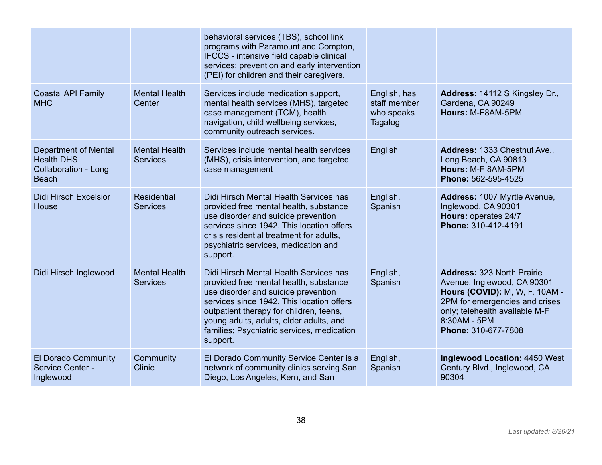|                                                                                                 |                                         | behavioral services (TBS), school link<br>programs with Paramount and Compton,<br>IFCCS - intensive field capable clinical<br>services; prevention and early intervention<br>(PEI) for children and their caregivers.                                                                                                |                                                       |                                                                                                                                                                                                               |
|-------------------------------------------------------------------------------------------------|-----------------------------------------|----------------------------------------------------------------------------------------------------------------------------------------------------------------------------------------------------------------------------------------------------------------------------------------------------------------------|-------------------------------------------------------|---------------------------------------------------------------------------------------------------------------------------------------------------------------------------------------------------------------|
| <b>Coastal API Family</b><br><b>MHC</b>                                                         | <b>Mental Health</b><br>Center          | Services include medication support,<br>mental health services (MHS), targeted<br>case management (TCM), health<br>navigation, child wellbeing services,<br>community outreach services.                                                                                                                             | English, has<br>staff member<br>who speaks<br>Tagalog | Address: 14112 S Kingsley Dr.,<br>Gardena, CA 90249<br>Hours: M-F8AM-5PM                                                                                                                                      |
| <b>Department of Mental</b><br><b>Health DHS</b><br><b>Collaboration - Long</b><br><b>Beach</b> | <b>Mental Health</b><br><b>Services</b> | Services include mental health services<br>(MHS), crisis intervention, and targeted<br>case management                                                                                                                                                                                                               | English                                               | Address: 1333 Chestnut Ave.,<br>Long Beach, CA 90813<br>Hours: M-F 8AM-5PM<br>Phone: 562-595-4525                                                                                                             |
| <b>Didi Hirsch Excelsior</b><br>House                                                           | <b>Residential</b><br><b>Services</b>   | Didi Hirsch Mental Health Services has<br>provided free mental health, substance<br>use disorder and suicide prevention<br>services since 1942. This location offers<br>crisis residential treatment for adults,<br>psychiatric services, medication and<br>support.                                                 | English,<br>Spanish                                   | Address: 1007 Myrtle Avenue,<br>Inglewood, CA 90301<br>Hours: operates 24/7<br>Phone: 310-412-4191                                                                                                            |
| Didi Hirsch Inglewood                                                                           | <b>Mental Health</b><br><b>Services</b> | Didi Hirsch Mental Health Services has<br>provided free mental health, substance<br>use disorder and suicide prevention<br>services since 1942. This location offers<br>outpatient therapy for children, teens,<br>young adults, adults, older adults, and<br>families; Psychiatric services, medication<br>support. | English,<br>Spanish                                   | <b>Address: 323 North Prairie</b><br>Avenue, Inglewood, CA 90301<br>Hours (COVID): M, W, F, 10AM -<br>2PM for emergencies and crises<br>only; telehealth available M-F<br>8:30AM - 5PM<br>Phone: 310-677-7808 |
| El Dorado Community<br>Service Center -<br>Inglewood                                            | Community<br><b>Clinic</b>              | El Dorado Community Service Center is a<br>network of community clinics serving San<br>Diego, Los Angeles, Kern, and San                                                                                                                                                                                             | English,<br>Spanish                                   | <b>Inglewood Location: 4450 West</b><br>Century Blvd., Inglewood, CA<br>90304                                                                                                                                 |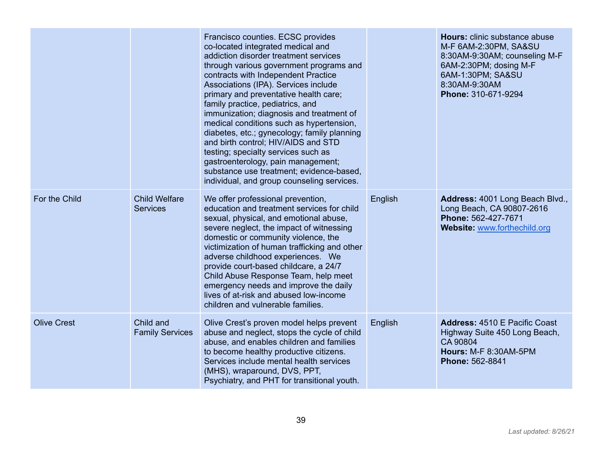|                    |                                         | Francisco counties. ECSC provides<br>co-located integrated medical and<br>addiction disorder treatment services<br>through various government programs and<br>contracts with Independent Practice<br>Associations (IPA). Services include<br>primary and preventative health care;<br>family practice, pediatrics, and<br>immunization; diagnosis and treatment of<br>medical conditions such as hypertension,<br>diabetes, etc.; gynecology; family planning<br>and birth control; HIV/AIDS and STD<br>testing; specialty services such as<br>gastroenterology, pain management;<br>substance use treatment; evidence-based,<br>individual, and group counseling services. |         | Hours: clinic substance abuse<br>M-F 6AM-2:30PM, SA&SU<br>8:30AM-9:30AM; counseling M-F<br>6AM-2:30PM; dosing M-F<br>6AM-1:30PM; SA&SU<br>8:30AM-9:30AM<br>Phone: 310-671-9294 |
|--------------------|-----------------------------------------|-----------------------------------------------------------------------------------------------------------------------------------------------------------------------------------------------------------------------------------------------------------------------------------------------------------------------------------------------------------------------------------------------------------------------------------------------------------------------------------------------------------------------------------------------------------------------------------------------------------------------------------------------------------------------------|---------|--------------------------------------------------------------------------------------------------------------------------------------------------------------------------------|
| For the Child      | <b>Child Welfare</b><br><b>Services</b> | We offer professional prevention,<br>education and treatment services for child<br>sexual, physical, and emotional abuse,<br>severe neglect, the impact of witnessing<br>domestic or community violence, the<br>victimization of human trafficking and other<br>adverse childhood experiences. We<br>provide court-based childcare, a 24/7<br>Child Abuse Response Team, help meet<br>emergency needs and improve the daily<br>lives of at-risk and abused low-income<br>children and vulnerable families.                                                                                                                                                                  | English | Address: 4001 Long Beach Blvd.,<br>Long Beach, CA 90807-2616<br>Phone: 562-427-7671<br>Website: www.forthechild.org                                                            |
| <b>Olive Crest</b> | Child and<br><b>Family Services</b>     | Olive Crest's proven model helps prevent<br>abuse and neglect, stops the cycle of child<br>abuse, and enables children and families<br>to become healthy productive citizens.<br>Services include mental health services<br>(MHS), wraparound, DVS, PPT,<br>Psychiatry, and PHT for transitional youth.                                                                                                                                                                                                                                                                                                                                                                     | English | <b>Address: 4510 E Pacific Coast</b><br>Highway Suite 450 Long Beach,<br>CA 90804<br><b>Hours: M-F 8:30AM-5PM</b><br>Phone: 562-8841                                           |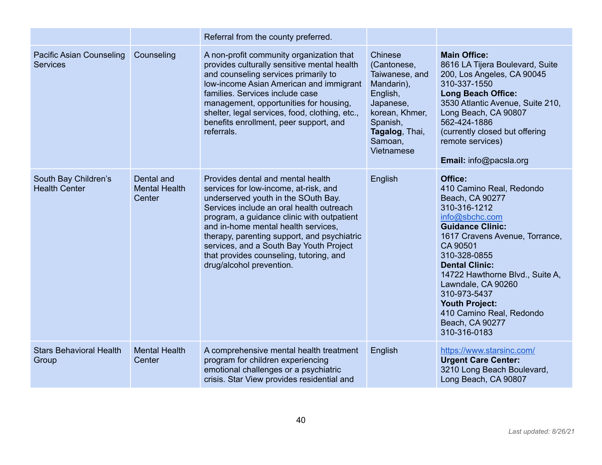|                                                    |                                              | Referral from the county preferred.                                                                                                                                                                                                                                                                                                                                                                                 |                                                                                                                                                          |                                                                                                                                                                                                                                                                                                                                                                             |
|----------------------------------------------------|----------------------------------------------|---------------------------------------------------------------------------------------------------------------------------------------------------------------------------------------------------------------------------------------------------------------------------------------------------------------------------------------------------------------------------------------------------------------------|----------------------------------------------------------------------------------------------------------------------------------------------------------|-----------------------------------------------------------------------------------------------------------------------------------------------------------------------------------------------------------------------------------------------------------------------------------------------------------------------------------------------------------------------------|
| <b>Pacific Asian Counseling</b><br><b>Services</b> | Counseling                                   | A non-profit community organization that<br>provides culturally sensitive mental health<br>and counseling services primarily to<br>Iow-income Asian American and immigrant<br>families. Services include case<br>management, opportunities for housing,<br>shelter, legal services, food, clothing, etc.,<br>benefits enrollment, peer support, and<br>referrals.                                                   | Chinese<br>(Cantonese,<br>Taiwanese, and<br>Mandarin),<br>English,<br>Japanese,<br>korean, Khmer,<br>Spanish,<br>Tagalog, Thai,<br>Samoan,<br>Vietnamese | <b>Main Office:</b><br>8616 LA Tijera Boulevard, Suite<br>200, Los Angeles, CA 90045<br>310-337-1550<br><b>Long Beach Office:</b><br>3530 Atlantic Avenue, Suite 210,<br>Long Beach, CA 90807<br>562-424-1886<br>(currently closed but offering<br>remote services)<br>Email: info@pacsla.org                                                                               |
| South Bay Children's<br><b>Health Center</b>       | Dental and<br><b>Mental Health</b><br>Center | Provides dental and mental health<br>services for low-income, at-risk, and<br>underserved youth in the SOuth Bay.<br>Services include an oral health outreach<br>program, a guidance clinic with outpatient<br>and in-home mental health services.<br>therapy, parenting support, and psychiatric<br>services, and a South Bay Youth Project<br>that provides counseling, tutoring, and<br>drug/alcohol prevention. | English                                                                                                                                                  | Office:<br>410 Camino Real, Redondo<br>Beach, CA 90277<br>310-316-1212<br>info@sbchc.com<br><b>Guidance Clinic:</b><br>1617 Cravens Avenue, Torrance,<br>CA 90501<br>310-328-0855<br><b>Dental Clinic:</b><br>14722 Hawthorne Blvd., Suite A,<br>Lawndale, CA 90260<br>310-973-5437<br><b>Youth Project:</b><br>410 Camino Real, Redondo<br>Beach, CA 90277<br>310-316-0183 |
| <b>Stars Behavioral Health</b><br>Group            | <b>Mental Health</b><br>Center               | A comprehensive mental health treatment<br>program for children experiencing<br>emotional challenges or a psychiatric<br>crisis. Star View provides residential and                                                                                                                                                                                                                                                 | English                                                                                                                                                  | https://www.starsinc.com/<br><b>Urgent Care Center:</b><br>3210 Long Beach Boulevard,<br>Long Beach, CA 90807                                                                                                                                                                                                                                                               |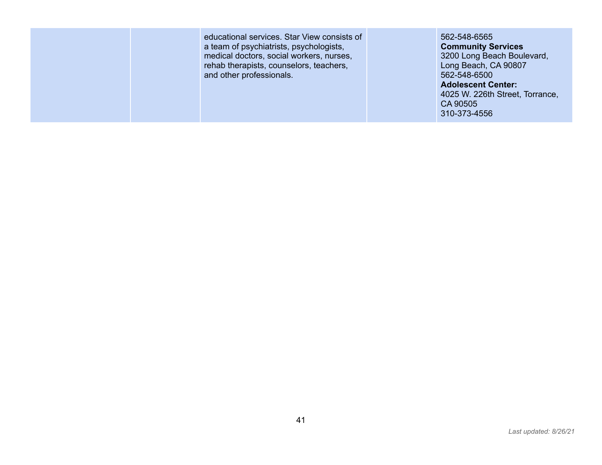educational services. Star View consists of a team of psychiatrists, psychologists, medical doctors, social workers, nurses, rehab therapists, counselors, teachers, and other professionals.

562-548-6565 **Community Services** 3200 Long Beach Boulevard, Long Beach, CA 90807 562-548-6500 **Adolescent Center:** 4025 W. 226th Street, Torrance, CA 90505 310-373-4556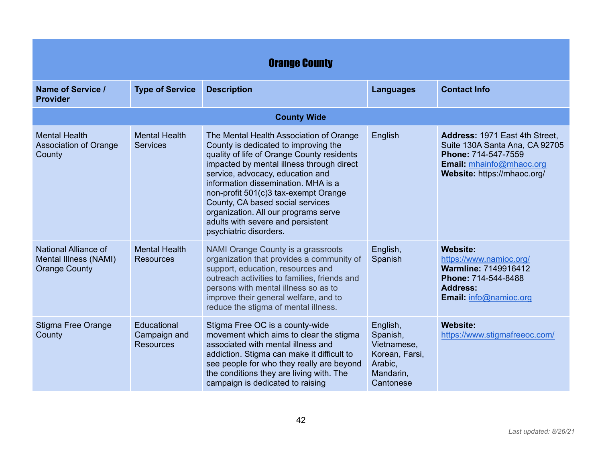| <b>Orange County</b>                                                  |                                                 |                                                                                                                                                                                                                                                                                                                                                                                                                                          |                                                                                            |                                                                                                                                                      |
|-----------------------------------------------------------------------|-------------------------------------------------|------------------------------------------------------------------------------------------------------------------------------------------------------------------------------------------------------------------------------------------------------------------------------------------------------------------------------------------------------------------------------------------------------------------------------------------|--------------------------------------------------------------------------------------------|------------------------------------------------------------------------------------------------------------------------------------------------------|
| Name of Service /<br><b>Provider</b>                                  | <b>Type of Service</b>                          | <b>Description</b>                                                                                                                                                                                                                                                                                                                                                                                                                       | <b>Languages</b>                                                                           | <b>Contact Info</b>                                                                                                                                  |
|                                                                       |                                                 | <b>County Wide</b>                                                                                                                                                                                                                                                                                                                                                                                                                       |                                                                                            |                                                                                                                                                      |
| <b>Mental Health</b><br><b>Association of Orange</b><br>County        | <b>Mental Health</b><br><b>Services</b>         | The Mental Health Association of Orange<br>County is dedicated to improving the<br>quality of life of Orange County residents<br>impacted by mental illness through direct<br>service, advocacy, education and<br>information dissemination. MHA is a<br>non-profit 501(c)3 tax-exempt Orange<br>County, CA based social services<br>organization. All our programs serve<br>adults with severe and persistent<br>psychiatric disorders. | English                                                                                    | Address: 1971 East 4th Street,<br>Suite 130A Santa Ana, CA 92705<br>Phone: 714-547-7559<br>Email: mhainfo@mhaoc.org<br>Website: https://mhaoc.org/   |
| National Alliance of<br>Mental Illness (NAMI)<br><b>Orange County</b> | <b>Mental Health</b><br><b>Resources</b>        | NAMI Orange County is a grassroots<br>organization that provides a community of<br>support, education, resources and<br>outreach activities to families, friends and<br>persons with mental illness so as to<br>improve their general welfare, and to<br>reduce the stigma of mental illness.                                                                                                                                            | English,<br>Spanish                                                                        | <b>Website:</b><br>https://www.namioc.org/<br><b>Warmline: 7149916412</b><br>Phone: 714-544-8488<br><b>Address:</b><br><b>Email: info@namioc.org</b> |
| <b>Stigma Free Orange</b><br>County                                   | Educational<br>Campaign and<br><b>Resources</b> | Stigma Free OC is a county-wide<br>movement which aims to clear the stigma<br>associated with mental illness and<br>addiction. Stigma can make it difficult to<br>see people for who they really are beyond<br>the conditions they are living with. The<br>campaign is dedicated to raising                                                                                                                                              | English,<br>Spanish,<br>Vietnamese,<br>Korean, Farsi,<br>Arabic,<br>Mandarin,<br>Cantonese | <b>Website:</b><br>https://www.stigmafreeoc.com/                                                                                                     |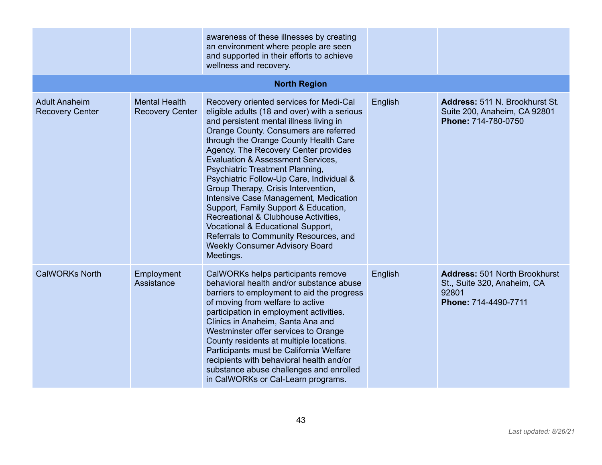|                                                |                                                | awareness of these illnesses by creating<br>an environment where people are seen<br>and supported in their efforts to achieve<br>wellness and recovery.                                                                                                                                                                                                                                                                                                                                                                                                                                                                                                                                         |         |                                                                                                      |
|------------------------------------------------|------------------------------------------------|-------------------------------------------------------------------------------------------------------------------------------------------------------------------------------------------------------------------------------------------------------------------------------------------------------------------------------------------------------------------------------------------------------------------------------------------------------------------------------------------------------------------------------------------------------------------------------------------------------------------------------------------------------------------------------------------------|---------|------------------------------------------------------------------------------------------------------|
|                                                |                                                | <b>North Region</b>                                                                                                                                                                                                                                                                                                                                                                                                                                                                                                                                                                                                                                                                             |         |                                                                                                      |
| <b>Adult Anaheim</b><br><b>Recovery Center</b> | <b>Mental Health</b><br><b>Recovery Center</b> | Recovery oriented services for Medi-Cal<br>eligible adults (18 and over) with a serious<br>and persistent mental illness living in<br>Orange County. Consumers are referred<br>through the Orange County Health Care<br>Agency. The Recovery Center provides<br><b>Evaluation &amp; Assessment Services,</b><br>Psychiatric Treatment Planning,<br>Psychiatric Follow-Up Care, Individual &<br>Group Therapy, Crisis Intervention,<br>Intensive Case Management, Medication<br>Support, Family Support & Education,<br>Recreational & Clubhouse Activities,<br>Vocational & Educational Support,<br>Referrals to Community Resources, and<br><b>Weekly Consumer Advisory Board</b><br>Meetings. | English | Address: 511 N. Brookhurst St.<br>Suite 200, Anaheim, CA 92801<br>Phone: 714-780-0750                |
| <b>CalWORKs North</b>                          | Employment<br>Assistance                       | CalWORKs helps participants remove<br>behavioral health and/or substance abuse<br>barriers to employment to aid the progress<br>of moving from welfare to active<br>participation in employment activities.<br>Clinics in Anaheim, Santa Ana and<br>Westminster offer services to Orange<br>County residents at multiple locations.<br>Participants must be California Welfare<br>recipients with behavioral health and/or<br>substance abuse challenges and enrolled<br>in CalWORKs or Cal-Learn programs.                                                                                                                                                                                     | English | <b>Address: 501 North Brookhurst</b><br>St., Suite 320, Anaheim, CA<br>92801<br>Phone: 714-4490-7711 |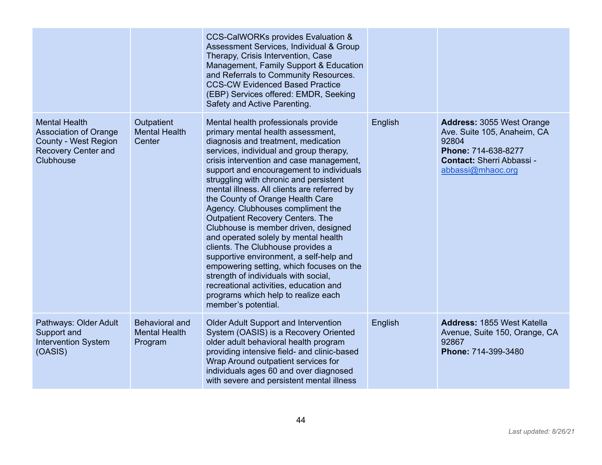|                                                                                                                  |                                                          | <b>CCS-CalWORKs provides Evaluation &amp;</b><br>Assessment Services, Individual & Group<br>Therapy, Crisis Intervention, Case<br>Management, Family Support & Education<br>and Referrals to Community Resources.<br><b>CCS-CW Evidenced Based Practice</b><br>(EBP) Services offered: EMDR, Seeking<br>Safety and Active Parenting.                                                                                                                                                                                                                                                                                                                                                                                                                                                                                        |         |                                                                                                                                                          |
|------------------------------------------------------------------------------------------------------------------|----------------------------------------------------------|-----------------------------------------------------------------------------------------------------------------------------------------------------------------------------------------------------------------------------------------------------------------------------------------------------------------------------------------------------------------------------------------------------------------------------------------------------------------------------------------------------------------------------------------------------------------------------------------------------------------------------------------------------------------------------------------------------------------------------------------------------------------------------------------------------------------------------|---------|----------------------------------------------------------------------------------------------------------------------------------------------------------|
| <b>Mental Health</b><br><b>Association of Orange</b><br>County - West Region<br>Recovery Center and<br>Clubhouse | Outpatient<br><b>Mental Health</b><br>Center             | Mental health professionals provide<br>primary mental health assessment,<br>diagnosis and treatment, medication<br>services, individual and group therapy,<br>crisis intervention and case management,<br>support and encouragement to individuals<br>struggling with chronic and persistent<br>mental illness. All clients are referred by<br>the County of Orange Health Care<br>Agency. Clubhouses compliment the<br><b>Outpatient Recovery Centers. The</b><br>Clubhouse is member driven, designed<br>and operated solely by mental health<br>clients. The Clubhouse provides a<br>supportive environment, a self-help and<br>empowering setting, which focuses on the<br>strength of individuals with social,<br>recreational activities, education and<br>programs which help to realize each<br>member's potential. | English | <b>Address: 3055 West Orange</b><br>Ave. Suite 105, Anaheim, CA<br>92804<br>Phone: 714-638-8277<br><b>Contact: Sherri Abbassi -</b><br>abbassi@mhaoc.org |
| Pathways: Older Adult<br>Support and<br><b>Intervention System</b><br>(OASIS)                                    | <b>Behavioral and</b><br><b>Mental Health</b><br>Program | <b>Older Adult Support and Intervention</b><br>System (OASIS) is a Recovery Oriented<br>older adult behavioral health program<br>providing intensive field- and clinic-based<br>Wrap Around outpatient services for<br>individuals ages 60 and over diagnosed<br>with severe and persistent mental illness                                                                                                                                                                                                                                                                                                                                                                                                                                                                                                                  | English | Address: 1855 West Katella<br>Avenue, Suite 150, Orange, CA<br>92867<br>Phone: 714-399-3480                                                              |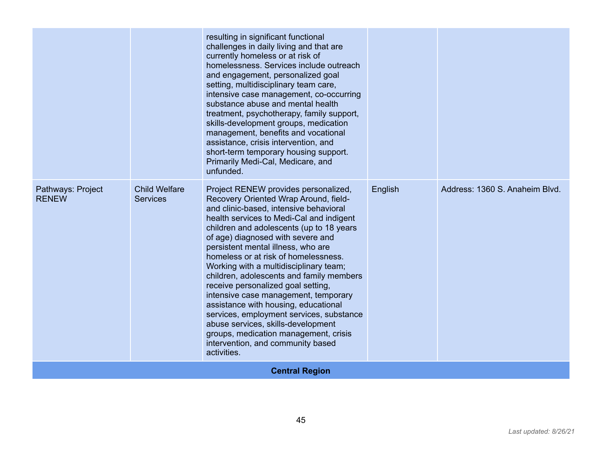|                                   |                                         | resulting in significant functional<br>challenges in daily living and that are<br>currently homeless or at risk of<br>homelessness. Services include outreach<br>and engagement, personalized goal<br>setting, multidisciplinary team care,<br>intensive case management, co-occurring<br>substance abuse and mental health<br>treatment, psychotherapy, family support,<br>skills-development groups, medication<br>management, benefits and vocational<br>assistance, crisis intervention, and<br>short-term temporary housing support.<br>Primarily Medi-Cal, Medicare, and<br>unfunded.                                                                                                                                   |         |                                |  |
|-----------------------------------|-----------------------------------------|-------------------------------------------------------------------------------------------------------------------------------------------------------------------------------------------------------------------------------------------------------------------------------------------------------------------------------------------------------------------------------------------------------------------------------------------------------------------------------------------------------------------------------------------------------------------------------------------------------------------------------------------------------------------------------------------------------------------------------|---------|--------------------------------|--|
| Pathways: Project<br><b>RENEW</b> | <b>Child Welfare</b><br><b>Services</b> | Project RENEW provides personalized,<br>Recovery Oriented Wrap Around, field-<br>and clinic-based, intensive behavioral<br>health services to Medi-Cal and indigent<br>children and adolescents (up to 18 years<br>of age) diagnosed with severe and<br>persistent mental illness, who are<br>homeless or at risk of homelessness.<br>Working with a multidisciplinary team;<br>children, adolescents and family members<br>receive personalized goal setting,<br>intensive case management, temporary<br>assistance with housing, educational<br>services, employment services, substance<br>abuse services, skills-development<br>groups, medication management, crisis<br>intervention, and community based<br>activities. | English | Address: 1360 S. Anaheim Blvd. |  |
| <b>Central Region</b>             |                                         |                                                                                                                                                                                                                                                                                                                                                                                                                                                                                                                                                                                                                                                                                                                               |         |                                |  |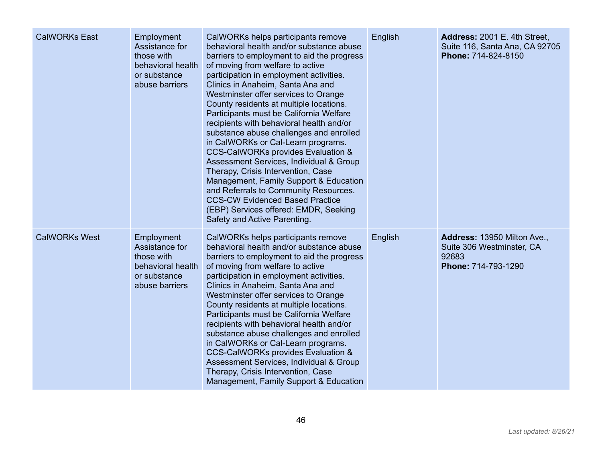| <b>CalWORKs East</b> | Employment<br>Assistance for<br>those with<br>behavioral health<br>or substance<br>abuse barriers | CalWORKs helps participants remove<br>behavioral health and/or substance abuse<br>barriers to employment to aid the progress<br>of moving from welfare to active<br>participation in employment activities.<br>Clinics in Anaheim, Santa Ana and<br>Westminster offer services to Orange<br>County residents at multiple locations.<br>Participants must be California Welfare<br>recipients with behavioral health and/or<br>substance abuse challenges and enrolled<br>in CalWORKs or Cal-Learn programs.<br><b>CCS-CalWORKs provides Evaluation &amp;</b><br>Assessment Services, Individual & Group<br>Therapy, Crisis Intervention, Case<br>Management, Family Support & Education<br>and Referrals to Community Resources.<br><b>CCS-CW Evidenced Based Practice</b><br>(EBP) Services offered: EMDR, Seeking<br>Safety and Active Parenting. | English | Address: 2001 E. 4th Street,<br>Suite 116, Santa Ana, CA 92705<br>Phone: 714-824-8150    |
|----------------------|---------------------------------------------------------------------------------------------------|-----------------------------------------------------------------------------------------------------------------------------------------------------------------------------------------------------------------------------------------------------------------------------------------------------------------------------------------------------------------------------------------------------------------------------------------------------------------------------------------------------------------------------------------------------------------------------------------------------------------------------------------------------------------------------------------------------------------------------------------------------------------------------------------------------------------------------------------------------|---------|------------------------------------------------------------------------------------------|
| <b>CalWORKs West</b> | Employment<br>Assistance for<br>those with<br>behavioral health<br>or substance<br>abuse barriers | CalWORKs helps participants remove<br>behavioral health and/or substance abuse<br>barriers to employment to aid the progress<br>of moving from welfare to active<br>participation in employment activities.<br>Clinics in Anaheim, Santa Ana and<br>Westminster offer services to Orange<br>County residents at multiple locations.<br>Participants must be California Welfare<br>recipients with behavioral health and/or<br>substance abuse challenges and enrolled<br>in CalWORKs or Cal-Learn programs.<br>CCS-CalWORKs provides Evaluation &<br>Assessment Services, Individual & Group<br>Therapy, Crisis Intervention, Case<br>Management, Family Support & Education                                                                                                                                                                        | English | Address: 13950 Milton Ave.,<br>Suite 306 Westminster, CA<br>92683<br>Phone: 714-793-1290 |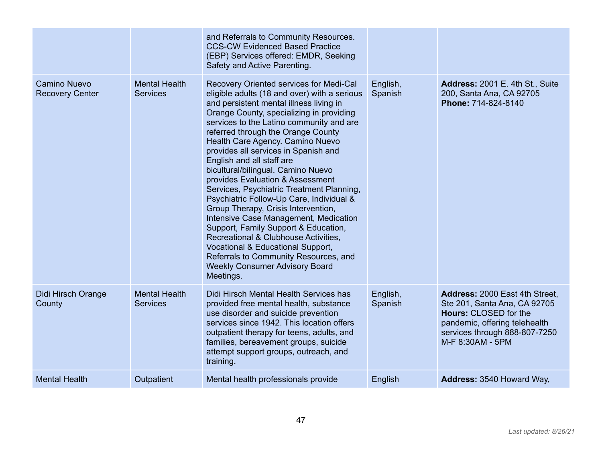|                                               |                                         | and Referrals to Community Resources.<br><b>CCS-CW Evidenced Based Practice</b><br>(EBP) Services offered: EMDR, Seeking<br>Safety and Active Parenting.                                                                                                                                                                                                                                                                                                                                                                                                                                                                                                                                                                                                                                                                                         |                     |                                                                                                                                                                                      |
|-----------------------------------------------|-----------------------------------------|--------------------------------------------------------------------------------------------------------------------------------------------------------------------------------------------------------------------------------------------------------------------------------------------------------------------------------------------------------------------------------------------------------------------------------------------------------------------------------------------------------------------------------------------------------------------------------------------------------------------------------------------------------------------------------------------------------------------------------------------------------------------------------------------------------------------------------------------------|---------------------|--------------------------------------------------------------------------------------------------------------------------------------------------------------------------------------|
| <b>Camino Nuevo</b><br><b>Recovery Center</b> | <b>Mental Health</b><br><b>Services</b> | Recovery Oriented services for Medi-Cal<br>eligible adults (18 and over) with a serious<br>and persistent mental illness living in<br>Orange County, specializing in providing<br>services to the Latino community and are<br>referred through the Orange County<br>Health Care Agency. Camino Nuevo<br>provides all services in Spanish and<br>English and all staff are<br>bicultural/bilingual. Camino Nuevo<br>provides Evaluation & Assessment<br>Services, Psychiatric Treatment Planning,<br>Psychiatric Follow-Up Care, Individual &<br>Group Therapy, Crisis Intervention,<br>Intensive Case Management, Medication<br>Support, Family Support & Education,<br>Recreational & Clubhouse Activities,<br>Vocational & Educational Support,<br>Referrals to Community Resources, and<br><b>Weekly Consumer Advisory Board</b><br>Meetings. | English,<br>Spanish | Address: 2001 E. 4th St., Suite<br>200, Santa Ana, CA 92705<br>Phone: 714-824-8140                                                                                                   |
| Didi Hirsch Orange<br>County                  | <b>Mental Health</b><br><b>Services</b> | Didi Hirsch Mental Health Services has<br>provided free mental health, substance<br>use disorder and suicide prevention<br>services since 1942. This location offers<br>outpatient therapy for teens, adults, and<br>families, bereavement groups, suicide<br>attempt support groups, outreach, and<br>training.                                                                                                                                                                                                                                                                                                                                                                                                                                                                                                                                 | English,<br>Spanish | Address: 2000 East 4th Street,<br>Ste 201, Santa Ana, CA 92705<br><b>Hours: CLOSED for the</b><br>pandemic, offering telehealth<br>services through 888-807-7250<br>M-F 8:30AM - 5PM |
| <b>Mental Health</b>                          | Outpatient                              | Mental health professionals provide                                                                                                                                                                                                                                                                                                                                                                                                                                                                                                                                                                                                                                                                                                                                                                                                              | English             | Address: 3540 Howard Way,                                                                                                                                                            |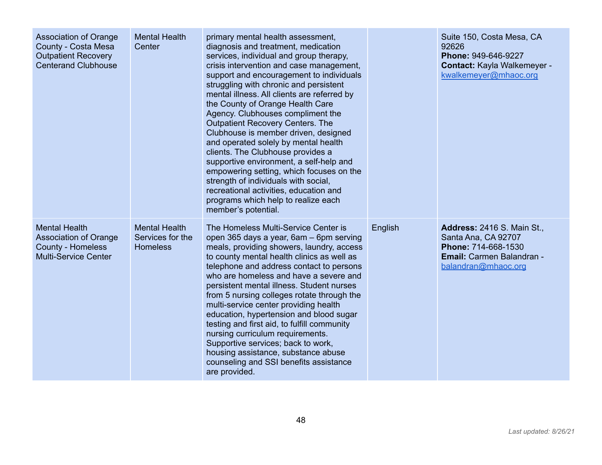| <b>Association of Orange</b><br>County - Costa Mesa<br><b>Outpatient Recovery</b><br><b>Centerand Clubhouse</b> | <b>Mental Health</b><br>Center                              | primary mental health assessment,<br>diagnosis and treatment, medication<br>services, individual and group therapy,<br>crisis intervention and case management,<br>support and encouragement to individuals<br>struggling with chronic and persistent<br>mental illness. All clients are referred by<br>the County of Orange Health Care<br>Agency. Clubhouses compliment the<br><b>Outpatient Recovery Centers. The</b><br>Clubhouse is member driven, designed<br>and operated solely by mental health<br>clients. The Clubhouse provides a<br>supportive environment, a self-help and<br>empowering setting, which focuses on the<br>strength of individuals with social,<br>recreational activities, education and<br>programs which help to realize each<br>member's potential. |         | Suite 150, Costa Mesa, CA<br>92626<br>Phone: 949-646-9227<br>Contact: Kayla Walkemeyer -<br>kwalkemeyer@mhaoc.org                   |
|-----------------------------------------------------------------------------------------------------------------|-------------------------------------------------------------|--------------------------------------------------------------------------------------------------------------------------------------------------------------------------------------------------------------------------------------------------------------------------------------------------------------------------------------------------------------------------------------------------------------------------------------------------------------------------------------------------------------------------------------------------------------------------------------------------------------------------------------------------------------------------------------------------------------------------------------------------------------------------------------|---------|-------------------------------------------------------------------------------------------------------------------------------------|
| <b>Mental Health</b><br>Association of Orange<br>County - Homeless<br><b>Multi-Service Center</b>               | <b>Mental Health</b><br>Services for the<br><b>Homeless</b> | The Homeless Multi-Service Center is<br>open 365 days a year, 6am – 6pm serving<br>meals, providing showers, laundry, access<br>to county mental health clinics as well as<br>telephone and address contact to persons<br>who are homeless and have a severe and<br>persistent mental illness. Student nurses<br>from 5 nursing colleges rotate through the<br>multi-service center providing health<br>education, hypertension and blood sugar<br>testing and first aid, to fulfill community<br>nursing curriculum requirements.<br>Supportive services; back to work,<br>housing assistance, substance abuse<br>counseling and SSI benefits assistance<br>are provided.                                                                                                           | English | <b>Address: 2416 S. Main St.,</b><br>Santa Ana, CA 92707<br>Phone: 714-668-1530<br>Email: Carmen Balandran -<br>balandran@mhaoc.org |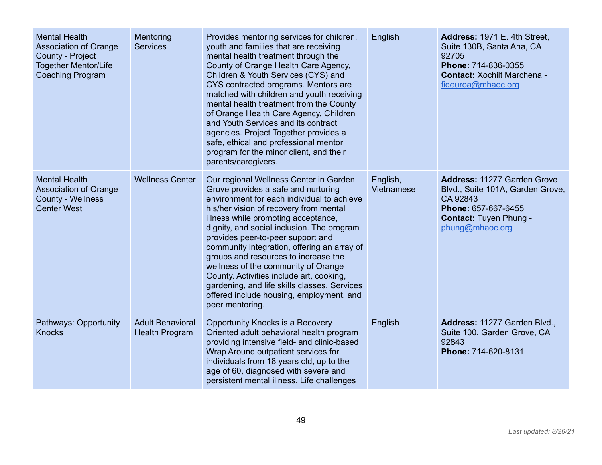| <b>Mental Health</b><br><b>Association of Orange</b><br>County - Project<br><b>Together Mentor/Life</b><br><b>Coaching Program</b> | Mentoring<br><b>Services</b>                     | Provides mentoring services for children,<br>youth and families that are receiving<br>mental health treatment through the<br>County of Orange Health Care Agency,<br>Children & Youth Services (CYS) and<br>CYS contracted programs. Mentors are<br>matched with children and youth receiving<br>mental health treatment from the County<br>of Orange Health Care Agency, Children<br>and Youth Services and its contract<br>agencies. Project Together provides a<br>safe, ethical and professional mentor<br>program for the minor client, and their<br>parents/caregivers.            | English                | Address: 1971 E. 4th Street,<br>Suite 130B, Santa Ana, CA<br>92705<br>Phone: 714-836-0355<br><b>Contact: Xochilt Marchena -</b><br>figeuroa@mhaoc.org         |
|------------------------------------------------------------------------------------------------------------------------------------|--------------------------------------------------|------------------------------------------------------------------------------------------------------------------------------------------------------------------------------------------------------------------------------------------------------------------------------------------------------------------------------------------------------------------------------------------------------------------------------------------------------------------------------------------------------------------------------------------------------------------------------------------|------------------------|---------------------------------------------------------------------------------------------------------------------------------------------------------------|
| <b>Mental Health</b><br><b>Association of Orange</b><br><b>County - Wellness</b><br><b>Center West</b>                             | <b>Wellness Center</b>                           | Our regional Wellness Center in Garden<br>Grove provides a safe and nurturing<br>environment for each individual to achieve<br>his/her vision of recovery from mental<br>illness while promoting acceptance,<br>dignity, and social inclusion. The program<br>provides peer-to-peer support and<br>community integration, offering an array of<br>groups and resources to increase the<br>wellness of the community of Orange<br>County. Activities include art, cooking,<br>gardening, and life skills classes. Services<br>offered include housing, employment, and<br>peer mentoring. | English,<br>Vietnamese | <b>Address: 11277 Garden Grove</b><br>Blvd., Suite 101A, Garden Grove,<br>CA 92843<br>Phone: 657-667-6455<br><b>Contact: Tuyen Phung -</b><br>phung@mhaoc.org |
| Pathways: Opportunity<br><b>Knocks</b>                                                                                             | <b>Adult Behavioral</b><br><b>Health Program</b> | Opportunity Knocks is a Recovery<br>Oriented adult behavioral health program<br>providing intensive field- and clinic-based<br>Wrap Around outpatient services for<br>individuals from 18 years old, up to the<br>age of 60, diagnosed with severe and<br>persistent mental illness. Life challenges                                                                                                                                                                                                                                                                                     | English                | Address: 11277 Garden Blvd.,<br>Suite 100, Garden Grove, CA<br>92843<br>Phone: 714-620-8131                                                                   |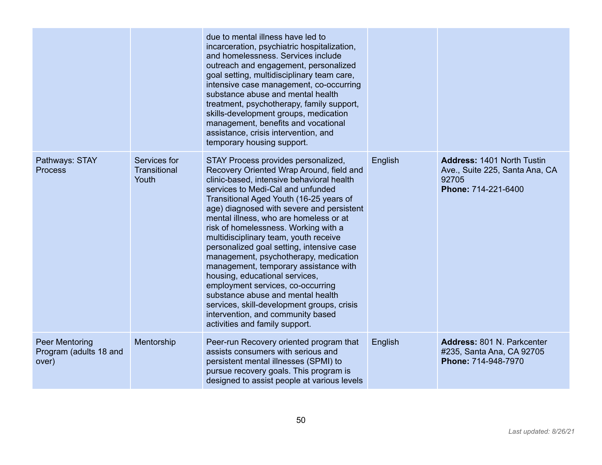|                                                          |                                       | due to mental illness have led to<br>incarceration, psychiatric hospitalization,<br>and homelessness. Services include<br>outreach and engagement, personalized<br>goal setting, multidisciplinary team care,<br>intensive case management, co-occurring<br>substance abuse and mental health<br>treatment, psychotherapy, family support,<br>skills-development groups, medication<br>management, benefits and vocational<br>assistance, crisis intervention, and<br>temporary housing support.                                                                                                                                                                                                                                                     |         |                                                                                                     |
|----------------------------------------------------------|---------------------------------------|------------------------------------------------------------------------------------------------------------------------------------------------------------------------------------------------------------------------------------------------------------------------------------------------------------------------------------------------------------------------------------------------------------------------------------------------------------------------------------------------------------------------------------------------------------------------------------------------------------------------------------------------------------------------------------------------------------------------------------------------------|---------|-----------------------------------------------------------------------------------------------------|
| Pathways: STAY<br><b>Process</b>                         | Services for<br>Transitional<br>Youth | STAY Process provides personalized,<br>Recovery Oriented Wrap Around, field and<br>clinic-based, intensive behavioral health<br>services to Medi-Cal and unfunded<br>Transitional Aged Youth (16-25 years of<br>age) diagnosed with severe and persistent<br>mental illness, who are homeless or at<br>risk of homelessness. Working with a<br>multidisciplinary team, youth receive<br>personalized goal setting, intensive case<br>management, psychotherapy, medication<br>management, temporary assistance with<br>housing, educational services,<br>employment services, co-occurring<br>substance abuse and mental health<br>services, skill-development groups, crisis<br>intervention, and community based<br>activities and family support. | English | <b>Address: 1401 North Tustin</b><br>Ave., Suite 225, Santa Ana, CA<br>92705<br>Phone: 714-221-6400 |
| <b>Peer Mentoring</b><br>Program (adults 18 and<br>over) | Mentorship                            | Peer-run Recovery oriented program that<br>assists consumers with serious and<br>persistent mental illnesses (SPMI) to<br>pursue recovery goals. This program is<br>designed to assist people at various levels                                                                                                                                                                                                                                                                                                                                                                                                                                                                                                                                      | English | Address: 801 N. Parkcenter<br>#235, Santa Ana, CA 92705<br>Phone: 714-948-7970                      |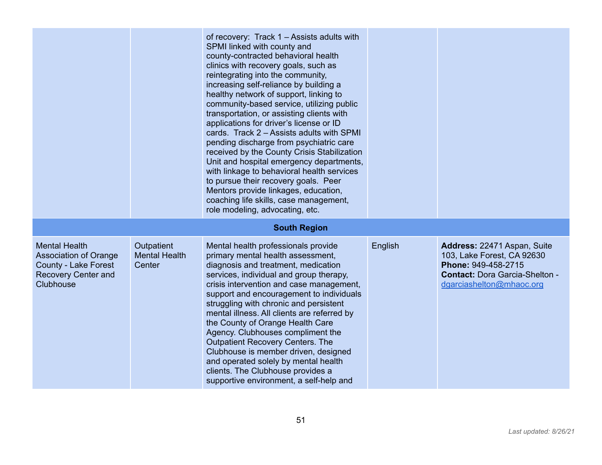|                                                                                                                         |                                              | of recovery: Track 1 – Assists adults with<br>SPMI linked with county and<br>county-contracted behavioral health<br>clinics with recovery goals, such as<br>reintegrating into the community,<br>increasing self-reliance by building a<br>healthy network of support, linking to<br>community-based service, utilizing public<br>transportation, or assisting clients with<br>applications for driver's license or ID<br>cards. Track 2 – Assists adults with SPMI<br>pending discharge from psychiatric care<br>received by the County Crisis Stabilization<br>Unit and hospital emergency departments,<br>with linkage to behavioral health services<br>to pursue their recovery goals. Peer<br>Mentors provide linkages, education,<br>coaching life skills, case management,<br>role modeling, advocating, etc. |         |                                                                                                                                                       |
|-------------------------------------------------------------------------------------------------------------------------|----------------------------------------------|----------------------------------------------------------------------------------------------------------------------------------------------------------------------------------------------------------------------------------------------------------------------------------------------------------------------------------------------------------------------------------------------------------------------------------------------------------------------------------------------------------------------------------------------------------------------------------------------------------------------------------------------------------------------------------------------------------------------------------------------------------------------------------------------------------------------|---------|-------------------------------------------------------------------------------------------------------------------------------------------------------|
|                                                                                                                         |                                              | <b>South Region</b>                                                                                                                                                                                                                                                                                                                                                                                                                                                                                                                                                                                                                                                                                                                                                                                                  |         |                                                                                                                                                       |
| <b>Mental Health</b><br><b>Association of Orange</b><br>County - Lake Forest<br><b>Recovery Center and</b><br>Clubhouse | Outpatient<br><b>Mental Health</b><br>Center | Mental health professionals provide<br>primary mental health assessment,<br>diagnosis and treatment, medication<br>services, individual and group therapy,<br>crisis intervention and case management,<br>support and encouragement to individuals<br>struggling with chronic and persistent<br>mental illness. All clients are referred by<br>the County of Orange Health Care<br>Agency. Clubhouses compliment the<br><b>Outpatient Recovery Centers. The</b><br>Clubhouse is member driven, designed<br>and operated solely by mental health<br>clients. The Clubhouse provides a<br>supportive environment, a self-help and                                                                                                                                                                                      | English | Address: 22471 Aspan, Suite<br>103, Lake Forest, CA 92630<br>Phone: 949-458-2715<br><b>Contact: Dora Garcia-Shelton -</b><br>dgarciashelton@mhaoc.org |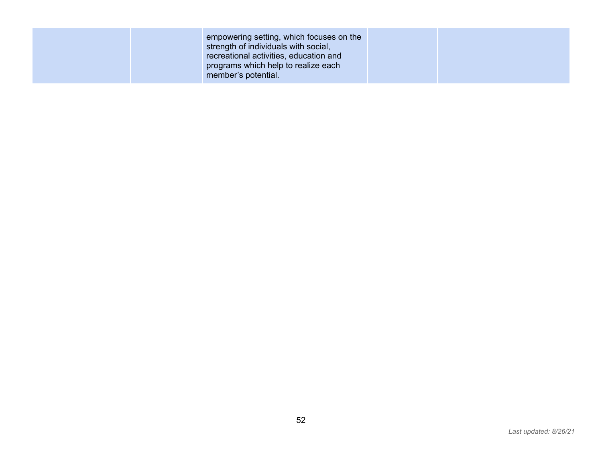| member's potential. |
|---------------------|
|---------------------|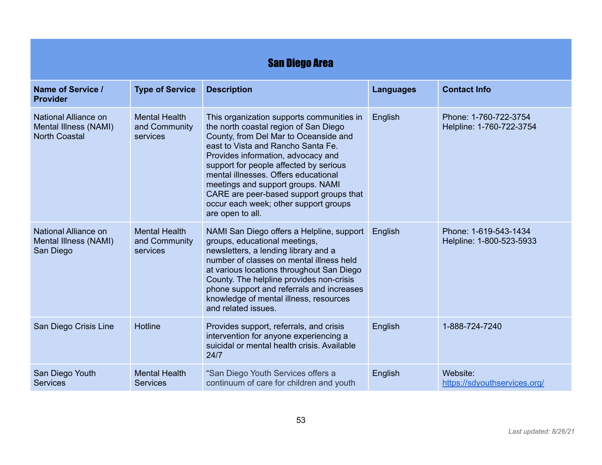| <b>San Diego Area</b>                                                 |                                                   |                                                                                                                                                                                                                                                                                                                                                                                                                                        |                  |                                                   |  |
|-----------------------------------------------------------------------|---------------------------------------------------|----------------------------------------------------------------------------------------------------------------------------------------------------------------------------------------------------------------------------------------------------------------------------------------------------------------------------------------------------------------------------------------------------------------------------------------|------------------|---------------------------------------------------|--|
| Name of Service /<br><b>Provider</b>                                  | <b>Type of Service</b>                            | <b>Description</b>                                                                                                                                                                                                                                                                                                                                                                                                                     | <b>Languages</b> | <b>Contact Info</b>                               |  |
| National Alliance on<br>Mental Illness (NAMI)<br><b>North Coastal</b> | <b>Mental Health</b><br>and Community<br>services | This organization supports communities in<br>the north coastal region of San Diego<br>County, from Del Mar to Oceanside and<br>east to Vista and Rancho Santa Fe.<br>Provides information, advocacy and<br>support for people affected by serious<br>mental illnesses. Offers educational<br>meetings and support groups. NAMI<br>CARE are peer-based support groups that<br>occur each week; other support groups<br>are open to all. | English          | Phone: 1-760-722-3754<br>Helpline: 1-760-722-3754 |  |
| National Alliance on<br>Mental Illness (NAMI)<br>San Diego            | <b>Mental Health</b><br>and Community<br>services | NAMI San Diego offers a Helpline, support<br>groups, educational meetings,<br>newsletters, a lending library and a<br>number of classes on mental illness held<br>at various locations throughout San Diego<br>County. The helpline provides non-crisis<br>phone support and referrals and increases<br>knowledge of mental illness, resources<br>and related issues.                                                                  | English          | Phone: 1-619-543-1434<br>Helpline: 1-800-523-5933 |  |
| San Diego Crisis Line                                                 | <b>Hotline</b>                                    | Provides support, referrals, and crisis<br>intervention for anyone experiencing a<br>suicidal or mental health crisis. Available<br>24/7                                                                                                                                                                                                                                                                                               | English          | 1-888-724-7240                                    |  |
| San Diego Youth<br><b>Services</b>                                    | <b>Mental Health</b><br><b>Services</b>           | "San Diego Youth Services offers a<br>continuum of care for children and youth                                                                                                                                                                                                                                                                                                                                                         | English          | Website:<br>https://sdyouthservices.org/          |  |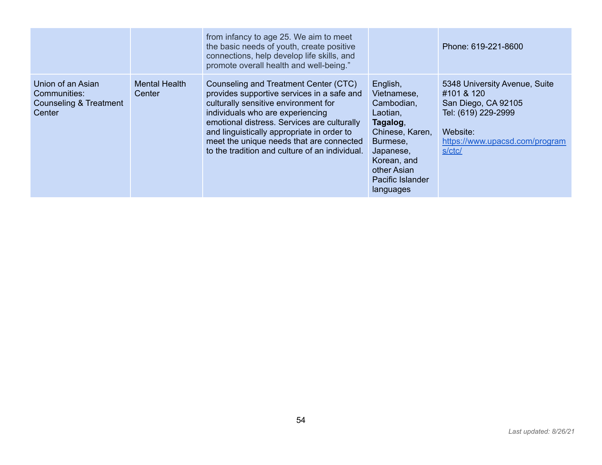|                                                                                  |                                | from infancy to age 25. We aim to meet<br>the basic needs of youth, create positive<br>connections, help develop life skills, and<br>promote overall health and well-being."                                                                                                                                                                               |                                                                                                                                                                          | Phone: 619-221-8600                                                                                                                               |
|----------------------------------------------------------------------------------|--------------------------------|------------------------------------------------------------------------------------------------------------------------------------------------------------------------------------------------------------------------------------------------------------------------------------------------------------------------------------------------------------|--------------------------------------------------------------------------------------------------------------------------------------------------------------------------|---------------------------------------------------------------------------------------------------------------------------------------------------|
| Union of an Asian<br>Communities:<br><b>Counseling &amp; Treatment</b><br>Center | <b>Mental Health</b><br>Center | Counseling and Treatment Center (CTC)<br>provides supportive services in a safe and<br>culturally sensitive environment for<br>individuals who are experiencing<br>emotional distress. Services are culturally<br>and linguistically appropriate in order to<br>meet the unique needs that are connected<br>to the tradition and culture of an individual. | English,<br>Vietnamese,<br>Cambodian,<br>Laotian,<br>Tagalog,<br>Chinese, Karen,<br>Burmese,<br>Japanese,<br>Korean, and<br>other Asian<br>Pacific Islander<br>languages | 5348 University Avenue, Suite<br>#101 & 120<br>San Diego, CA 92105<br>Tel: (619) 229-2999<br>Website:<br>https://www.upacsd.com/program<br>s/ctc/ |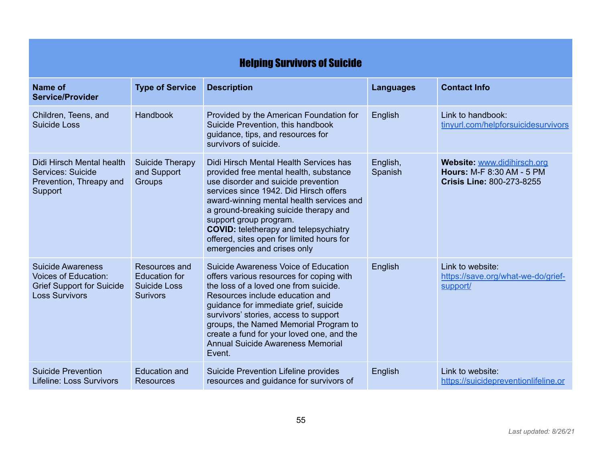|                                                                                                                      | <b>Helping Survivors of Suicide</b>                                             |                                                                                                                                                                                                                                                                                                                                                                                                              |                     |                                                                                                     |  |
|----------------------------------------------------------------------------------------------------------------------|---------------------------------------------------------------------------------|--------------------------------------------------------------------------------------------------------------------------------------------------------------------------------------------------------------------------------------------------------------------------------------------------------------------------------------------------------------------------------------------------------------|---------------------|-----------------------------------------------------------------------------------------------------|--|
| Name of<br><b>Service/Provider</b>                                                                                   | <b>Type of Service</b>                                                          | <b>Description</b>                                                                                                                                                                                                                                                                                                                                                                                           | <b>Languages</b>    | <b>Contact Info</b>                                                                                 |  |
| Children, Teens, and<br>Suicide Loss                                                                                 | Handbook                                                                        | Provided by the American Foundation for<br>Suicide Prevention, this handbook<br>guidance, tips, and resources for<br>survivors of suicide.                                                                                                                                                                                                                                                                   | English             | Link to handbook:<br>tinyurl.com/helpforsuicidesurvivors                                            |  |
| Didi Hirsch Mental health<br>Services: Suicide<br>Prevention, Threapy and<br>Support                                 | <b>Suicide Therapy</b><br>and Support<br>Groups                                 | Didi Hirsch Mental Health Services has<br>provided free mental health, substance<br>use disorder and suicide prevention<br>services since 1942. Did Hirsch offers<br>award-winning mental health services and<br>a ground-breaking suicide therapy and<br>support group program.<br><b>COVID:</b> teletherapy and telepsychiatry<br>offered, sites open for limited hours for<br>emergencies and crises only | English,<br>Spanish | Website: www.didihirsch.org<br><b>Hours: M-F 8:30 AM - 5 PM</b><br><b>Crisis Line: 800-273-8255</b> |  |
| <b>Suicide Awareness</b><br><b>Voices of Education:</b><br><b>Grief Support for Suicide</b><br><b>Loss Survivors</b> | Resources and<br><b>Education for</b><br><b>Suicide Loss</b><br><b>Surivors</b> | Suicide Awareness Voice of Education<br>offers various resources for coping with<br>the loss of a loved one from suicide.<br>Resources include education and<br>guidance for immediate grief, suicide<br>survivors' stories, access to support<br>groups, the Named Memorial Program to<br>create a fund for your loved one, and the<br><b>Annual Suicide Awareness Memorial</b><br>Event.                   | English             | Link to website:<br>https://save.org/what-we-do/grief-<br>support/                                  |  |
| <b>Suicide Prevention</b><br><b>Lifeline: Loss Survivors</b>                                                         | <b>Education and</b><br><b>Resources</b>                                        | Suicide Prevention Lifeline provides<br>resources and guidance for survivors of                                                                                                                                                                                                                                                                                                                              | English             | Link to website:<br>https://suicidepreventionlifeline.or                                            |  |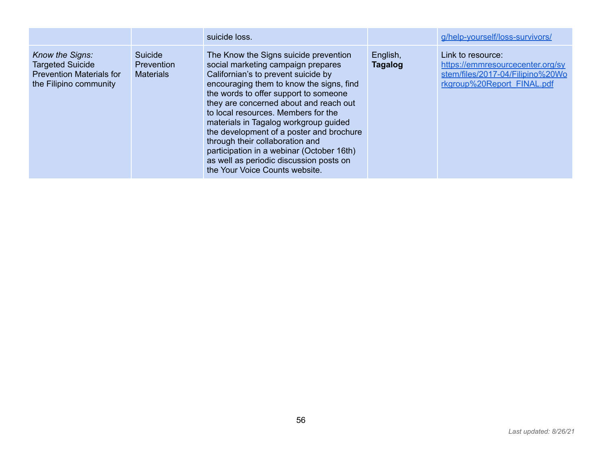|                                                                                                         |                                                  | suicide loss.                                                                                                                                                                                                                                                                                                                                                                                                                                                                                                                              |                     | g/help-yourself/loss-survivors/                                                                                         |
|---------------------------------------------------------------------------------------------------------|--------------------------------------------------|--------------------------------------------------------------------------------------------------------------------------------------------------------------------------------------------------------------------------------------------------------------------------------------------------------------------------------------------------------------------------------------------------------------------------------------------------------------------------------------------------------------------------------------------|---------------------|-------------------------------------------------------------------------------------------------------------------------|
| Know the Signs:<br><b>Targeted Suicide</b><br><b>Prevention Materials for</b><br>the Filipino community | Suicide<br><b>Prevention</b><br><b>Materials</b> | The Know the Signs suicide prevention<br>social marketing campaign prepares<br>Californian's to prevent suicide by<br>encouraging them to know the signs, find<br>the words to offer support to someone<br>they are concerned about and reach out<br>to local resources. Members for the<br>materials in Tagalog workgroup guided<br>the development of a poster and brochure<br>through their collaboration and<br>participation in a webinar (October 16th)<br>as well as periodic discussion posts on<br>the Your Voice Counts website. | English,<br>Tagalog | Link to resource:<br>https://emmresourcecenter.org/sy<br>stem/files/2017-04/Filipino%20Wo<br>rkgroup%20Report FINAL.pdf |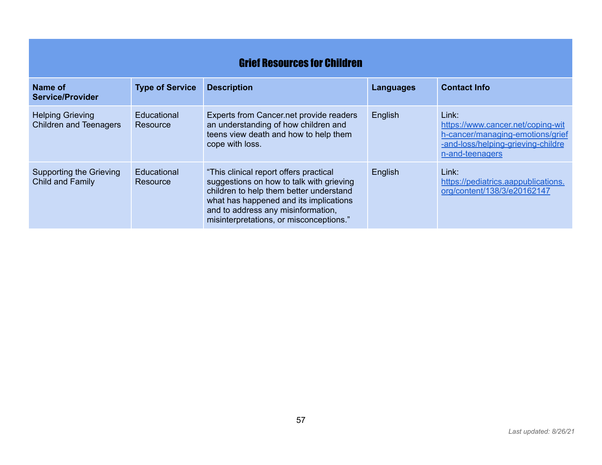|                                                          | <b>Grief Resources for Children</b> |                                                                                                                                                                                                                                                          |                  |                                                                                                                                         |  |
|----------------------------------------------------------|-------------------------------------|----------------------------------------------------------------------------------------------------------------------------------------------------------------------------------------------------------------------------------------------------------|------------------|-----------------------------------------------------------------------------------------------------------------------------------------|--|
| Name of<br><b>Service/Provider</b>                       | <b>Type of Service</b>              | <b>Description</b>                                                                                                                                                                                                                                       | <b>Languages</b> | <b>Contact Info</b>                                                                                                                     |  |
| <b>Helping Grieving</b><br><b>Children and Teenagers</b> | Educational<br>Resource             | Experts from Cancer.net provide readers<br>an understanding of how children and<br>teens view death and how to help them<br>cope with loss.                                                                                                              | English          | Link:<br>https://www.cancer.net/coping-wit<br>h-cancer/managing-emotions/grief<br>-and-loss/helping-grieving-childre<br>n-and-teenagers |  |
| Supporting the Grieving<br><b>Child and Family</b>       | Educational<br>Resource             | "This clinical report offers practical<br>suggestions on how to talk with grieving<br>children to help them better understand<br>what has happened and its implications<br>and to address any misinformation,<br>misinterpretations, or misconceptions." | English          | Link:<br>https://pediatrics.aappublications.<br>org/content/138/3/e20162147                                                             |  |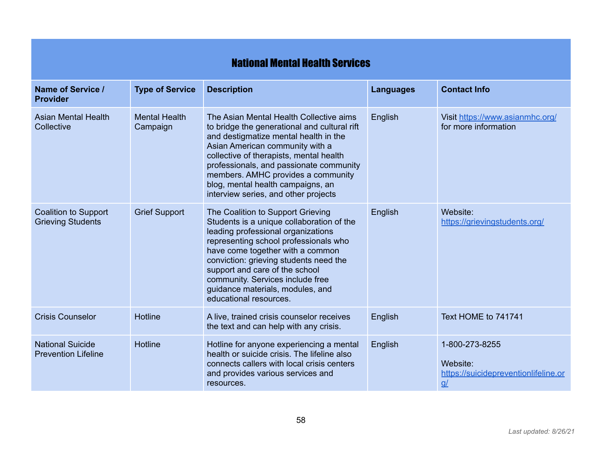## National Mental Health Services

| Name of Service /<br><b>Provider</b>                    | <b>Type of Service</b>           | <b>Description</b>                                                                                                                                                                                                                                                                                                                                                              | <b>Languages</b> | <b>Contact Info</b>                                                                   |
|---------------------------------------------------------|----------------------------------|---------------------------------------------------------------------------------------------------------------------------------------------------------------------------------------------------------------------------------------------------------------------------------------------------------------------------------------------------------------------------------|------------------|---------------------------------------------------------------------------------------|
| <b>Asian Mental Health</b><br>Collective                | <b>Mental Health</b><br>Campaign | The Asian Mental Health Collective aims<br>to bridge the generational and cultural rift<br>and destigmatize mental health in the<br>Asian American community with a<br>collective of therapists, mental health<br>professionals, and passionate community<br>members. AMHC provides a community<br>blog, mental health campaigns, an<br>interview series, and other projects    | English          | Visit https://www.asianmhc.org/<br>for more information                               |
| <b>Coalition to Support</b><br><b>Grieving Students</b> | <b>Grief Support</b>             | The Coalition to Support Grieving<br>Students is a unique collaboration of the<br>leading professional organizations<br>representing school professionals who<br>have come together with a common<br>conviction: grieving students need the<br>support and care of the school<br>community. Services include free<br>guidance materials, modules, and<br>educational resources. | English          | Website:<br>https://grievingstudents.org/                                             |
| <b>Crisis Counselor</b>                                 | <b>Hotline</b>                   | A live, trained crisis counselor receives<br>the text and can help with any crisis.                                                                                                                                                                                                                                                                                             | English          | Text HOME to 741741                                                                   |
| <b>National Suicide</b><br><b>Prevention Lifeline</b>   | <b>Hotline</b>                   | Hotline for anyone experiencing a mental<br>health or suicide crisis. The lifeline also<br>connects callers with local crisis centers<br>and provides various services and<br>resources.                                                                                                                                                                                        | English          | 1-800-273-8255<br>Website:<br>https://suicidepreventionlifeline.or<br>$\underline{q}$ |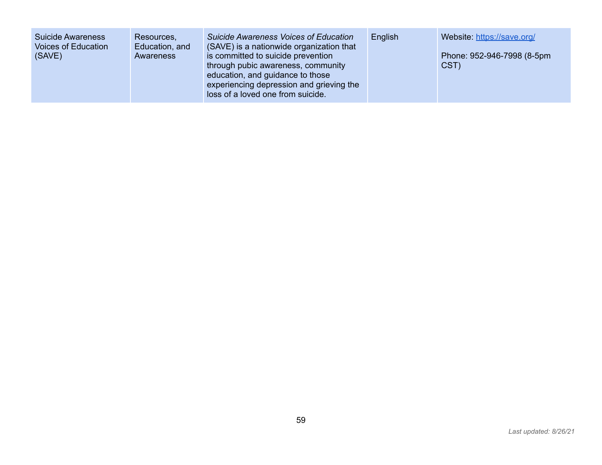| Suicide Awareness<br>Voices of Education<br>(SAVE) | Resources,<br>Education, and<br>Awareness | <b>Suicide Awareness Voices of Education</b><br>(SAVE) is a nationwide organization that<br>is committed to suicide prevention<br>through pubic awareness, community<br>education, and guidance to those<br>experiencing depression and grieving the | English | Website: https://save.org/<br>Phone: 952-946-7998 (8-5pm<br>CST) |
|----------------------------------------------------|-------------------------------------------|------------------------------------------------------------------------------------------------------------------------------------------------------------------------------------------------------------------------------------------------------|---------|------------------------------------------------------------------|
|                                                    |                                           | loss of a loved one from suicide.                                                                                                                                                                                                                    |         |                                                                  |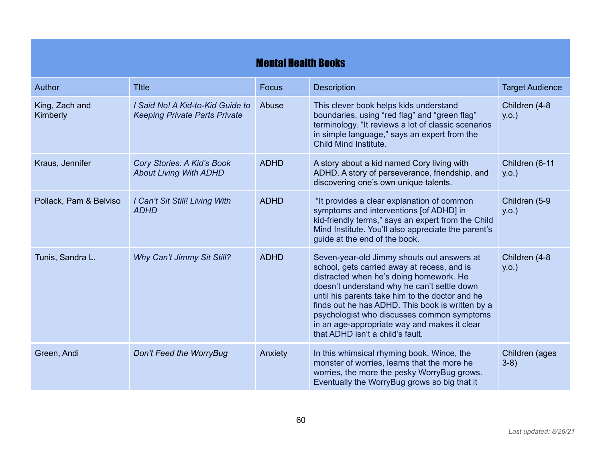|                            |                                                                          | <b>Mental Health Books</b> |                                                                                                                                                                                                                                                                                                                                                                                                                              |                            |
|----------------------------|--------------------------------------------------------------------------|----------------------------|------------------------------------------------------------------------------------------------------------------------------------------------------------------------------------------------------------------------------------------------------------------------------------------------------------------------------------------------------------------------------------------------------------------------------|----------------------------|
| Author                     | <b>Title</b>                                                             | <b>Focus</b>               | <b>Description</b>                                                                                                                                                                                                                                                                                                                                                                                                           | <b>Target Audience</b>     |
| King, Zach and<br>Kimberly | I Said No! A Kid-to-Kid Guide to<br><b>Keeping Private Parts Private</b> | Abuse                      | This clever book helps kids understand<br>boundaries, using "red flag" and "green flag"<br>terminology. "It reviews a lot of classic scenarios<br>in simple language," says an expert from the<br>Child Mind Institute.                                                                                                                                                                                                      | Children (4-8<br>$y.o.$ )  |
| Kraus, Jennifer            | <b>Cory Stories: A Kid's Book</b><br><b>About Living With ADHD</b>       | <b>ADHD</b>                | A story about a kid named Cory living with<br>ADHD. A story of perseverance, friendship, and<br>discovering one's own unique talents.                                                                                                                                                                                                                                                                                        | Children (6-11<br>$y.o.$ ) |
| Pollack, Pam & Belviso     | I Can't Sit Still! Living With<br><b>ADHD</b>                            | <b>ADHD</b>                | "It provides a clear explanation of common<br>symptoms and interventions [of ADHD] in<br>kid-friendly terms," says an expert from the Child<br>Mind Institute. You'll also appreciate the parent's<br>guide at the end of the book.                                                                                                                                                                                          | Children (5-9<br>y.o.      |
| Tunis, Sandra L.           | Why Can't Jimmy Sit Still?                                               | <b>ADHD</b>                | Seven-year-old Jimmy shouts out answers at<br>school, gets carried away at recess, and is<br>distracted when he's doing homework. He<br>doesn't understand why he can't settle down<br>until his parents take him to the doctor and he<br>finds out he has ADHD. This book is written by a<br>psychologist who discusses common symptoms<br>in an age-appropriate way and makes it clear<br>that ADHD isn't a child's fault. | Children (4-8<br>$y.o.$ )  |
| Green, Andi                | Don't Feed the WorryBug                                                  | Anxiety                    | In this whimsical rhyming book, Wince, the<br>monster of worries, learns that the more he<br>worries, the more the pesky WorryBug grows.<br>Eventually the WorryBug grows so big that it                                                                                                                                                                                                                                     | Children (ages<br>$3-8)$   |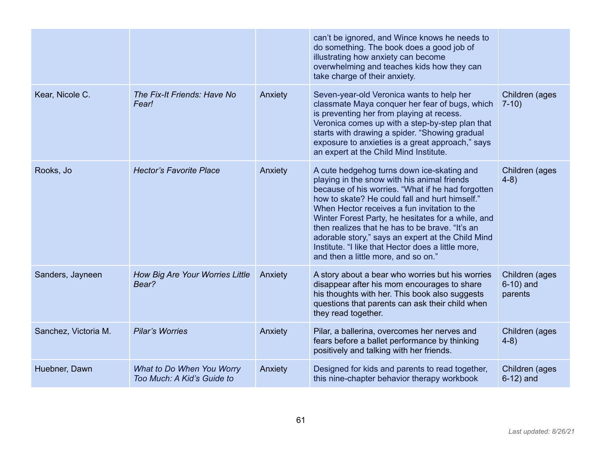|                      |                                                         |         | can't be ignored, and Wince knows he needs to<br>do something. The book does a good job of<br>illustrating how anxiety can become<br>overwhelming and teaches kids how they can<br>take charge of their anxiety.                                                                                                                                                                                                                                                                                            |                                           |
|----------------------|---------------------------------------------------------|---------|-------------------------------------------------------------------------------------------------------------------------------------------------------------------------------------------------------------------------------------------------------------------------------------------------------------------------------------------------------------------------------------------------------------------------------------------------------------------------------------------------------------|-------------------------------------------|
| Kear, Nicole C.      | The Fix-It Friends: Have No<br>Fear!                    | Anxiety | Seven-year-old Veronica wants to help her<br>classmate Maya conquer her fear of bugs, which<br>is preventing her from playing at recess.<br>Veronica comes up with a step-by-step plan that<br>starts with drawing a spider. "Showing gradual<br>exposure to anxieties is a great approach," says<br>an expert at the Child Mind Institute.                                                                                                                                                                 | Children (ages<br>$7-10$                  |
| Rooks, Jo            | <b>Hector's Favorite Place</b>                          | Anxiety | A cute hedgehog turns down ice-skating and<br>playing in the snow with his animal friends<br>because of his worries. "What if he had forgotten<br>how to skate? He could fall and hurt himself."<br>When Hector receives a fun invitation to the<br>Winter Forest Party, he hesitates for a while, and<br>then realizes that he has to be brave. "It's an<br>adorable story," says an expert at the Child Mind<br>Institute. "I like that Hector does a little more,<br>and then a little more, and so on." | Children (ages<br>$4-8)$                  |
| Sanders, Jayneen     | How Big Are Your Worries Little<br>Bear?                | Anxiety | A story about a bear who worries but his worries<br>disappear after his mom encourages to share<br>his thoughts with her. This book also suggests<br>questions that parents can ask their child when<br>they read together.                                                                                                                                                                                                                                                                                 | Children (ages<br>$6-10$ ) and<br>parents |
| Sanchez, Victoria M. | <b>Pilar's Worries</b>                                  | Anxiety | Pilar, a ballerina, overcomes her nerves and<br>fears before a ballet performance by thinking<br>positively and talking with her friends.                                                                                                                                                                                                                                                                                                                                                                   | Children (ages<br>$4-8)$                  |
| Huebner, Dawn        | What to Do When You Worry<br>Too Much: A Kid's Guide to | Anxiety | Designed for kids and parents to read together,<br>this nine-chapter behavior therapy workbook                                                                                                                                                                                                                                                                                                                                                                                                              | Children (ages<br>$6-12$ ) and            |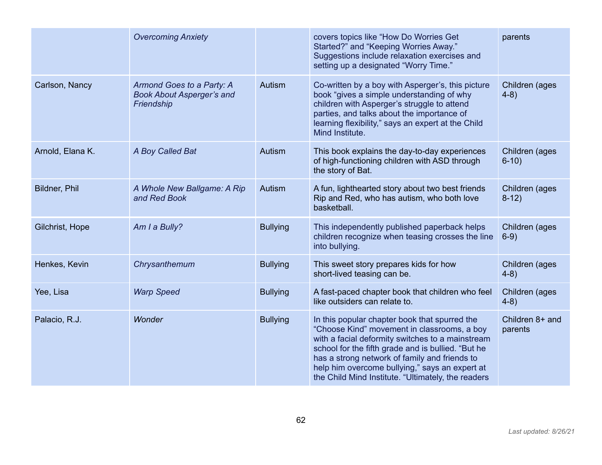|                  | <b>Overcoming Anxiety</b>                                                   |                 | covers topics like "How Do Worries Get<br>Started?" and "Keeping Worries Away."<br>Suggestions include relaxation exercises and<br>setting up a designated "Worry Time."                                                                                                                                                                                        | parents                    |
|------------------|-----------------------------------------------------------------------------|-----------------|-----------------------------------------------------------------------------------------------------------------------------------------------------------------------------------------------------------------------------------------------------------------------------------------------------------------------------------------------------------------|----------------------------|
| Carlson, Nancy   | Armond Goes to a Party: A<br><b>Book About Asperger's and</b><br>Friendship | Autism          | Co-written by a boy with Asperger's, this picture<br>book "gives a simple understanding of why<br>children with Asperger's struggle to attend<br>parties, and talks about the importance of<br>learning flexibility," says an expert at the Child<br>Mind Institute.                                                                                            | Children (ages<br>$4-8$ )  |
| Arnold, Elana K. | A Boy Called Bat                                                            | Autism          | This book explains the day-to-day experiences<br>of high-functioning children with ASD through<br>the story of Bat.                                                                                                                                                                                                                                             | Children (ages<br>$6-10$   |
| Bildner, Phil    | A Whole New Ballgame: A Rip<br>and Red Book                                 | Autism          | A fun, lighthearted story about two best friends<br>Rip and Red, who has autism, who both love<br>basketball.                                                                                                                                                                                                                                                   | Children (ages<br>$8-12)$  |
| Gilchrist, Hope  | Am I a Bully?                                                               | <b>Bullying</b> | This independently published paperback helps<br>children recognize when teasing crosses the line<br>into bullying.                                                                                                                                                                                                                                              | Children (ages<br>$6-9)$   |
| Henkes, Kevin    | Chrysanthemum                                                               | <b>Bullying</b> | This sweet story prepares kids for how<br>short-lived teasing can be.                                                                                                                                                                                                                                                                                           | Children (ages<br>$4-8)$   |
| Yee, Lisa        | <b>Warp Speed</b>                                                           | <b>Bullying</b> | A fast-paced chapter book that children who feel<br>like outsiders can relate to.                                                                                                                                                                                                                                                                               | Children (ages<br>$4-8)$   |
| Palacio, R.J.    | Wonder                                                                      | <b>Bullying</b> | In this popular chapter book that spurred the<br>"Choose Kind" movement in classrooms, a boy<br>with a facial deformity switches to a mainstream<br>school for the fifth grade and is bullied. "But he<br>has a strong network of family and friends to<br>help him overcome bullying," says an expert at<br>the Child Mind Institute. "Ultimately, the readers | Children 8+ and<br>parents |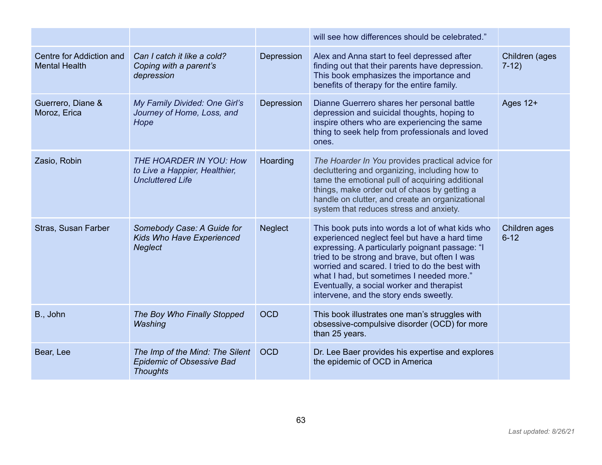|                                                  |                                                                                        |                | will see how differences should be celebrated."                                                                                                                                                                                                                                                                                                                                              |                           |
|--------------------------------------------------|----------------------------------------------------------------------------------------|----------------|----------------------------------------------------------------------------------------------------------------------------------------------------------------------------------------------------------------------------------------------------------------------------------------------------------------------------------------------------------------------------------------------|---------------------------|
| Centre for Addiction and<br><b>Mental Health</b> | Can I catch it like a cold?<br>Coping with a parent's<br>depression                    | Depression     | Alex and Anna start to feel depressed after<br>finding out that their parents have depression.<br>This book emphasizes the importance and<br>benefits of therapy for the entire family.                                                                                                                                                                                                      | Children (ages<br>$7-12)$ |
| Guerrero, Diane &<br>Moroz, Erica                | My Family Divided: One Girl's<br>Journey of Home, Loss, and<br>Hope                    | Depression     | Dianne Guerrero shares her personal battle<br>depression and suicidal thoughts, hoping to<br>inspire others who are experiencing the same<br>thing to seek help from professionals and loved<br>ones.                                                                                                                                                                                        | Ages $12+$                |
| Zasio, Robin                                     | THE HOARDER IN YOU: How<br>to Live a Happier, Healthier,<br><b>Uncluttered Life</b>    | Hoarding       | The Hoarder In You provides practical advice for<br>decluttering and organizing, including how to<br>tame the emotional pull of acquiring additional<br>things, make order out of chaos by getting a<br>handle on clutter, and create an organizational<br>system that reduces stress and anxiety.                                                                                           |                           |
| Stras, Susan Farber                              | Somebody Case: A Guide for<br>Kids Who Have Experienced<br><b>Neglect</b>              | <b>Neglect</b> | This book puts into words a lot of what kids who<br>experienced neglect feel but have a hard time<br>expressing. A particularly poignant passage: "I<br>tried to be strong and brave, but often I was<br>worried and scared. I tried to do the best with<br>what I had, but sometimes I needed more."<br>Eventually, a social worker and therapist<br>intervene, and the story ends sweetly. | Children ages<br>$6 - 12$ |
| B., John                                         | The Boy Who Finally Stopped<br>Washing                                                 | <b>OCD</b>     | This book illustrates one man's struggles with<br>obsessive-compulsive disorder (OCD) for more<br>than 25 years.                                                                                                                                                                                                                                                                             |                           |
| Bear, Lee                                        | The Imp of the Mind: The Silent<br><b>Epidemic of Obsessive Bad</b><br><b>Thoughts</b> | <b>OCD</b>     | Dr. Lee Baer provides his expertise and explores<br>the epidemic of OCD in America                                                                                                                                                                                                                                                                                                           |                           |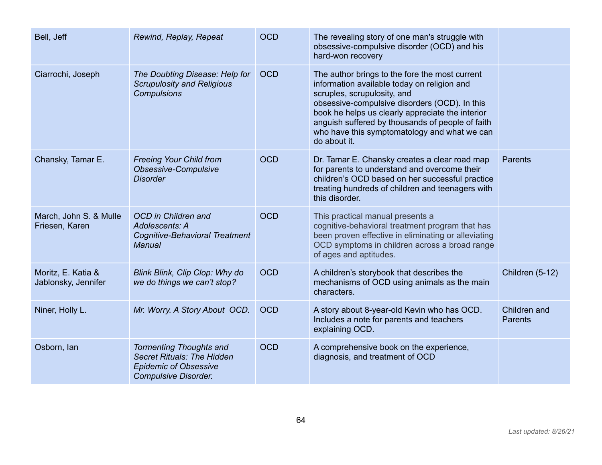| Bell, Jeff                                | Rewind, Replay, Repeat                                                                                                             | <b>OCD</b> | The revealing story of one man's struggle with<br>obsessive-compulsive disorder (OCD) and his<br>hard-won recovery                                                                                                                                                                                                                                    |                                |
|-------------------------------------------|------------------------------------------------------------------------------------------------------------------------------------|------------|-------------------------------------------------------------------------------------------------------------------------------------------------------------------------------------------------------------------------------------------------------------------------------------------------------------------------------------------------------|--------------------------------|
| Ciarrochi, Joseph                         | The Doubting Disease: Help for<br><b>Scrupulosity and Religious</b><br><b>Compulsions</b>                                          | <b>OCD</b> | The author brings to the fore the most current<br>information available today on religion and<br>scruples, scrupulosity, and<br>obsessive-compulsive disorders (OCD). In this<br>book he helps us clearly appreciate the interior<br>anguish suffered by thousands of people of faith<br>who have this symptomatology and what we can<br>do about it. |                                |
| Chansky, Tamar E.                         | <b>Freeing Your Child from</b><br>Obsessive-Compulsive<br><b>Disorder</b>                                                          | <b>OCD</b> | Dr. Tamar E. Chansky creates a clear road map<br>for parents to understand and overcome their<br>children's OCD based on her successful practice<br>treating hundreds of children and teenagers with<br>this disorder.                                                                                                                                | <b>Parents</b>                 |
| March, John S. & Mulle<br>Friesen, Karen  | OCD in Children and<br>Adolescents: A<br><b>Cognitive-Behavioral Treatment</b><br><b>Manual</b>                                    | <b>OCD</b> | This practical manual presents a<br>cognitive-behavioral treatment program that has<br>been proven effective in eliminating or alleviating<br>OCD symptoms in children across a broad range<br>of ages and aptitudes.                                                                                                                                 |                                |
| Moritz, E. Katia &<br>Jablonsky, Jennifer | Blink Blink, Clip Clop: Why do<br>we do things we can't stop?                                                                      | <b>OCD</b> | A children's storybook that describes the<br>mechanisms of OCD using animals as the main<br>characters.                                                                                                                                                                                                                                               | Children (5-12)                |
| Niner, Holly L.                           | Mr. Worry. A Story About OCD.                                                                                                      | <b>OCD</b> | A story about 8-year-old Kevin who has OCD.<br>Includes a note for parents and teachers<br>explaining OCD.                                                                                                                                                                                                                                            | Children and<br><b>Parents</b> |
| Osborn, Ian                               | <b>Tormenting Thoughts and</b><br><b>Secret Rituals: The Hidden</b><br><b>Epidemic of Obsessive</b><br><b>Compulsive Disorder.</b> | <b>OCD</b> | A comprehensive book on the experience,<br>diagnosis, and treatment of OCD                                                                                                                                                                                                                                                                            |                                |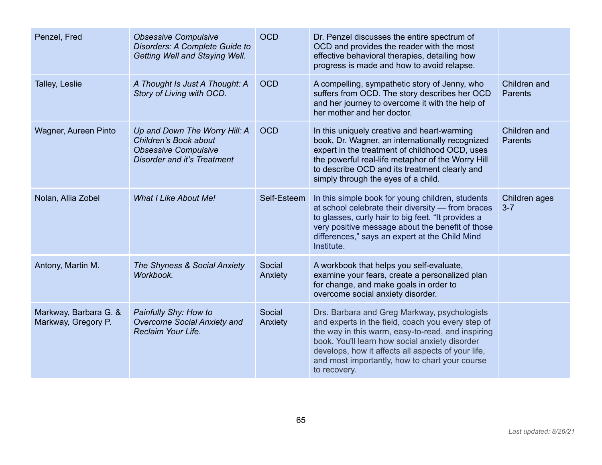| Penzel, Fred                                 | <b>Obsessive Compulsive</b><br>Disorders: A Complete Guide to<br>Getting Well and Staying Well.                      | <b>OCD</b>        | Dr. Penzel discusses the entire spectrum of<br>OCD and provides the reader with the most<br>effective behavioral therapies, detailing how<br>progress is made and how to avoid relapse.                                                                                                                                          |                                |
|----------------------------------------------|----------------------------------------------------------------------------------------------------------------------|-------------------|----------------------------------------------------------------------------------------------------------------------------------------------------------------------------------------------------------------------------------------------------------------------------------------------------------------------------------|--------------------------------|
| Talley, Leslie                               | A Thought Is Just A Thought: A<br>Story of Living with OCD.                                                          | <b>OCD</b>        | A compelling, sympathetic story of Jenny, who<br>suffers from OCD. The story describes her OCD<br>and her journey to overcome it with the help of<br>her mother and her doctor.                                                                                                                                                  | Children and<br><b>Parents</b> |
| Wagner, Aureen Pinto                         | Up and Down The Worry Hill: A<br>Children's Book about<br><b>Obsessive Compulsive</b><br>Disorder and it's Treatment | <b>OCD</b>        | In this uniquely creative and heart-warming<br>book, Dr. Wagner, an internationally recognized<br>expert in the treatment of childhood OCD, uses<br>the powerful real-life metaphor of the Worry Hill<br>to describe OCD and its treatment clearly and<br>simply through the eyes of a child.                                    | Children and<br><b>Parents</b> |
| Nolan, Allia Zobel                           | <b>What I Like About Me!</b>                                                                                         | Self-Esteem       | In this simple book for young children, students<br>at school celebrate their diversity - from braces<br>to glasses, curly hair to big feet. "It provides a<br>very positive message about the benefit of those<br>differences," says an expert at the Child Mind<br>Institute.                                                  | Children ages<br>$3 - 7$       |
| Antony, Martin M.                            | The Shyness & Social Anxiety<br>Workbook.                                                                            | Social<br>Anxiety | A workbook that helps you self-evaluate,<br>examine your fears, create a personalized plan<br>for change, and make goals in order to<br>overcome social anxiety disorder.                                                                                                                                                        |                                |
| Markway, Barbara G. &<br>Markway, Gregory P. | Painfully Shy: How to<br>Overcome Social Anxiety and<br>Reclaim Your Life.                                           | Social<br>Anxiety | Drs. Barbara and Greg Markway, psychologists<br>and experts in the field, coach you every step of<br>the way in this warm, easy-to-read, and inspiring<br>book. You'll learn how social anxiety disorder<br>develops, how it affects all aspects of your life,<br>and most importantly, how to chart your course<br>to recovery. |                                |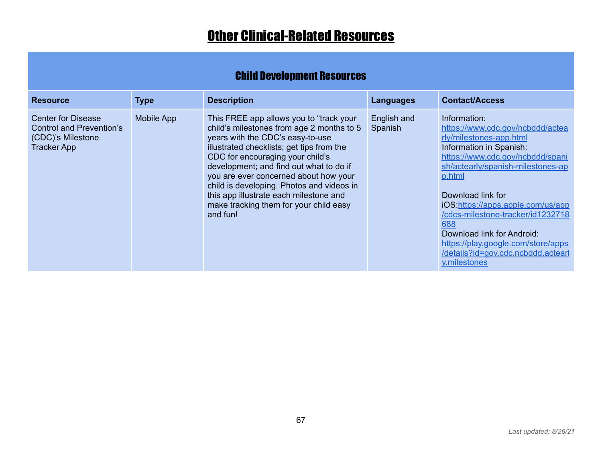## **Other Clinical-Related Resources**

## Child Development Resources

| <b>Resource</b>                                                                           | <b>Type</b> | <b>Description</b>                                                                                                                                                                                                                                                                                                                                                                                                                         | <b>Languages</b>       | <b>Contact/Access</b>                                                                                                                                                                                                                                                                                                                                                                                                     |
|-------------------------------------------------------------------------------------------|-------------|--------------------------------------------------------------------------------------------------------------------------------------------------------------------------------------------------------------------------------------------------------------------------------------------------------------------------------------------------------------------------------------------------------------------------------------------|------------------------|---------------------------------------------------------------------------------------------------------------------------------------------------------------------------------------------------------------------------------------------------------------------------------------------------------------------------------------------------------------------------------------------------------------------------|
| <b>Center for Disease</b><br>Control and Prevention's<br>(CDC)'s Milestone<br>Tracker App | Mobile App  | This FREE app allows you to "track your<br>child's milestones from age 2 months to 5<br>years with the CDC's easy-to-use<br>illustrated checklists; get tips from the<br>CDC for encouraging your child's<br>development; and find out what to do if<br>you are ever concerned about how your<br>child is developing. Photos and videos in<br>this app illustrate each milestone and<br>make tracking them for your child easy<br>and fun! | English and<br>Spanish | Information:<br>https://www.cdc.gov/ncbddd/actea<br>rly/milestones-app.html<br>Information in Spanish:<br>https://www.cdc.gov/ncbddd/spani<br>sh/actearly/spanish-milestones-ap<br>p.html<br>Download link for<br>iOS:https://apps.apple.com/us/app<br>/cdcs-milestone-tracker/id1232718<br>688<br>Download link for Android:<br>https://play.google.com/store/apps<br>/details?id=gov.cdc.ncbddd.actearl<br>y.milestones |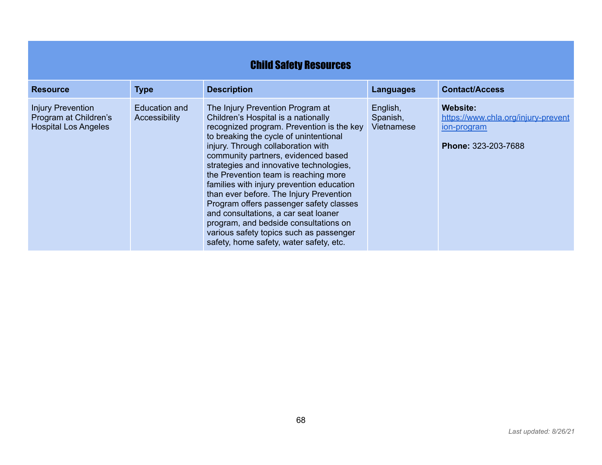| <b>Child Safety Resources</b>                                                    |                                |                                                                                                                                                                                                                                                                                                                                                                                                                                                                                                                                                                                                                                          |                                    |                                                                                                     |  |  |  |
|----------------------------------------------------------------------------------|--------------------------------|------------------------------------------------------------------------------------------------------------------------------------------------------------------------------------------------------------------------------------------------------------------------------------------------------------------------------------------------------------------------------------------------------------------------------------------------------------------------------------------------------------------------------------------------------------------------------------------------------------------------------------------|------------------------------------|-----------------------------------------------------------------------------------------------------|--|--|--|
| <b>Resource</b>                                                                  | <b>Type</b>                    | <b>Description</b>                                                                                                                                                                                                                                                                                                                                                                                                                                                                                                                                                                                                                       | <b>Languages</b>                   | <b>Contact/Access</b>                                                                               |  |  |  |
| <b>Injury Prevention</b><br>Program at Children's<br><b>Hospital Los Angeles</b> | Education and<br>Accessibility | The Injury Prevention Program at<br>Children's Hospital is a nationally<br>recognized program. Prevention is the key<br>to breaking the cycle of unintentional<br>injury. Through collaboration with<br>community partners, evidenced based<br>strategies and innovative technologies,<br>the Prevention team is reaching more<br>families with injury prevention education<br>than ever before. The Injury Prevention<br>Program offers passenger safety classes<br>and consultations, a car seat loaner<br>program, and bedside consultations on<br>various safety topics such as passenger<br>safety, home safety, water safety, etc. | English,<br>Spanish,<br>Vietnamese | <b>Website:</b><br>https://www.chla.org/injury-prevent<br>ion-program<br><b>Phone: 323-203-7688</b> |  |  |  |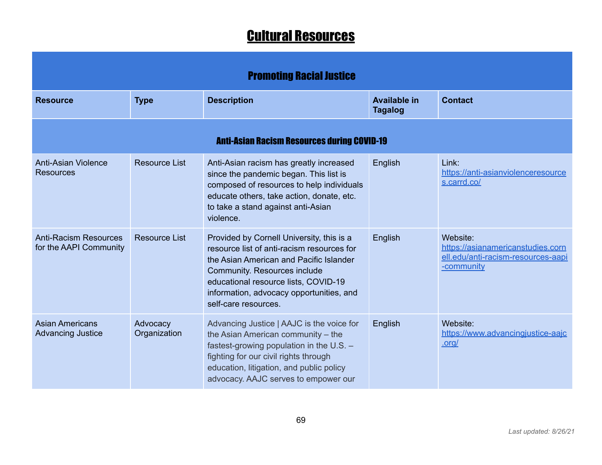## Cultural Resources

| <b>Promoting Racial Justice</b>                        |                          |                                                                                                                                                                                                                                                                                |                                       |                                                                                                   |  |  |
|--------------------------------------------------------|--------------------------|--------------------------------------------------------------------------------------------------------------------------------------------------------------------------------------------------------------------------------------------------------------------------------|---------------------------------------|---------------------------------------------------------------------------------------------------|--|--|
| <b>Resource</b>                                        | <b>Type</b>              | <b>Description</b>                                                                                                                                                                                                                                                             | <b>Available in</b><br><b>Tagalog</b> | <b>Contact</b>                                                                                    |  |  |
| <b>Anti-Asian Racism Resources during COVID-19</b>     |                          |                                                                                                                                                                                                                                                                                |                                       |                                                                                                   |  |  |
| <b>Anti-Asian Violence</b><br><b>Resources</b>         | <b>Resource List</b>     | Anti-Asian racism has greatly increased<br>since the pandemic began. This list is<br>composed of resources to help individuals<br>educate others, take action, donate, etc.<br>to take a stand against anti-Asian<br>violence.                                                 | English                               | Link:<br>https://anti-asianviolenceresource<br>s.carrd.co/                                        |  |  |
| <b>Anti-Racism Resources</b><br>for the AAPI Community | <b>Resource List</b>     | Provided by Cornell University, this is a<br>resource list of anti-racism resources for<br>the Asian American and Pacific Islander<br>Community. Resources include<br>educational resource lists, COVID-19<br>information, advocacy opportunities, and<br>self-care resources. | English                               | Website:<br>https://asianamericanstudies.corn<br>ell.edu/anti-racism-resources-aapi<br>-community |  |  |
| <b>Asian Americans</b><br><b>Advancing Justice</b>     | Advocacy<br>Organization | Advancing Justice   AAJC is the voice for<br>the Asian American community - the<br>fastest-growing population in the U.S. -<br>fighting for our civil rights through<br>education, litigation, and public policy<br>advocacy. AAJC serves to empower our                       | English                               | Website:<br>https://www.advancingjustice-aajc<br>.org/                                            |  |  |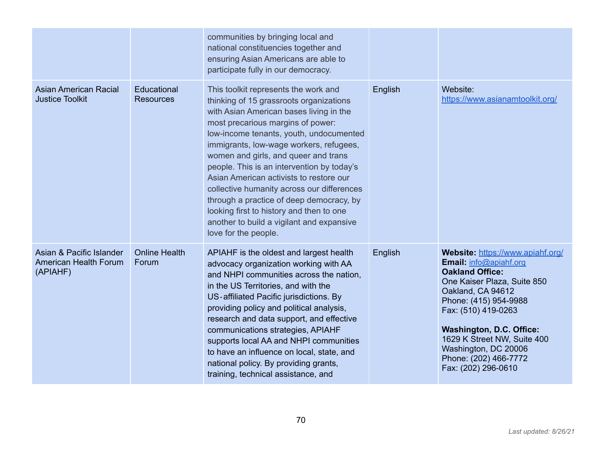|                                                               |                                 | communities by bringing local and<br>national constituencies together and<br>ensuring Asian Americans are able to<br>participate fully in our democracy.                                                                                                                                                                                                                                                                                                                                                                                                                                          |         |                                                                                                                                                                                                                                                                                                                                    |
|---------------------------------------------------------------|---------------------------------|---------------------------------------------------------------------------------------------------------------------------------------------------------------------------------------------------------------------------------------------------------------------------------------------------------------------------------------------------------------------------------------------------------------------------------------------------------------------------------------------------------------------------------------------------------------------------------------------------|---------|------------------------------------------------------------------------------------------------------------------------------------------------------------------------------------------------------------------------------------------------------------------------------------------------------------------------------------|
| <b>Asian American Racial</b><br><b>Justice Toolkit</b>        | Educational<br><b>Resources</b> | This toolkit represents the work and<br>thinking of 15 grassroots organizations<br>with Asian American bases living in the<br>most precarious margins of power:<br>low-income tenants, youth, undocumented<br>immigrants, low-wage workers, refugees,<br>women and girls, and queer and trans<br>people. This is an intervention by today's<br>Asian American activists to restore our<br>collective humanity across our differences<br>through a practice of deep democracy, by<br>looking first to history and then to one<br>another to build a vigilant and expansive<br>love for the people. | English | Website:<br>https://www.asianamtoolkit.org/                                                                                                                                                                                                                                                                                        |
| Asian & Pacific Islander<br>American Health Forum<br>(APIAHF) | <b>Online Health</b><br>Forum   | APIAHF is the oldest and largest health<br>advocacy organization working with AA<br>and NHPI communities across the nation,<br>in the US Territories, and with the<br>US-affiliated Pacific jurisdictions. By<br>providing policy and political analysis,<br>research and data support, and effective<br>communications strategies, APIAHF<br>supports local AA and NHPI communities<br>to have an influence on local, state, and<br>national policy. By providing grants,<br>training, technical assistance, and                                                                                 | English | Website: https://www.apiahf.org/<br>Email: info@apiahf.org<br><b>Oakland Office:</b><br>One Kaiser Plaza, Suite 850<br>Oakland, CA 94612<br>Phone: (415) 954-9988<br>Fax: (510) 419-0263<br><b>Washington, D.C. Office:</b><br>1629 K Street NW, Suite 400<br>Washington, DC 20006<br>Phone: (202) 466-7772<br>Fax: (202) 296-0610 |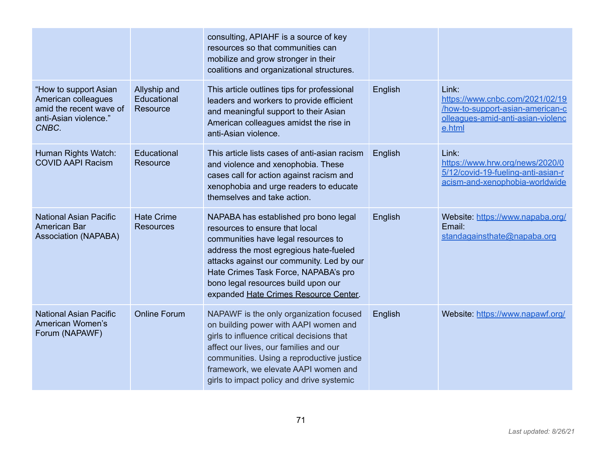|                                                                                                           |                                         | consulting, APIAHF is a source of key<br>resources so that communities can<br>mobilize and grow stronger in their<br>coalitions and organizational structures.                                                                                                                                                                |         |                                                                                                                             |
|-----------------------------------------------------------------------------------------------------------|-----------------------------------------|-------------------------------------------------------------------------------------------------------------------------------------------------------------------------------------------------------------------------------------------------------------------------------------------------------------------------------|---------|-----------------------------------------------------------------------------------------------------------------------------|
| "How to support Asian<br>American colleagues<br>amid the recent wave of<br>anti-Asian violence."<br>CNBC. | Allyship and<br>Educational<br>Resource | This article outlines tips for professional<br>leaders and workers to provide efficient<br>and meaningful support to their Asian<br>American colleagues amidst the rise in<br>anti-Asian violence.                                                                                                                            | English | Link:<br>https://www.cnbc.com/2021/02/19<br>/how-to-support-asian-american-c<br>olleagues-amid-anti-asian-violenc<br>e.html |
| Human Rights Watch:<br><b>COVID AAPI Racism</b>                                                           | Educational<br>Resource                 | This article lists cases of anti-asian racism<br>and violence and xenophobia. These<br>cases call for action against racism and<br>xenophobia and urge readers to educate<br>themselves and take action.                                                                                                                      | English | Link:<br>https://www.hrw.org/news/2020/0<br>5/12/covid-19-fueling-anti-asian-r<br>acism-and-xenophobia-worldwide            |
| <b>National Asian Pacific</b><br><b>American Bar</b><br><b>Association (NAPABA)</b>                       | <b>Hate Crime</b><br><b>Resources</b>   | NAPABA has established pro bono legal<br>resources to ensure that local<br>communities have legal resources to<br>address the most egregious hate-fueled<br>attacks against our community. Led by our<br>Hate Crimes Task Force, NAPABA's pro<br>bono legal resources build upon our<br>expanded Hate Crimes Resource Center. | English | Website: https://www.napaba.org/<br>Email:<br>standagainsthate@napaba.org                                                   |
| <b>National Asian Pacific</b><br>American Women's<br>Forum (NAPAWF)                                       | <b>Online Forum</b>                     | NAPAWF is the only organization focused<br>on building power with AAPI women and<br>girls to influence critical decisions that<br>affect our lives, our families and our<br>communities. Using a reproductive justice<br>framework, we elevate AAPI women and<br>girls to impact policy and drive systemic                    | English | Website: https://www.napawf.org/                                                                                            |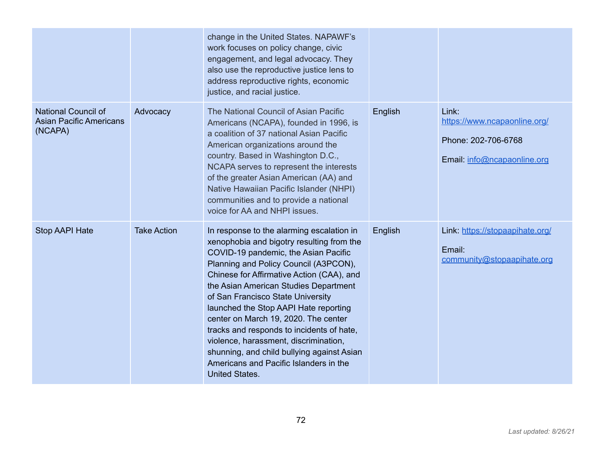|                                                                         |                    | change in the United States. NAPAWF's<br>work focuses on policy change, civic<br>engagement, and legal advocacy. They<br>also use the reproductive justice lens to<br>address reproductive rights, economic<br>justice, and racial justice.                                                                                                                                                                                                                                                                                                                                                |         |                                                                                             |
|-------------------------------------------------------------------------|--------------------|--------------------------------------------------------------------------------------------------------------------------------------------------------------------------------------------------------------------------------------------------------------------------------------------------------------------------------------------------------------------------------------------------------------------------------------------------------------------------------------------------------------------------------------------------------------------------------------------|---------|---------------------------------------------------------------------------------------------|
| <b>National Council of</b><br><b>Asian Pacific Americans</b><br>(NCAPA) | Advocacy           | The National Council of Asian Pacific<br>Americans (NCAPA), founded in 1996, is<br>a coalition of 37 national Asian Pacific<br>American organizations around the<br>country. Based in Washington D.C.,<br>NCAPA serves to represent the interests<br>of the greater Asian American (AA) and<br>Native Hawaiian Pacific Islander (NHPI)<br>communities and to provide a national<br>voice for AA and NHPI issues.                                                                                                                                                                           | English | Link:<br>https://www.ncapaonline.org/<br>Phone: 202-706-6768<br>Email: info@ncapaonline.org |
| Stop AAPI Hate                                                          | <b>Take Action</b> | In response to the alarming escalation in<br>xenophobia and bigotry resulting from the<br>COVID-19 pandemic, the Asian Pacific<br>Planning and Policy Council (A3PCON),<br>Chinese for Affirmative Action (CAA), and<br>the Asian American Studies Department<br>of San Francisco State University<br>launched the Stop AAPI Hate reporting<br>center on March 19, 2020. The center<br>tracks and responds to incidents of hate,<br>violence, harassment, discrimination,<br>shunning, and child bullying against Asian<br>Americans and Pacific Islanders in the<br><b>United States.</b> | English | Link: https://stopaapihate.org/<br>Email:<br>community@stopaapihate.org                     |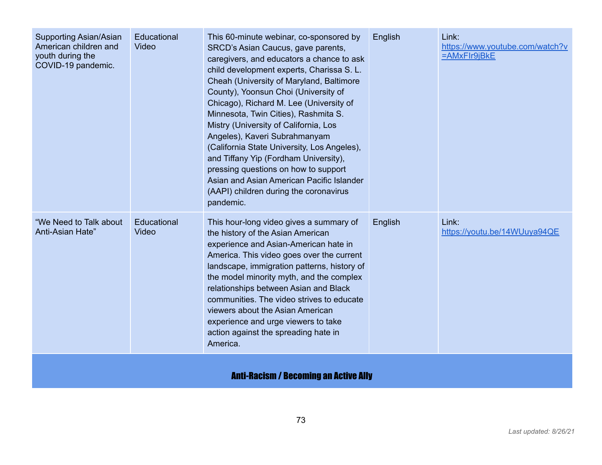| Supporting Asian/Asian<br>American children and<br>youth during the<br>COVID-19 pandemic. | Educational<br>Video | This 60-minute webinar, co-sponsored by<br>SRCD's Asian Caucus, gave parents,<br>caregivers, and educators a chance to ask<br>child development experts, Charissa S. L.<br>Cheah (University of Maryland, Baltimore<br>County), Yoonsun Choi (University of<br>Chicago), Richard M. Lee (University of<br>Minnesota, Twin Cities), Rashmita S.<br>Mistry (University of California, Los<br>Angeles), Kaveri Subrahmanyam<br>(California State University, Los Angeles),<br>and Tiffany Yip (Fordham University),<br>pressing questions on how to support<br>Asian and Asian American Pacific Islander<br>(AAPI) children during the coronavirus<br>pandemic. | English | Link:<br>https://www.youtube.com/watch?v<br>=AMxFIr9jBkE |  |  |
|-------------------------------------------------------------------------------------------|----------------------|--------------------------------------------------------------------------------------------------------------------------------------------------------------------------------------------------------------------------------------------------------------------------------------------------------------------------------------------------------------------------------------------------------------------------------------------------------------------------------------------------------------------------------------------------------------------------------------------------------------------------------------------------------------|---------|----------------------------------------------------------|--|--|
| "We Need to Talk about<br>Anti-Asian Hate"                                                | Educational<br>Video | This hour-long video gives a summary of<br>the history of the Asian American<br>experience and Asian-American hate in<br>America. This video goes over the current<br>landscape, immigration patterns, history of<br>the model minority myth, and the complex<br>relationships between Asian and Black<br>communities. The video strives to educate<br>viewers about the Asian American<br>experience and urge viewers to take<br>action against the spreading hate in<br>America.                                                                                                                                                                           | English | Link:<br>https://youtu.be/14WUuya94QE                    |  |  |
| <b>Anti-Racism / Becoming an Active Ally</b>                                              |                      |                                                                                                                                                                                                                                                                                                                                                                                                                                                                                                                                                                                                                                                              |         |                                                          |  |  |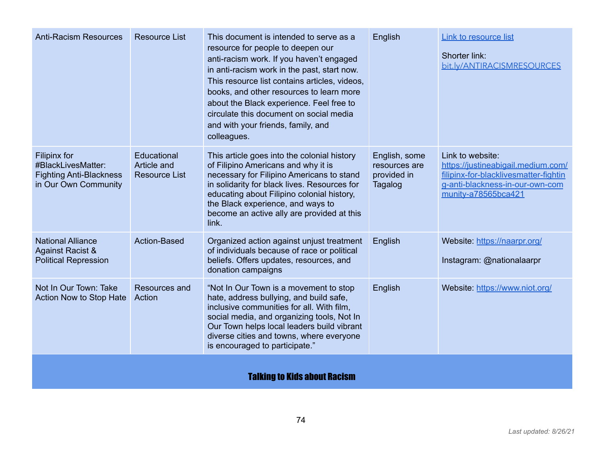| <b>Anti-Racism Resources</b>                                                                 | <b>Resource List</b>                               | This document is intended to serve as a<br>resource for people to deepen our<br>anti-racism work. If you haven't engaged<br>in anti-racism work in the past, start now.<br>This resource list contains articles, videos,<br>books, and other resources to learn more<br>about the Black experience. Feel free to<br>circulate this document on social media<br>and with your friends, family, and<br>colleagues. | English                                                  | Link to resource list<br>Shorter link:<br>bit.ly/ANTIRACISMRESOURCES                                                                                      |  |
|----------------------------------------------------------------------------------------------|----------------------------------------------------|------------------------------------------------------------------------------------------------------------------------------------------------------------------------------------------------------------------------------------------------------------------------------------------------------------------------------------------------------------------------------------------------------------------|----------------------------------------------------------|-----------------------------------------------------------------------------------------------------------------------------------------------------------|--|
| Filipinx for<br>#BlackLivesMatter:<br><b>Fighting Anti-Blackness</b><br>in Our Own Community | Educational<br>Article and<br><b>Resource List</b> | This article goes into the colonial history<br>of Filipino Americans and why it is<br>necessary for Filipino Americans to stand<br>in solidarity for black lives. Resources for<br>educating about Filipino colonial history,<br>the Black experience, and ways to<br>become an active ally are provided at this<br>link.                                                                                        | English, some<br>resources are<br>provided in<br>Tagalog | Link to website:<br>https://justineabigail.medium.com/<br>filipinx-for-blacklivesmatter-fightin<br>g-anti-blackness-in-our-own-com<br>munity-a78565bca421 |  |
| <b>National Alliance</b><br><b>Against Racist &amp;</b><br><b>Political Repression</b>       | <b>Action-Based</b>                                | Organized action against unjust treatment<br>of individuals because of race or political<br>beliefs. Offers updates, resources, and<br>donation campaigns                                                                                                                                                                                                                                                        | English                                                  | Website: https://naarpr.org/<br>Instagram: @nationalaarpr                                                                                                 |  |
| Not In Our Town: Take<br>Action Now to Stop Hate                                             | <b>Resources and</b><br>Action                     | "Not In Our Town is a movement to stop<br>hate, address bullying, and build safe,<br>inclusive communities for all. With film,<br>social media, and organizing tools, Not In<br>Our Town helps local leaders build vibrant<br>diverse cities and towns, where everyone<br>is encouraged to participate."                                                                                                         | English                                                  | Website: https://www.niot.org/                                                                                                                            |  |
| <b>Talking to Kids about Racism</b>                                                          |                                                    |                                                                                                                                                                                                                                                                                                                                                                                                                  |                                                          |                                                                                                                                                           |  |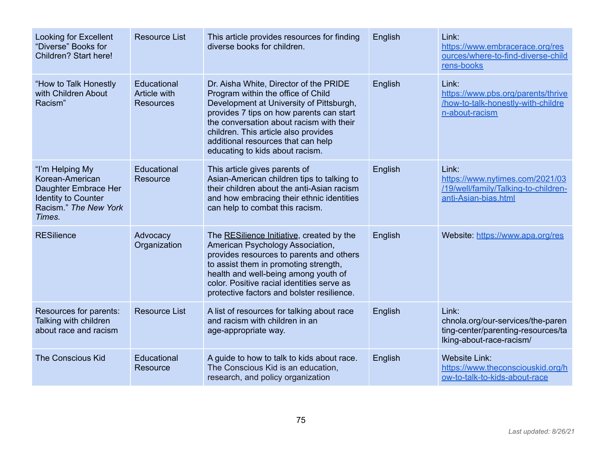| Looking for Excellent<br>"Diverse" Books for<br>Children? Start here!                                                       | <b>Resource List</b>                            | This article provides resources for finding<br>diverse books for children.                                                                                                                                                                                                                                                        | English | Link:<br>https://www.embracerace.org/res<br>ources/where-to-find-diverse-child<br>rens-books                 |
|-----------------------------------------------------------------------------------------------------------------------------|-------------------------------------------------|-----------------------------------------------------------------------------------------------------------------------------------------------------------------------------------------------------------------------------------------------------------------------------------------------------------------------------------|---------|--------------------------------------------------------------------------------------------------------------|
| "How to Talk Honestly<br>with Children About<br>Racism"                                                                     | Educational<br>Article with<br><b>Resources</b> | Dr. Aisha White, Director of the PRIDE<br>Program within the office of Child<br>Development at University of Pittsburgh,<br>provides 7 tips on how parents can start<br>the conversation about racism with their<br>children. This article also provides<br>additional resources that can help<br>educating to kids about racism. | English | Link:<br>https://www.pbs.org/parents/thrive<br>/how-to-talk-honestly-with-childre<br>n-about-racism          |
| "I'm Helping My<br>Korean-American<br>Daughter Embrace Her<br><b>Identity to Counter</b><br>Racism." The New York<br>Times. | Educational<br>Resource                         | This article gives parents of<br>Asian-American children tips to talking to<br>their children about the anti-Asian racism<br>and how embracing their ethnic identities<br>can help to combat this racism.                                                                                                                         | English | Link:<br>https://www.nytimes.com/2021/03<br>/19/well/family/Talking-to-children-<br>anti-Asian-bias.html     |
| <b>RESilience</b>                                                                                                           | Advocacy<br>Organization                        | The RESilience Initiative, created by the<br>American Psychology Association,<br>provides resources to parents and others<br>to assist them in promoting strength,<br>health and well-being among youth of<br>color. Positive racial identities serve as<br>protective factors and bolster resilience.                            | English | Website: https://www.apa.org/res                                                                             |
| Resources for parents:<br>Talking with children<br>about race and racism                                                    | <b>Resource List</b>                            | A list of resources for talking about race<br>and racism with children in an<br>age-appropriate way.                                                                                                                                                                                                                              | English | Link:<br>chnola.org/our-services/the-paren<br>ting-center/parenting-resources/ta<br>lking-about-race-racism/ |
| <b>The Conscious Kid</b>                                                                                                    | Educational<br>Resource                         | A guide to how to talk to kids about race.<br>The Conscious Kid is an education,<br>research, and policy organization                                                                                                                                                                                                             | English | <b>Website Link:</b><br>https://www.theconsciouskid.org/h<br>ow-to-talk-to-kids-about-race                   |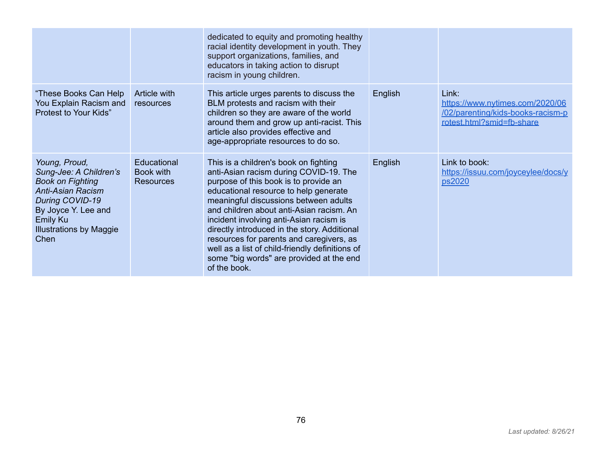|                                                                                                                                                                                                       |                                              | dedicated to equity and promoting healthy<br>racial identity development in youth. They<br>support organizations, families, and<br>educators in taking action to disrupt<br>racism in young children.                                                                                                                                                                                                                                                                                                        |         |                                                                                                            |
|-------------------------------------------------------------------------------------------------------------------------------------------------------------------------------------------------------|----------------------------------------------|--------------------------------------------------------------------------------------------------------------------------------------------------------------------------------------------------------------------------------------------------------------------------------------------------------------------------------------------------------------------------------------------------------------------------------------------------------------------------------------------------------------|---------|------------------------------------------------------------------------------------------------------------|
| "These Books Can Help<br>You Explain Racism and<br>Protest to Your Kids"                                                                                                                              | Article with<br>resources                    | This article urges parents to discuss the<br>BLM protests and racism with their<br>children so they are aware of the world<br>around them and grow up anti-racist. This<br>article also provides effective and<br>age-appropriate resources to do so.                                                                                                                                                                                                                                                        | English | Link:<br>https://www.nytimes.com/2020/06<br>/02/parenting/kids-books-racism-p<br>rotest.html?smid=fb-share |
| Young, Proud,<br>Sung-Jee: A Children's<br><b>Book on Fighting</b><br><b>Anti-Asian Racism</b><br>During COVID-19<br>By Joyce Y. Lee and<br><b>Emily Ku</b><br><b>Illustrations by Maggie</b><br>Chen | Educational<br>Book with<br><b>Resources</b> | This is a children's book on fighting<br>anti-Asian racism during COVID-19. The<br>purpose of this book is to provide an<br>educational resource to help generate<br>meaningful discussions between adults<br>and children about anti-Asian racism. An<br>incident involving anti-Asian racism is<br>directly introduced in the story. Additional<br>resources for parents and caregivers, as<br>well as a list of child-friendly definitions of<br>some "big words" are provided at the end<br>of the book. | English | Link to book:<br>https://issuu.com/joyceylee/docs/y<br>ps2020                                              |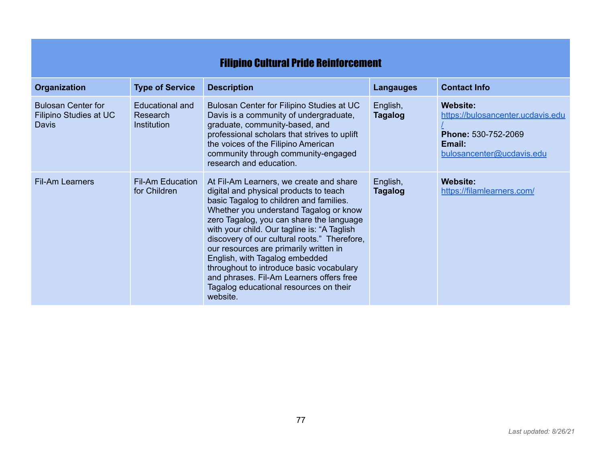## Filipino Cultural Pride Reinforcement

| <b>Organization</b>                                                 | <b>Type of Service</b>                     | <b>Description</b>                                                                                                                                                                                                                                                                                                                                                                                                                                                                                                                           | <b>Langauges</b>           | <b>Contact Info</b>                                                                                         |
|---------------------------------------------------------------------|--------------------------------------------|----------------------------------------------------------------------------------------------------------------------------------------------------------------------------------------------------------------------------------------------------------------------------------------------------------------------------------------------------------------------------------------------------------------------------------------------------------------------------------------------------------------------------------------------|----------------------------|-------------------------------------------------------------------------------------------------------------|
| <b>Bulosan Center for</b><br>Filipino Studies at UC<br><b>Davis</b> | Educational and<br>Research<br>Institution | Bulosan Center for Filipino Studies at UC<br>Davis is a community of undergraduate,<br>graduate, community-based, and<br>professional scholars that strives to uplift<br>the voices of the Filipino American<br>community through community-engaged<br>research and education.                                                                                                                                                                                                                                                               | English,<br><b>Tagalog</b> | Website:<br>https://bulosancenter.ucdavis.edu<br>Phone: 530-752-2069<br>Email:<br>bulosancenter@ucdavis.edu |
| <b>Fil-Am Learners</b>                                              | <b>Fil-Am Education</b><br>for Children    | At Fil-Am Learners, we create and share<br>digital and physical products to teach<br>basic Tagalog to children and families.<br>Whether you understand Tagalog or know<br>zero Tagalog, you can share the language<br>with your child. Our tagline is: "A Taglish"<br>discovery of our cultural roots." Therefore,<br>our resources are primarily written in<br>English, with Tagalog embedded<br>throughout to introduce basic vocabulary<br>and phrases. Fil-Am Learners offers free<br>Tagalog educational resources on their<br>website. | English,<br><b>Tagalog</b> | Website:<br>https://filamlearners.com/                                                                      |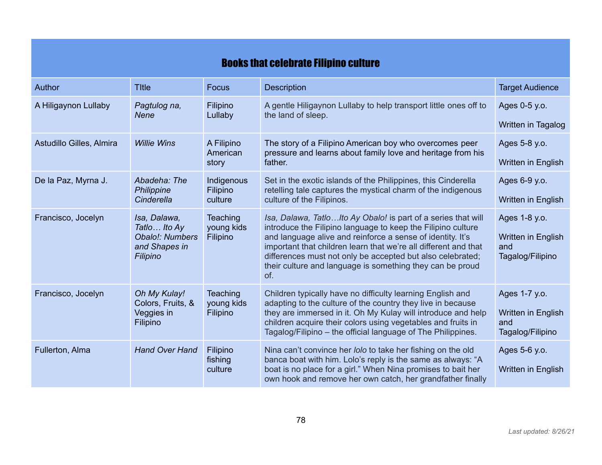## Books that celebrate Filipino culture

| Author                   | <b>Title</b>                                                                  | <b>Focus</b>                              | <b>Description</b>                                                                                                                                                                                                                                                                                                                                                                               | <b>Target Audience</b>                                         |
|--------------------------|-------------------------------------------------------------------------------|-------------------------------------------|--------------------------------------------------------------------------------------------------------------------------------------------------------------------------------------------------------------------------------------------------------------------------------------------------------------------------------------------------------------------------------------------------|----------------------------------------------------------------|
| A Hiligaynon Lullaby     | Pagtulog na,<br><b>Nene</b>                                                   | Filipino                                  | A gentle Hiligaynon Lullaby to help transport little ones off to                                                                                                                                                                                                                                                                                                                                 | Ages 0-5 y.o.                                                  |
|                          |                                                                               | Lullaby                                   | the land of sleep.                                                                                                                                                                                                                                                                                                                                                                               | Written in Tagalog                                             |
| Astudillo Gilles, Almira | <b>Willie Wins</b>                                                            | A Filipino<br>American                    | The story of a Filipino American boy who overcomes peer<br>pressure and learns about family love and heritage from his                                                                                                                                                                                                                                                                           | Ages 5-8 y.o.                                                  |
|                          |                                                                               | story                                     | father.                                                                                                                                                                                                                                                                                                                                                                                          | Written in English                                             |
| De la Paz, Myrna J.      | Abadeha: The<br>Philippine                                                    | Indigenous<br>Filipino                    | Set in the exotic islands of the Philippines, this Cinderella<br>retelling tale captures the mystical charm of the indigenous                                                                                                                                                                                                                                                                    | Ages 6-9 y.o.                                                  |
|                          | Cinderella                                                                    | culture                                   | culture of the Filipinos.                                                                                                                                                                                                                                                                                                                                                                        | Written in English                                             |
| Francisco, Jocelyn       | Isa, Dalawa,<br>Tatlo  Ito Ay<br>Obalo!: Numbers<br>and Shapes in<br>Filipino | <b>Teaching</b><br>young kids<br>Filipino | Isa, Dalawa, TatloIto Ay Obalo! is part of a series that will<br>introduce the Filipino language to keep the Filipino culture<br>and language alive and reinforce a sense of identity. It's<br>important that children learn that we're all different and that<br>differences must not only be accepted but also celebrated;<br>their culture and language is something they can be proud<br>of. | Ages 1-8 y.o.<br>Written in English<br>and<br>Tagalog/Filipino |
| Francisco, Jocelyn       | Oh My Kulay!<br>Colors, Fruits, &<br>Veggies in<br>Filipino                   | <b>Teaching</b><br>young kids<br>Filipino | Children typically have no difficulty learning English and<br>adapting to the culture of the country they live in because<br>they are immersed in it. Oh My Kulay will introduce and help<br>children acquire their colors using vegetables and fruits in<br>Tagalog/Filipino – the official language of The Philippines.                                                                        | Ages 1-7 y.o.<br>Written in English<br>and<br>Tagalog/Filipino |
| Fullerton, Alma          | <b>Hand Over Hand</b>                                                         | Filipino<br>fishing<br>culture            | Nina can't convince her lolo to take her fishing on the old<br>banca boat with him. Lolo's reply is the same as always: "A<br>boat is no place for a girl." When Nina promises to bait her<br>own hook and remove her own catch, her grandfather finally                                                                                                                                         | Ages 5-6 y.o.<br>Written in English                            |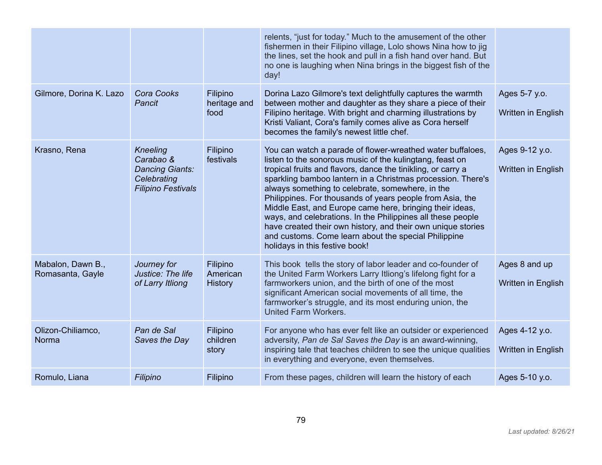|                                       |                                                                                                    |                                        | relents, "just for today." Much to the amusement of the other<br>fishermen in their Filipino village, Lolo shows Nina how to jig<br>the lines, set the hook and pull in a fish hand over hand. But<br>no one is laughing when Nina brings in the biggest fish of the<br>day!                                                                                                                                                                                                                                                                                                                                                                                |                                      |
|---------------------------------------|----------------------------------------------------------------------------------------------------|----------------------------------------|-------------------------------------------------------------------------------------------------------------------------------------------------------------------------------------------------------------------------------------------------------------------------------------------------------------------------------------------------------------------------------------------------------------------------------------------------------------------------------------------------------------------------------------------------------------------------------------------------------------------------------------------------------------|--------------------------------------|
| Gilmore, Dorina K. Lazo               | Cora Cooks<br>Pancit                                                                               | Filipino<br>heritage and<br>food       | Dorina Lazo Gilmore's text delightfully captures the warmth<br>between mother and daughter as they share a piece of their<br>Filipino heritage. With bright and charming illustrations by<br>Kristi Valiant, Cora's family comes alive as Cora herself<br>becomes the family's newest little chef.                                                                                                                                                                                                                                                                                                                                                          | Ages 5-7 y.o.<br>Written in English  |
| Krasno, Rena                          | <b>Kneeling</b><br>Carabao &<br><b>Dancing Giants:</b><br>Celebrating<br><b>Filipino Festivals</b> | Filipino<br>festivals                  | You can watch a parade of flower-wreathed water buffaloes,<br>listen to the sonorous music of the kulingtang, feast on<br>tropical fruits and flavors, dance the tinikling, or carry a<br>sparkling bamboo lantern in a Christmas procession. There's<br>always something to celebrate, somewhere, in the<br>Philippines. For thousands of years people from Asia, the<br>Middle East, and Europe came here, bringing their ideas,<br>ways, and celebrations. In the Philippines all these people<br>have created their own history, and their own unique stories<br>and customs. Come learn about the special Philippine<br>holidays in this festive book! | Ages 9-12 y.o.<br>Written in English |
| Mabalon, Dawn B.,<br>Romasanta, Gayle | Journey for<br>Justice: The life<br>of Larry Itliong                                               | Filipino<br>American<br><b>History</b> | This book tells the story of labor leader and co-founder of<br>the United Farm Workers Larry Itliong's lifelong fight for a<br>farmworkers union, and the birth of one of the most<br>significant American social movements of all time, the<br>farmworker's struggle, and its most enduring union, the<br><b>United Farm Workers.</b>                                                                                                                                                                                                                                                                                                                      | Ages 8 and up<br>Written in English  |
| Olizon-Chiliamco,<br>Norma            | Pan de Sal<br>Saves the Day                                                                        | Filipino<br>children<br>story          | For anyone who has ever felt like an outsider or experienced<br>adversity, Pan de Sal Saves the Day is an award-winning,<br>inspiring tale that teaches children to see the unique qualities<br>in everything and everyone, even themselves.                                                                                                                                                                                                                                                                                                                                                                                                                | Ages 4-12 y.o.<br>Written in English |
| Romulo, Liana                         | Filipino                                                                                           | Filipino                               | From these pages, children will learn the history of each                                                                                                                                                                                                                                                                                                                                                                                                                                                                                                                                                                                                   | Ages 5-10 y.o.                       |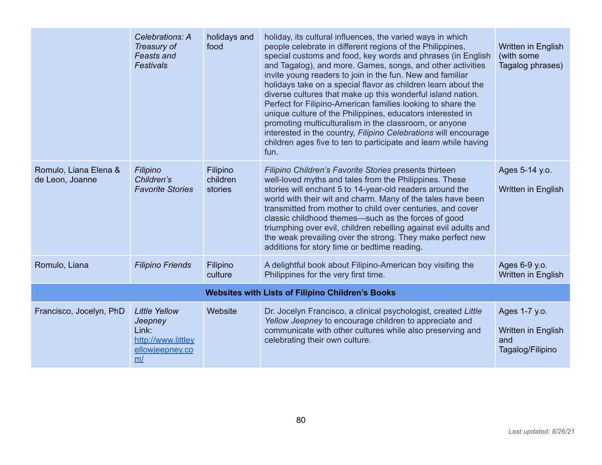|                                          | Celebrations: A<br>Treasury of<br><b>Feasts and</b><br><b>Festivals</b>                 | holidays and<br>food            | holiday, its cultural influences, the varied ways in which<br>people celebrate in different regions of the Philippines,<br>special customs and food, key words and phrases (in English<br>and Tagalog), and more. Games, songs, and other activities<br>invite young readers to join in the fun. New and familiar<br>holidays take on a special flavor as children learn about the<br>diverse cultures that make up this wonderful island nation.<br>Perfect for Filipino-American families looking to share the<br>unique culture of the Philippines, educators interested in<br>promoting multiculturalism in the classroom, or anyone<br>interested in the country, Filipino Celebrations will encourage<br>children ages five to ten to participate and learn while having<br>fun. | Written in English<br>(with some<br>Tagalog phrases)           |
|------------------------------------------|-----------------------------------------------------------------------------------------|---------------------------------|----------------------------------------------------------------------------------------------------------------------------------------------------------------------------------------------------------------------------------------------------------------------------------------------------------------------------------------------------------------------------------------------------------------------------------------------------------------------------------------------------------------------------------------------------------------------------------------------------------------------------------------------------------------------------------------------------------------------------------------------------------------------------------------|----------------------------------------------------------------|
| Romulo, Liana Elena &<br>de Leon, Joanne | Filipino<br>Children's<br><b>Favorite Stories</b>                                       | Filipino<br>children<br>stories | Filipino Children's Favorite Stories presents thirteen<br>well-loved myths and tales from the Philippines. These<br>stories will enchant 5 to 14-year-old readers around the<br>world with their wit and charm. Many of the tales have been<br>transmitted from mother to child over centuries, and cover<br>classic childhood themes—such as the forces of good<br>triumphing over evil, children rebelling against evil adults and<br>the weak prevailing over the strong. They make perfect new<br>additions for story time or bedtime reading.                                                                                                                                                                                                                                     | Ages 5-14 y.o.<br>Written in English                           |
| Romulo, Liana                            | <b>Filipino Friends</b>                                                                 | Filipino<br>culture             | A delightful book about Filipino-American boy visiting the<br>Philippines for the very first time.                                                                                                                                                                                                                                                                                                                                                                                                                                                                                                                                                                                                                                                                                     | Ages 6-9 y.o.<br>Written in English                            |
|                                          |                                                                                         |                                 | <b>Websites with Lists of Filipino Children's Books</b>                                                                                                                                                                                                                                                                                                                                                                                                                                                                                                                                                                                                                                                                                                                                |                                                                |
| Francisco, Jocelyn, PhD                  | <b>Little Yellow</b><br>Jeepney<br>Link:<br>http://www.littley<br>ellowjeepney.co<br>m/ | Website                         | Dr. Jocelyn Francisco, a clinical psychologist, created Little<br>Yellow Jeepney to encourage children to appreciate and<br>communicate with other cultures while also preserving and<br>celebrating their own culture.                                                                                                                                                                                                                                                                                                                                                                                                                                                                                                                                                                | Ages 1-7 y.o.<br>Written in English<br>and<br>Tagalog/Filipino |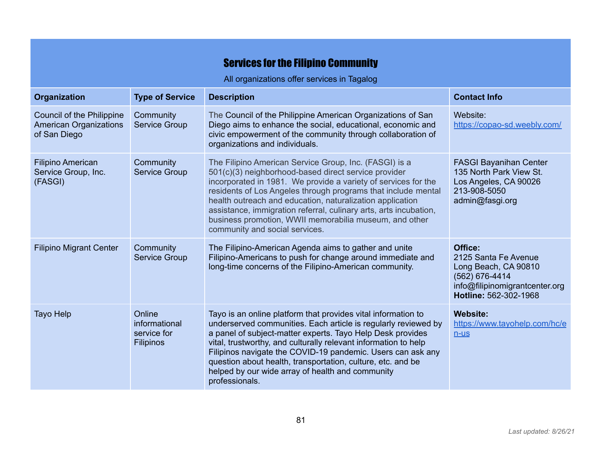## **Services for the Filipino Community**

All organizations offer services in Tagalog

| <b>Organization</b>                                                        | <b>Type of Service</b>                                     | <b>Description</b>                                                                                                                                                                                                                                                                                                                                                                                                                                                              | <b>Contact Info</b>                                                                                                                  |
|----------------------------------------------------------------------------|------------------------------------------------------------|---------------------------------------------------------------------------------------------------------------------------------------------------------------------------------------------------------------------------------------------------------------------------------------------------------------------------------------------------------------------------------------------------------------------------------------------------------------------------------|--------------------------------------------------------------------------------------------------------------------------------------|
| Council of the Philippine<br><b>American Organizations</b><br>of San Diego | Community<br><b>Service Group</b>                          | The Council of the Philippine American Organizations of San<br>Diego aims to enhance the social, educational, economic and<br>civic empowerment of the community through collaboration of<br>organizations and individuals.                                                                                                                                                                                                                                                     | Website:<br>https://copao-sd.weebly.com/                                                                                             |
| <b>Filipino American</b><br>Service Group, Inc.<br>(FASGI)                 | Community<br><b>Service Group</b>                          | The Filipino American Service Group, Inc. (FASGI) is a<br>501(c)(3) neighborhood-based direct service provider<br>incorporated in 1981. We provide a variety of services for the<br>residents of Los Angeles through programs that include mental<br>health outreach and education, naturalization application<br>assistance, immigration referral, culinary arts, arts incubation,<br>business promotion, WWII memorabilia museum, and other<br>community and social services. | <b>FASGI Bayanihan Center</b><br>135 North Park View St.<br>Los Angeles, CA 90026<br>213-908-5050<br>admin@fasgi.org                 |
| <b>Filipino Migrant Center</b>                                             | Community<br><b>Service Group</b>                          | The Filipino-American Agenda aims to gather and unite<br>Filipino-Americans to push for change around immediate and<br>long-time concerns of the Filipino-American community.                                                                                                                                                                                                                                                                                                   | Office:<br>2125 Santa Fe Avenue<br>Long Beach, CA 90810<br>(562) 676-4414<br>info@filipinomigrantcenter.org<br>Hotline: 562-302-1968 |
| <b>Tayo Help</b>                                                           | Online<br>informational<br>service for<br><b>Filipinos</b> | Tayo is an online platform that provides vital information to<br>underserved communities. Each article is regularly reviewed by<br>a panel of subject-matter experts. Tayo Help Desk provides<br>vital, trustworthy, and culturally relevant information to help<br>Filipinos navigate the COVID-19 pandemic. Users can ask any<br>question about health, transportation, culture, etc. and be<br>helped by our wide array of health and community<br>professionals.            | <b>Website:</b><br>https://www.tayohelp.com/hc/e<br>$n$ -us                                                                          |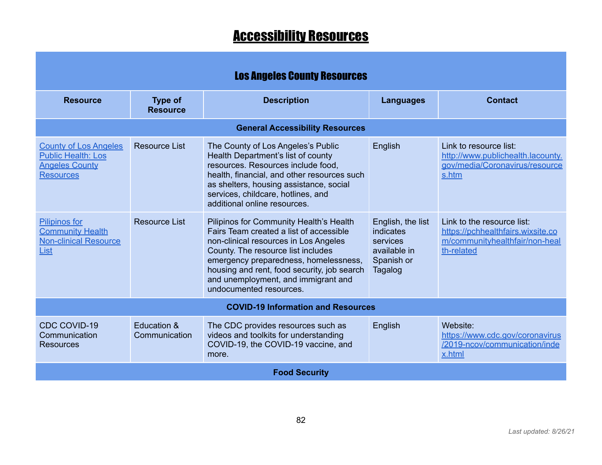## **Accessibility Resources**

| <b>Los Angeles County Resources</b>                                                                    |                                   |                                                                                                                                                                                                                                                                                                                             |                                                                                     |                                                                                                                 |  |  |
|--------------------------------------------------------------------------------------------------------|-----------------------------------|-----------------------------------------------------------------------------------------------------------------------------------------------------------------------------------------------------------------------------------------------------------------------------------------------------------------------------|-------------------------------------------------------------------------------------|-----------------------------------------------------------------------------------------------------------------|--|--|
| <b>Resource</b>                                                                                        | <b>Type of</b><br><b>Resource</b> | <b>Description</b>                                                                                                                                                                                                                                                                                                          | <b>Languages</b>                                                                    | <b>Contact</b>                                                                                                  |  |  |
|                                                                                                        |                                   | <b>General Accessibility Resources</b>                                                                                                                                                                                                                                                                                      |                                                                                     |                                                                                                                 |  |  |
| <b>County of Los Angeles</b><br><b>Public Health: Los</b><br><b>Angeles County</b><br><b>Resources</b> | <b>Resource List</b>              | The County of Los Angeles's Public<br>Health Department's list of county<br>resources. Resources include food,<br>health, financial, and other resources such<br>as shelters, housing assistance, social<br>services, childcare, hotlines, and<br>additional online resources.                                              | English                                                                             | Link to resource list:<br>http://www.publichealth.lacounty.<br>gov/media/Coronavirus/resource<br>s.htm          |  |  |
| <b>Pilipinos for</b><br><b>Community Health</b><br><b>Non-clinical Resource</b><br>List                | Resource List                     | Pilipinos for Community Health's Health<br>Fairs Team created a list of accessible<br>non-clinical resources in Los Angeles<br>County. The resource list includes<br>emergency preparedness, homelessness,<br>housing and rent, food security, job search<br>and unemployment, and immigrant and<br>undocumented resources. | English, the list<br>indicates<br>services<br>available in<br>Spanish or<br>Tagalog | Link to the resource list:<br>https://pchhealthfairs.wixsite.co<br>m/communityhealthfair/non-heal<br>th-related |  |  |
| <b>COVID-19 Information and Resources</b>                                                              |                                   |                                                                                                                                                                                                                                                                                                                             |                                                                                     |                                                                                                                 |  |  |
| <b>CDC COVID-19</b><br>Communication<br><b>Resources</b>                                               | Education &<br>Communication      | The CDC provides resources such as<br>videos and toolkits for understanding<br>COVID-19, the COVID-19 vaccine, and<br>more.                                                                                                                                                                                                 | English                                                                             | Website:<br>https://www.cdc.gov/coronavirus<br>/2019-ncov/communication/inde<br>x.html                          |  |  |
|                                                                                                        |                                   | <b>Food Security</b>                                                                                                                                                                                                                                                                                                        |                                                                                     |                                                                                                                 |  |  |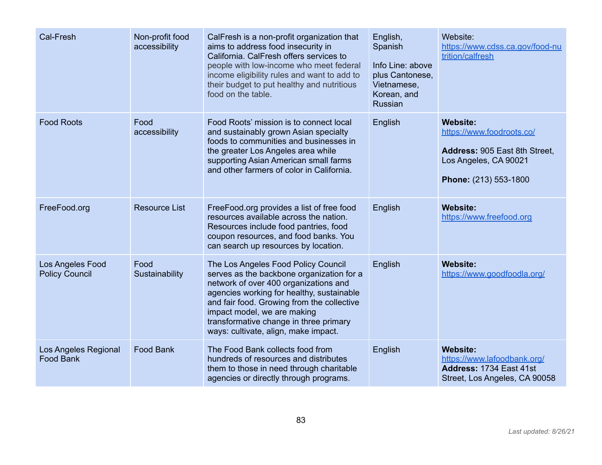| Cal-Fresh                                 | Non-profit food<br>accessibility | CalFresh is a non-profit organization that<br>aims to address food insecurity in<br>California. CalFresh offers services to<br>people with low-income who meet federal<br>income eligibility rules and want to add to<br>their budget to put healthy and nutritious<br>food on the table.                                             | English,<br>Spanish<br>Info Line: above<br>plus Cantonese,<br>Vietnamese,<br>Korean, and<br>Russian | Website:<br>https://www.cdss.ca.gov/food-nu<br>trition/calfresh                                                                 |
|-------------------------------------------|----------------------------------|---------------------------------------------------------------------------------------------------------------------------------------------------------------------------------------------------------------------------------------------------------------------------------------------------------------------------------------|-----------------------------------------------------------------------------------------------------|---------------------------------------------------------------------------------------------------------------------------------|
| <b>Food Roots</b>                         | Food<br>accessibility            | Food Roots' mission is to connect local<br>and sustainably grown Asian specialty<br>foods to communities and businesses in<br>the greater Los Angeles area while<br>supporting Asian American small farms<br>and other farmers of color in California.                                                                                | English                                                                                             | <b>Website:</b><br>https://www.foodroots.co/<br>Address: 905 East 8th Street,<br>Los Angeles, CA 90021<br>Phone: (213) 553-1800 |
| FreeFood.org                              | <b>Resource List</b>             | FreeFood.org provides a list of free food<br>resources available across the nation.<br>Resources include food pantries, food<br>coupon resources, and food banks. You<br>can search up resources by location.                                                                                                                         | English                                                                                             | <b>Website:</b><br>https://www.freefood.org                                                                                     |
| Los Angeles Food<br><b>Policy Council</b> | Food<br>Sustainability           | The Los Angeles Food Policy Council<br>serves as the backbone organization for a<br>network of over 400 organizations and<br>agencies working for healthy, sustainable<br>and fair food. Growing from the collective<br>impact model, we are making<br>transformative change in three primary<br>ways: cultivate, align, make impact. | English                                                                                             | <b>Website:</b><br>https://www.goodfoodla.org/                                                                                  |
| Los Angeles Regional<br><b>Food Bank</b>  | <b>Food Bank</b>                 | The Food Bank collects food from<br>hundreds of resources and distributes<br>them to those in need through charitable<br>agencies or directly through programs.                                                                                                                                                                       | English                                                                                             | <b>Website:</b><br>https://www.lafoodbank.org/<br>Address: 1734 East 41st<br>Street, Los Angeles, CA 90058                      |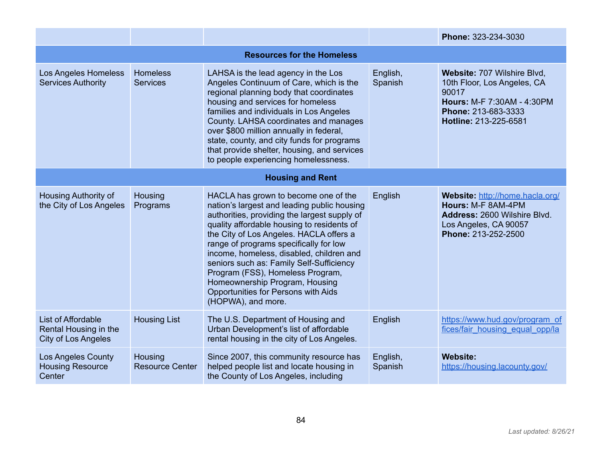|                                                                           |                                   |                                                                                                                                                                                                                                                                                                                                                                                                                                                                                                   |                     | Phone: 323-234-3030                                                                                                                               |  |  |  |
|---------------------------------------------------------------------------|-----------------------------------|---------------------------------------------------------------------------------------------------------------------------------------------------------------------------------------------------------------------------------------------------------------------------------------------------------------------------------------------------------------------------------------------------------------------------------------------------------------------------------------------------|---------------------|---------------------------------------------------------------------------------------------------------------------------------------------------|--|--|--|
|                                                                           | <b>Resources for the Homeless</b> |                                                                                                                                                                                                                                                                                                                                                                                                                                                                                                   |                     |                                                                                                                                                   |  |  |  |
| Los Angeles Homeless<br><b>Services Authority</b>                         | Homeless<br><b>Services</b>       | LAHSA is the lead agency in the Los<br>Angeles Continuum of Care, which is the<br>regional planning body that coordinates<br>housing and services for homeless<br>families and individuals in Los Angeles<br>County. LAHSA coordinates and manages<br>over \$800 million annually in federal,<br>state, county, and city funds for programs<br>that provide shelter, housing, and services<br>to people experiencing homelessness.                                                                | English,<br>Spanish | Website: 707 Wilshire Blvd,<br>10th Floor, Los Angeles, CA<br>90017<br>Hours: M-F 7:30AM - 4:30PM<br>Phone: 213-683-3333<br>Hotline: 213-225-6581 |  |  |  |
|                                                                           |                                   | <b>Housing and Rent</b>                                                                                                                                                                                                                                                                                                                                                                                                                                                                           |                     |                                                                                                                                                   |  |  |  |
| <b>Housing Authority of</b><br>the City of Los Angeles                    | Housing<br>Programs               | HACLA has grown to become one of the<br>nation's largest and leading public housing<br>authorities, providing the largest supply of<br>quality affordable housing to residents of<br>the City of Los Angeles. HACLA offers a<br>range of programs specifically for low<br>income, homeless, disabled, children and<br>seniors such as: Family Self-Sufficiency<br>Program (FSS), Homeless Program,<br>Homeownership Program, Housing<br>Opportunities for Persons with Aids<br>(HOPWA), and more. | English             | Website: http://home.hacla.org/<br>Hours: M-F 8AM-4PM<br>Address: 2600 Wilshire Blvd.<br>Los Angeles, CA 90057<br>Phone: 213-252-2500             |  |  |  |
| List of Affordable<br>Rental Housing in the<br><b>City of Los Angeles</b> | <b>Housing List</b>               | The U.S. Department of Housing and<br>Urban Development's list of affordable<br>rental housing in the city of Los Angeles.                                                                                                                                                                                                                                                                                                                                                                        | English             | https://www.hud.gov/program_of<br>fices/fair housing equal opp/la                                                                                 |  |  |  |
| <b>Los Angeles County</b><br><b>Housing Resource</b><br>Center            | Housing<br><b>Resource Center</b> | Since 2007, this community resource has<br>helped people list and locate housing in<br>the County of Los Angeles, including                                                                                                                                                                                                                                                                                                                                                                       | English,<br>Spanish | <b>Website:</b><br>https://housing.lacounty.gov/                                                                                                  |  |  |  |